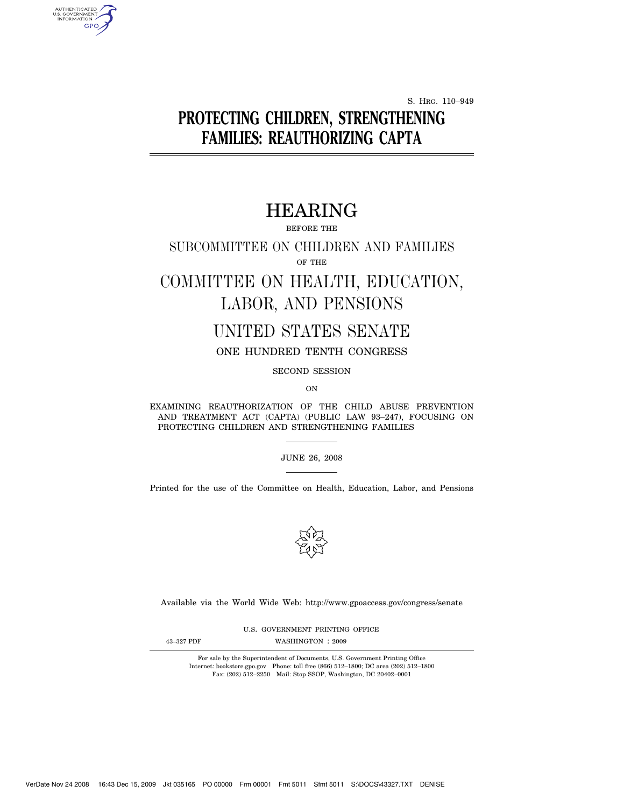S. HRG. 110–949

# **PROTECTING CHILDREN, STRENGTHENING FAMILIES: REAUTHORIZING CAPTA**

# HEARING

BEFORE THE

SUBCOMMITTEE ON CHILDREN AND FAMILIES OF THE

# COMMITTEE ON HEALTH, EDUCATION, LABOR, AND PENSIONS

# UNITED STATES SENATE

ONE HUNDRED TENTH CONGRESS

SECOND SESSION

ON

EXAMINING REAUTHORIZATION OF THE CHILD ABUSE PREVENTION AND TREATMENT ACT (CAPTA) (PUBLIC LAW 93–247), FOCUSING ON PROTECTING CHILDREN AND STRENGTHENING FAMILIES

JUNE 26, 2008

Printed for the use of the Committee on Health, Education, Labor, and Pensions



Available via the World Wide Web: http://www.gpoaccess.gov/congress/senate

U.S. GOVERNMENT PRINTING OFFICE

AUTHENTICATED<br>U.S. GOVERNMENT<br>INFORMATION **GPO** 

43-327 PDF WASHINGTON : 2009

For sale by the Superintendent of Documents, U.S. Government Printing Office Internet: bookstore.gpo.gov Phone: toll free (866) 512–1800; DC area (202) 512–1800 Fax: (202) 512–2250 Mail: Stop SSOP, Washington, DC 20402–0001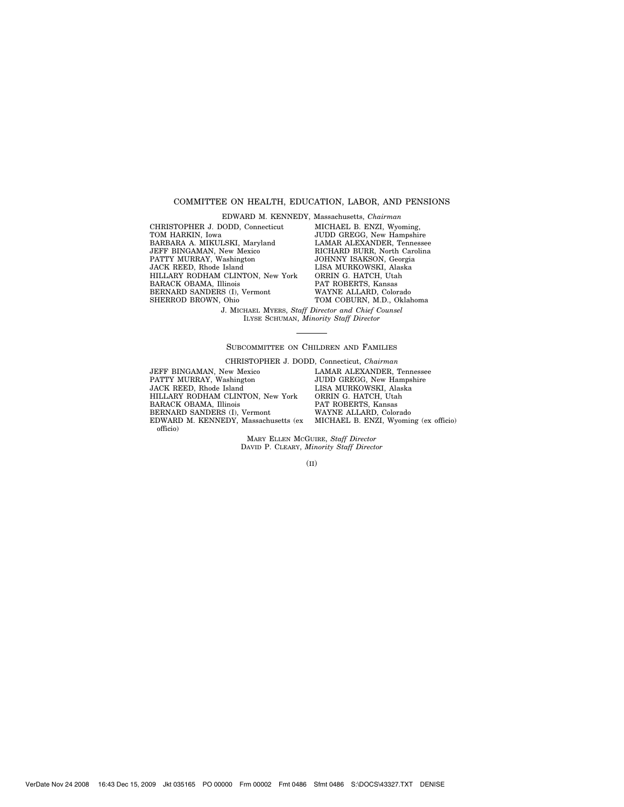## COMMITTEE ON HEALTH, EDUCATION, LABOR, AND PENSIONS

EDWARD M. KENNEDY, Massachusetts, *Chairman* 

CHRISTOPHER J. DODD, Connecticut TOM HARKIN, Iowa BARBARA A. MIKULSKI, Maryland JEFF BINGAMAN, New Mexico PATTY MURRAY, Washington JACK REED, Rhode Island HILLARY RODHAM CLINTON, New York BARACK OBAMA, Illinois BERNARD SANDERS (I), Vermont SHERROD BROWN, Ohio

MICHAEL B. ENZI, Wyoming, JUDD GREGG, New Hampshire LAMAR ALEXANDER, Tennessee RICHARD BURR, North Carolina JOHNNY ISAKSON, Georgia LISA MURKOWSKI, Alaska ORRIN G. HATCH, Utah PAT ROBERTS, Kansas WAYNE ALLARD, Colorado TOM COBURN, M.D., Oklahoma

J. MICHAEL MYERS, *Staff Director and Chief Counsel*  ILYSE SCHUMAN, *Minority Staff Director* 

SUBCOMMITTEE ON CHILDREN AND FAMILIES

CHRISTOPHER J. DODD, Connecticut, *Chairman* 

JEFF BINGAMAN, New Mexico PATTY MURRAY, Washington JACK REED, Rhode Island HILLARY RODHAM CLINTON, New York BARACK OBAMA, Illinois BERNARD SANDERS (I), Vermont EDWARD M. KENNEDY, Massachusetts (ex officio)

LAMAR ALEXANDER, Tennessee JUDD GREGG, New Hampshire LISA MURKOWSKI, Alaska ORRIN G. HATCH, Utah PAT ROBERTS, Kansas WAYNE ALLARD, Colorado MICHAEL B. ENZI, Wyoming (ex officio)

MARY ELLEN MCGUIRE, *Staff Director*  DAVID P. CLEARY, *Minority Staff Director* 

(II)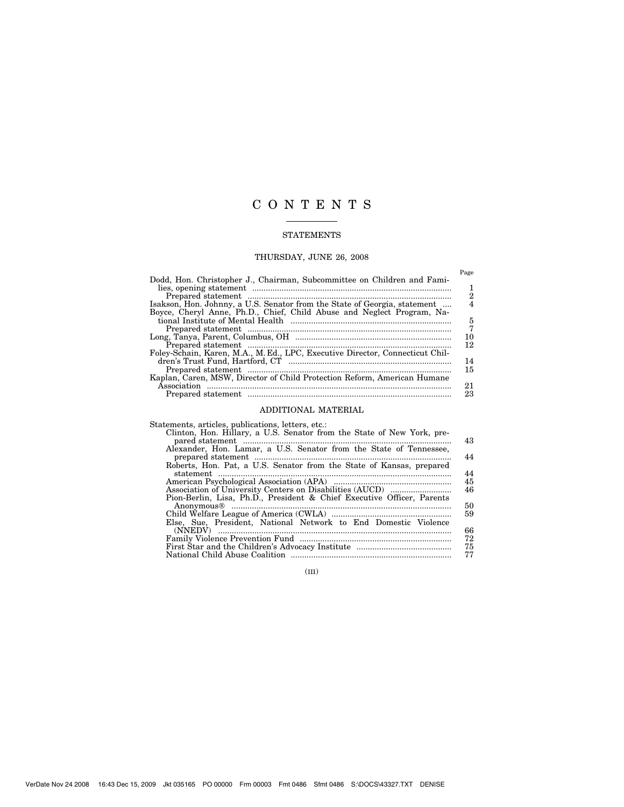# C O N T E N T S

## STATEMENTS

# THURSDAY, JUNE 26, 2008

|                                                                               | Page |
|-------------------------------------------------------------------------------|------|
| Dodd, Hon. Christopher J., Chairman, Subcommittee on Children and Fami-       |      |
|                                                                               | 2    |
|                                                                               |      |
| Isakson, Hon. Johnny, a U.S. Senator from the State of Georgia, statement     | 4    |
| Boyce, Cheryl Anne, Ph.D., Chief, Child Abuse and Neglect Program, Na-        |      |
|                                                                               | 5    |
|                                                                               |      |
|                                                                               | 10   |
|                                                                               | 12   |
| Foley-Schain, Karen, M.A., M. Ed., LPC, Executive Director, Connecticut Chil- |      |
|                                                                               | 14   |
|                                                                               | 15   |
| Kaplan, Caren, MSW, Director of Child Protection Reform, American Humane      |      |
|                                                                               | 21   |
|                                                                               | 23   |
|                                                                               |      |

#### ADDITIONAL MATERIAL

| Statements, articles, publications, letters, etc.:                     |    |
|------------------------------------------------------------------------|----|
| Clinton, Hon. Hillary, a U.S. Senator from the State of New York, pre- |    |
|                                                                        | 43 |
| Alexander, Hon. Lamar, a U.S. Senator from the State of Tennessee,     |    |
|                                                                        | 44 |
| Roberts, Hon. Pat, a U.S. Senator from the State of Kansas, prepared   |    |
|                                                                        | 44 |
|                                                                        | 45 |
|                                                                        | 46 |
| Pion-Berlin, Lisa, Ph.D., President & Chief Executive Officer, Parents |    |
|                                                                        | 50 |
|                                                                        | 59 |
| Else, Sue, President, National Network to End Domestic Violence        |    |
| (NNEDV)                                                                | 66 |
|                                                                        | 72 |
|                                                                        | 75 |
|                                                                        | 77 |
|                                                                        |    |

(III)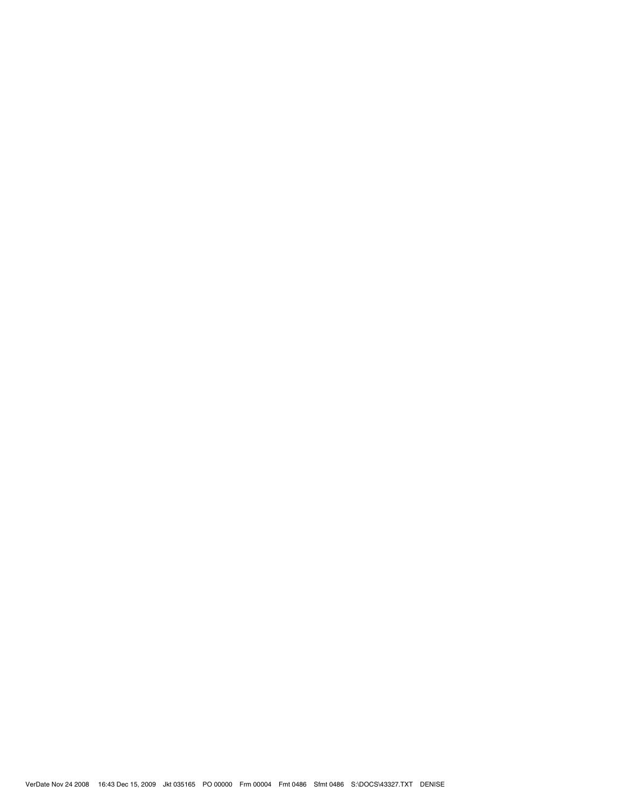VerDate Nov 24 2008 16:43 Dec 15, 2009 Jkt 035165 PO 00000 Frm 00004 Fmt 0486 Sfmt 0486 S:\DOCS\43327.TXT DENISE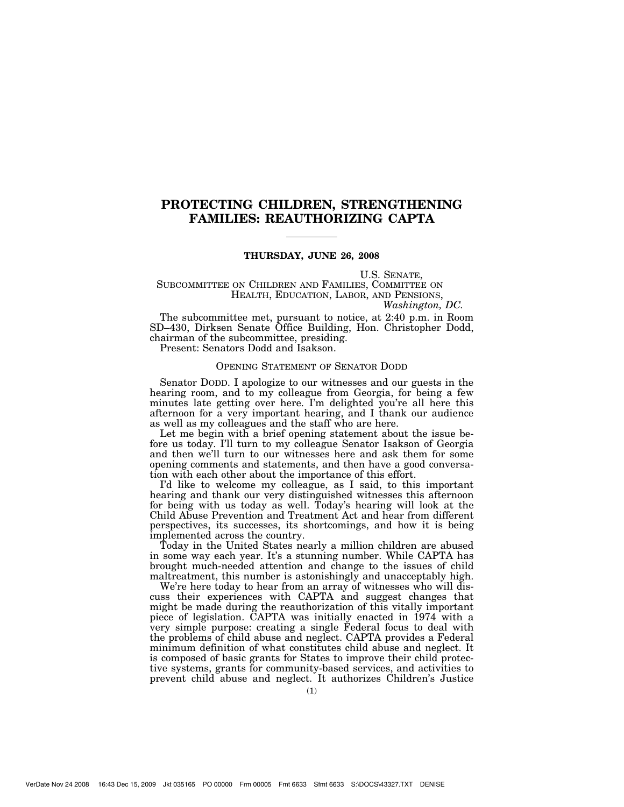# **PROTECTING CHILDREN, STRENGTHENING FAMILIES: REAUTHORIZING CAPTA**

### **THURSDAY, JUNE 26, 2008**

U.S. SENATE, SUBCOMMITTEE ON CHILDREN AND FAMILIES, COMMITTEE ON HEALTH, EDUCATION, LABOR, AND PENSIONS, *Washington, DC.* 

The subcommittee met, pursuant to notice, at 2:40 p.m. in Room SD–430, Dirksen Senate Office Building, Hon. Christopher Dodd, chairman of the subcommittee, presiding.

Present: Senators Dodd and Isakson.

## OPENING STATEMENT OF SENATOR DODD

Senator DODD. I apologize to our witnesses and our guests in the hearing room, and to my colleague from Georgia, for being a few minutes late getting over here. I'm delighted you're all here this afternoon for a very important hearing, and I thank our audience as well as my colleagues and the staff who are here.

Let me begin with a brief opening statement about the issue before us today. I'll turn to my colleague Senator Isakson of Georgia and then we'll turn to our witnesses here and ask them for some opening comments and statements, and then have a good conversation with each other about the importance of this effort.

I'd like to welcome my colleague, as I said, to this important hearing and thank our very distinguished witnesses this afternoon for being with us today as well. Today's hearing will look at the Child Abuse Prevention and Treatment Act and hear from different perspectives, its successes, its shortcomings, and how it is being implemented across the country.

Today in the United States nearly a million children are abused in some way each year. It's a stunning number. While CAPTA has brought much-needed attention and change to the issues of child maltreatment, this number is astonishingly and unacceptably high.

We're here today to hear from an array of witnesses who will discuss their experiences with CAPTA and suggest changes that might be made during the reauthorization of this vitally important piece of legislation. CAPTA was initially enacted in 1974 with a very simple purpose: creating a single Federal focus to deal with the problems of child abuse and neglect. CAPTA provides a Federal minimum definition of what constitutes child abuse and neglect. It is composed of basic grants for States to improve their child protective systems, grants for community-based services, and activities to prevent child abuse and neglect. It authorizes Children's Justice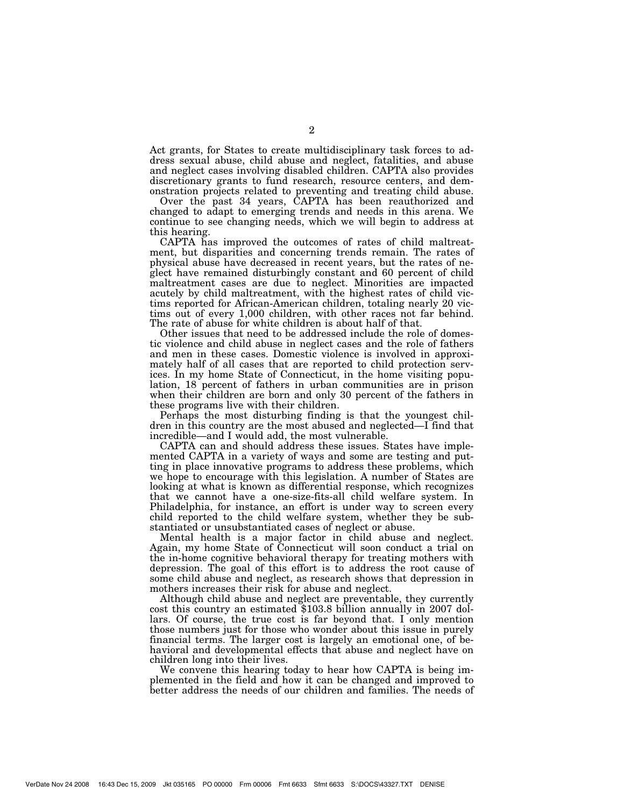Act grants, for States to create multidisciplinary task forces to address sexual abuse, child abuse and neglect, fatalities, and abuse and neglect cases involving disabled children. CAPTA also provides discretionary grants to fund research, resource centers, and demonstration projects related to preventing and treating child abuse.

Over the past 34 years, CAPTA has been reauthorized and changed to adapt to emerging trends and needs in this arena. We continue to see changing needs, which we will begin to address at this hearing.

CAPTA has improved the outcomes of rates of child maltreatment, but disparities and concerning trends remain. The rates of physical abuse have decreased in recent years, but the rates of neglect have remained disturbingly constant and 60 percent of child maltreatment cases are due to neglect. Minorities are impacted acutely by child maltreatment, with the highest rates of child victims reported for African-American children, totaling nearly 20 victims out of every 1,000 children, with other races not far behind. The rate of abuse for white children is about half of that.

Other issues that need to be addressed include the role of domestic violence and child abuse in neglect cases and the role of fathers and men in these cases. Domestic violence is involved in approximately half of all cases that are reported to child protection services. In my home State of Connecticut, in the home visiting population, 18 percent of fathers in urban communities are in prison when their children are born and only 30 percent of the fathers in these programs live with their children.

Perhaps the most disturbing finding is that the youngest children in this country are the most abused and neglected—I find that incredible—and I would add, the most vulnerable.

CAPTA can and should address these issues. States have implemented CAPTA in a variety of ways and some are testing and putting in place innovative programs to address these problems, which we hope to encourage with this legislation. A number of States are looking at what is known as differential response, which recognizes that we cannot have a one-size-fits-all child welfare system. In Philadelphia, for instance, an effort is under way to screen every child reported to the child welfare system, whether they be substantiated or unsubstantiated cases of neglect or abuse.

Mental health is a major factor in child abuse and neglect. Again, my home State of Connecticut will soon conduct a trial on the in-home cognitive behavioral therapy for treating mothers with depression. The goal of this effort is to address the root cause of some child abuse and neglect, as research shows that depression in mothers increases their risk for abuse and neglect.

Although child abuse and neglect are preventable, they currently cost this country an estimated \$103.8 billion annually in 2007 dollars. Of course, the true cost is far beyond that. I only mention those numbers just for those who wonder about this issue in purely financial terms. The larger cost is largely an emotional one, of behavioral and developmental effects that abuse and neglect have on children long into their lives.

We convene this hearing today to hear how CAPTA is being implemented in the field and how it can be changed and improved to better address the needs of our children and families. The needs of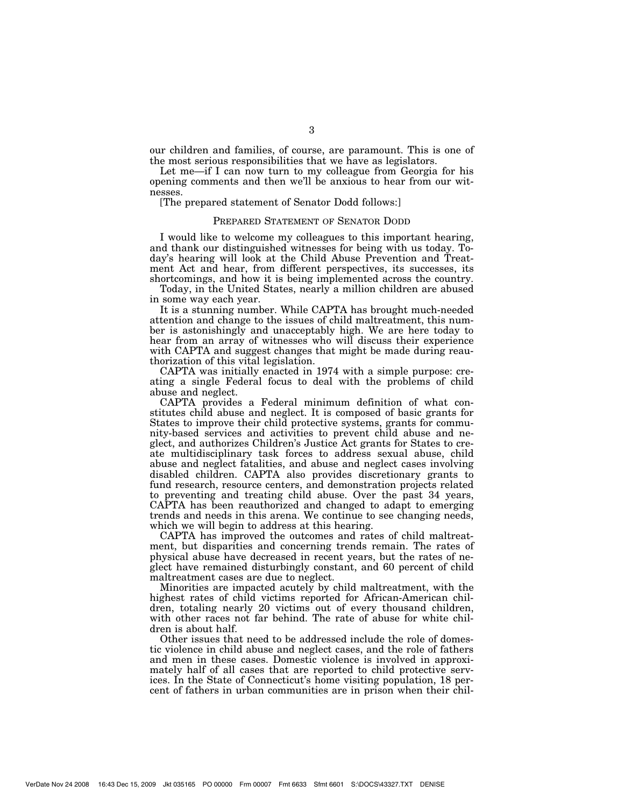our children and families, of course, are paramount. This is one of the most serious responsibilities that we have as legislators.

Let me—if I can now turn to my colleague from Georgia for his opening comments and then we'll be anxious to hear from our witnesses.

[The prepared statement of Senator Dodd follows:]

## PREPARED STATEMENT OF SENATOR DODD

I would like to welcome my colleagues to this important hearing, and thank our distinguished witnesses for being with us today. Today's hearing will look at the Child Abuse Prevention and Treatment Act and hear, from different perspectives, its successes, its shortcomings, and how it is being implemented across the country.

Today, in the United States, nearly a million children are abused in some way each year.

It is a stunning number. While CAPTA has brought much-needed attention and change to the issues of child maltreatment, this number is astonishingly and unacceptably high. We are here today to hear from an array of witnesses who will discuss their experience with CAPTA and suggest changes that might be made during reauthorization of this vital legislation.

CAPTA was initially enacted in 1974 with a simple purpose: creating a single Federal focus to deal with the problems of child abuse and neglect.

CAPTA provides a Federal minimum definition of what constitutes child abuse and neglect. It is composed of basic grants for States to improve their child protective systems, grants for community-based services and activities to prevent child abuse and neglect, and authorizes Children's Justice Act grants for States to create multidisciplinary task forces to address sexual abuse, child abuse and neglect fatalities, and abuse and neglect cases involving disabled children. CAPTA also provides discretionary grants to fund research, resource centers, and demonstration projects related to preventing and treating child abuse. Over the past 34 years, CAPTA has been reauthorized and changed to adapt to emerging trends and needs in this arena. We continue to see changing needs, which we will begin to address at this hearing.

CAPTA has improved the outcomes and rates of child maltreatment, but disparities and concerning trends remain. The rates of physical abuse have decreased in recent years, but the rates of neglect have remained disturbingly constant, and 60 percent of child maltreatment cases are due to neglect.

Minorities are impacted acutely by child maltreatment, with the highest rates of child victims reported for African-American children, totaling nearly 20 victims out of every thousand children, with other races not far behind. The rate of abuse for white children is about half.

Other issues that need to be addressed include the role of domestic violence in child abuse and neglect cases, and the role of fathers and men in these cases. Domestic violence is involved in approximately half of all cases that are reported to child protective services. In the State of Connecticut's home visiting population, 18 percent of fathers in urban communities are in prison when their chil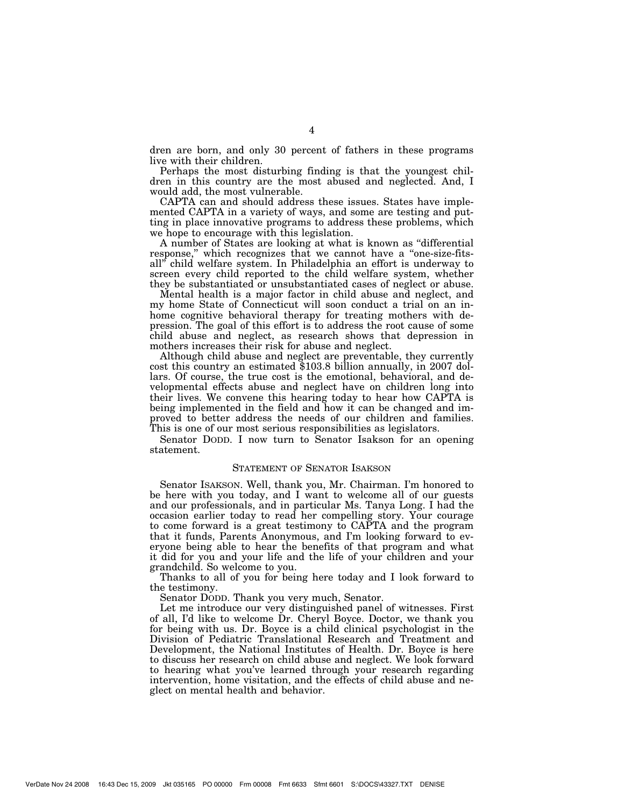dren are born, and only 30 percent of fathers in these programs live with their children.

Perhaps the most disturbing finding is that the youngest children in this country are the most abused and neglected. And, I would add, the most vulnerable.

CAPTA can and should address these issues. States have implemented CAPTA in a variety of ways, and some are testing and putting in place innovative programs to address these problems, which we hope to encourage with this legislation.

A number of States are looking at what is known as ''differential response,'' which recognizes that we cannot have a ''one-size-fitsall'' child welfare system. In Philadelphia an effort is underway to screen every child reported to the child welfare system, whether they be substantiated or unsubstantiated cases of neglect or abuse.

Mental health is a major factor in child abuse and neglect, and my home State of Connecticut will soon conduct a trial on an inhome cognitive behavioral therapy for treating mothers with depression. The goal of this effort is to address the root cause of some child abuse and neglect, as research shows that depression in mothers increases their risk for abuse and neglect.

Although child abuse and neglect are preventable, they currently cost this country an estimated \$103.8 billion annually, in 2007 dollars. Of course, the true cost is the emotional, behavioral, and developmental effects abuse and neglect have on children long into their lives. We convene this hearing today to hear how CAPTA is being implemented in the field and how it can be changed and improved to better address the needs of our children and families. This is one of our most serious responsibilities as legislators.

Senator DODD. I now turn to Senator Isakson for an opening statement.

### STATEMENT OF SENATOR ISAKSON

Senator ISAKSON. Well, thank you, Mr. Chairman. I'm honored to be here with you today, and I want to welcome all of our guests and our professionals, and in particular Ms. Tanya Long. I had the occasion earlier today to read her compelling story. Your courage to come forward is a great testimony to CAPTA and the program that it funds, Parents Anonymous, and I'm looking forward to everyone being able to hear the benefits of that program and what it did for you and your life and the life of your children and your grandchild. So welcome to you.

Thanks to all of you for being here today and I look forward to the testimony.

Senator DODD. Thank you very much, Senator.

Let me introduce our very distinguished panel of witnesses. First of all, I'd like to welcome Dr. Cheryl Boyce. Doctor, we thank you for being with us. Dr. Boyce is a child clinical psychologist in the Division of Pediatric Translational Research and Treatment and Development, the National Institutes of Health. Dr. Boyce is here to discuss her research on child abuse and neglect. We look forward to hearing what you've learned through your research regarding intervention, home visitation, and the effects of child abuse and neglect on mental health and behavior.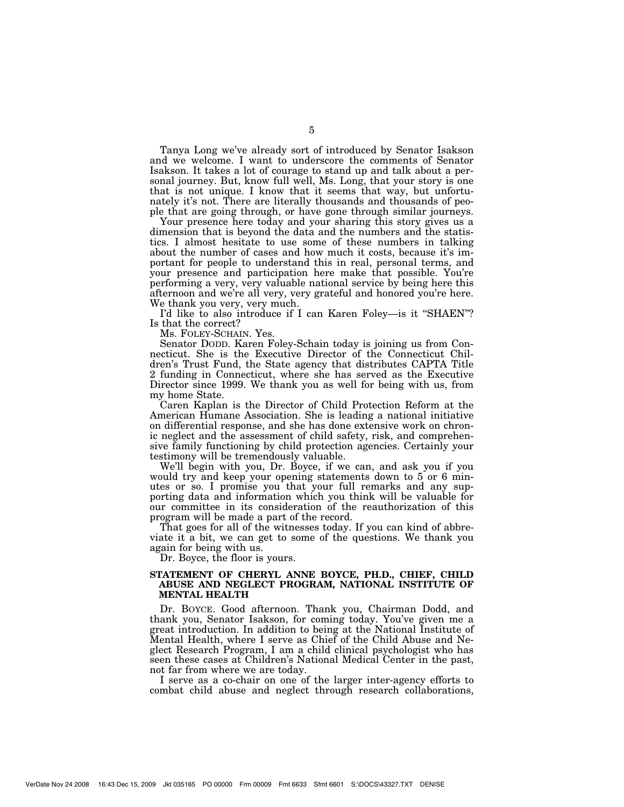Tanya Long we've already sort of introduced by Senator Isakson and we welcome. I want to underscore the comments of Senator Isakson. It takes a lot of courage to stand up and talk about a personal journey. But, know full well, Ms. Long, that your story is one that is not unique. I know that it seems that way, but unfortunately it's not. There are literally thousands and thousands of people that are going through, or have gone through similar journeys.

Your presence here today and your sharing this story gives us a dimension that is beyond the data and the numbers and the statistics. I almost hesitate to use some of these numbers in talking about the number of cases and how much it costs, because it's important for people to understand this in real, personal terms, and your presence and participation here make that possible. You're performing a very, very valuable national service by being here this afternoon and we're all very, very grateful and honored you're here. We thank you very, very much.

I'd like to also introduce if I can Karen Foley—is it ''SHAEN''? Is that the correct?

Ms. FOLEY-SCHAIN. Yes.

Senator DODD. Karen Foley-Schain today is joining us from Connecticut. She is the Executive Director of the Connecticut Children's Trust Fund, the State agency that distributes CAPTA Title 2 funding in Connecticut, where she has served as the Executive Director since 1999. We thank you as well for being with us, from my home State.

Caren Kaplan is the Director of Child Protection Reform at the American Humane Association. She is leading a national initiative on differential response, and she has done extensive work on chronic neglect and the assessment of child safety, risk, and comprehensive family functioning by child protection agencies. Certainly your testimony will be tremendously valuable.

We'll begin with you, Dr. Boyce, if we can, and ask you if you would try and keep your opening statements down to 5 or 6 minutes or so. I promise you that your full remarks and any supporting data and information which you think will be valuable for our committee in its consideration of the reauthorization of this program will be made a part of the record.

That goes for all of the witnesses today. If you can kind of abbreviate it a bit, we can get to some of the questions. We thank you again for being with us.

Dr. Boyce, the floor is yours.

## **STATEMENT OF CHERYL ANNE BOYCE, PH.D., CHIEF, CHILD ABUSE AND NEGLECT PROGRAM, NATIONAL INSTITUTE OF MENTAL HEALTH**

Dr. BOYCE. Good afternoon. Thank you, Chairman Dodd, and thank you, Senator Isakson, for coming today. You've given me a great introduction. In addition to being at the National Institute of Mental Health, where I serve as Chief of the Child Abuse and Neglect Research Program, I am a child clinical psychologist who has seen these cases at Children's National Medical Center in the past, not far from where we are today.

I serve as a co-chair on one of the larger inter-agency efforts to combat child abuse and neglect through research collaborations,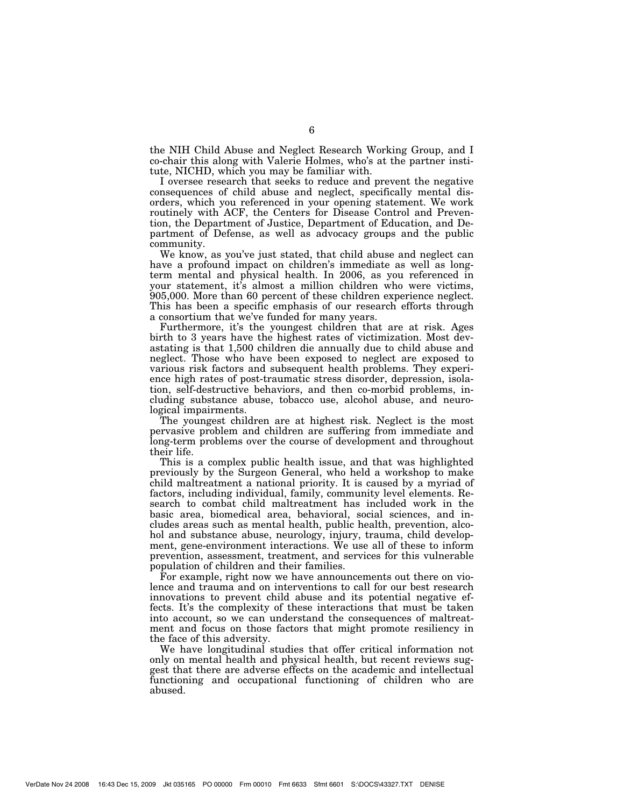the NIH Child Abuse and Neglect Research Working Group, and I co-chair this along with Valerie Holmes, who's at the partner institute, NICHD, which you may be familiar with.

I oversee research that seeks to reduce and prevent the negative consequences of child abuse and neglect, specifically mental disorders, which you referenced in your opening statement. We work routinely with ACF, the Centers for Disease Control and Prevention, the Department of Justice, Department of Education, and Department of Defense, as well as advocacy groups and the public community.

We know, as you've just stated, that child abuse and neglect can have a profound impact on children's immediate as well as longterm mental and physical health. In 2006, as you referenced in your statement, it's almost a million children who were victims, 905,000. More than 60 percent of these children experience neglect. This has been a specific emphasis of our research efforts through a consortium that we've funded for many years.

Furthermore, it's the youngest children that are at risk. Ages birth to 3 years have the highest rates of victimization. Most devastating is that 1,500 children die annually due to child abuse and neglect. Those who have been exposed to neglect are exposed to various risk factors and subsequent health problems. They experience high rates of post-traumatic stress disorder, depression, isolation, self-destructive behaviors, and then co-morbid problems, including substance abuse, tobacco use, alcohol abuse, and neurological impairments.

The youngest children are at highest risk. Neglect is the most pervasive problem and children are suffering from immediate and long-term problems over the course of development and throughout their life.

This is a complex public health issue, and that was highlighted previously by the Surgeon General, who held a workshop to make child maltreatment a national priority. It is caused by a myriad of factors, including individual, family, community level elements. Research to combat child maltreatment has included work in the basic area, biomedical area, behavioral, social sciences, and includes areas such as mental health, public health, prevention, alcohol and substance abuse, neurology, injury, trauma, child development, gene-environment interactions. We use all of these to inform prevention, assessment, treatment, and services for this vulnerable population of children and their families.

For example, right now we have announcements out there on violence and trauma and on interventions to call for our best research innovations to prevent child abuse and its potential negative effects. It's the complexity of these interactions that must be taken into account, so we can understand the consequences of maltreatment and focus on those factors that might promote resiliency in the face of this adversity.

We have longitudinal studies that offer critical information not only on mental health and physical health, but recent reviews suggest that there are adverse effects on the academic and intellectual functioning and occupational functioning of children who are abused.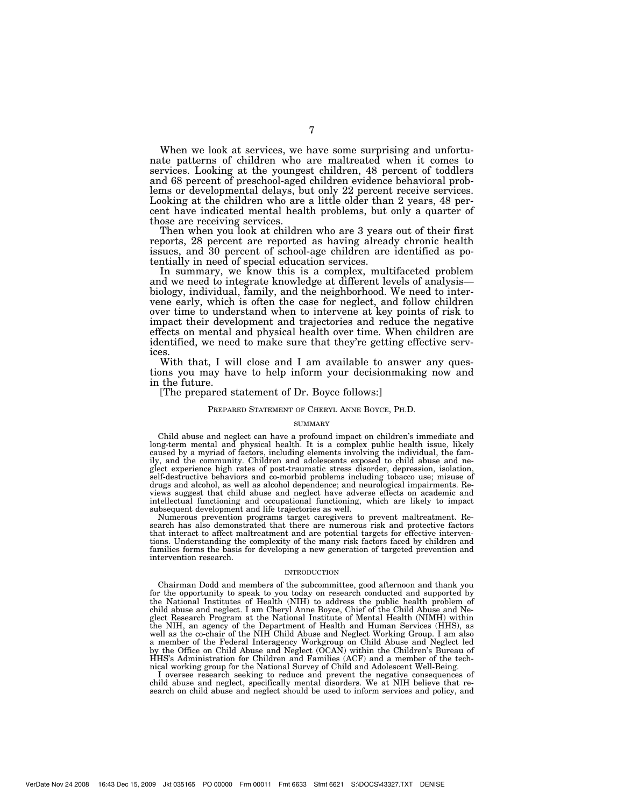When we look at services, we have some surprising and unfortunate patterns of children who are maltreated when it comes to services. Looking at the youngest children, 48 percent of toddlers and 68 percent of preschool-aged children evidence behavioral problems or developmental delays, but only 22 percent receive services. Looking at the children who are a little older than 2 years, 48 percent have indicated mental health problems, but only a quarter of those are receiving services.

Then when you look at children who are 3 years out of their first reports, 28 percent are reported as having already chronic health issues, and 30 percent of school-age children are identified as potentially in need of special education services.

In summary, we know this is a complex, multifaceted problem and we need to integrate knowledge at different levels of analysis biology, individual, family, and the neighborhood. We need to intervene early, which is often the case for neglect, and follow children over time to understand when to intervene at key points of risk to impact their development and trajectories and reduce the negative effects on mental and physical health over time. When children are identified, we need to make sure that they're getting effective services.

With that, I will close and I am available to answer any questions you may have to help inform your decisionmaking now and in the future.

## [The prepared statement of Dr. Boyce follows:]

#### PREPARED STATEMENT OF CHERYL ANNE BOYCE, PH.D.

#### **SUMMARY**

Child abuse and neglect can have a profound impact on children's immediate and long-term mental and physical health. It is a complex public health issue, likely caused by a myriad of factors, including elements involving the individual, the family, and the community. Children and adolescents exposed to child abuse and neglect experience high rates of post-traumatic stress disorder, depression, isolation, self-destructive behaviors and co-morbid problems including tobacco use; misuse of drugs and alcohol, as well as alcohol dependence; and intellectual functioning and occupational functioning, which are likely to impact subsequent development and life trajectories as well.

Numerous prevention programs target caregivers to prevent maltreatment. Re-search has also demonstrated that there are numerous risk and protective factors that interact to affect maltreatment and are potential targets for effective interventions. Understanding the complexity of the many risk factors faced by children and families forms the basis for developing a new generation of targeted prevention and intervention research.

#### INTRODUCTION

Chairman Dodd and members of the subcommittee, good afternoon and thank you for the opportunity to speak to you today on research conducted and supported by the National Institutes of Health (NIH) to address the public health problem of child abuse and neglect. I am Cheryl Anne Boyce, Chief of the Child Abuse and Neglect Research Program at the National Institute of Mental Health (NIMH) within the NIH, an agency of the Department of Health and Human Services (HHS), as well as the co-chair of the NIH Child Abuse and Neglect Working Group. I am also a member of the Federal Interagency Workgroup on Child Abuse and Neglect led by the Office on Child Abuse and Neglect (OCAN) within the Children's Bureau of HHS's Administration for Children and Families (ACF) and a member of the technical working group for the National Survey of Child and Adolescent Well-Being.

I oversee research seeking to reduce and prevent the negative consequences of child abuse and neglect, specifically mental disorders. We at NIH believe that research on child abuse and neglect should be used to inform services and policy, and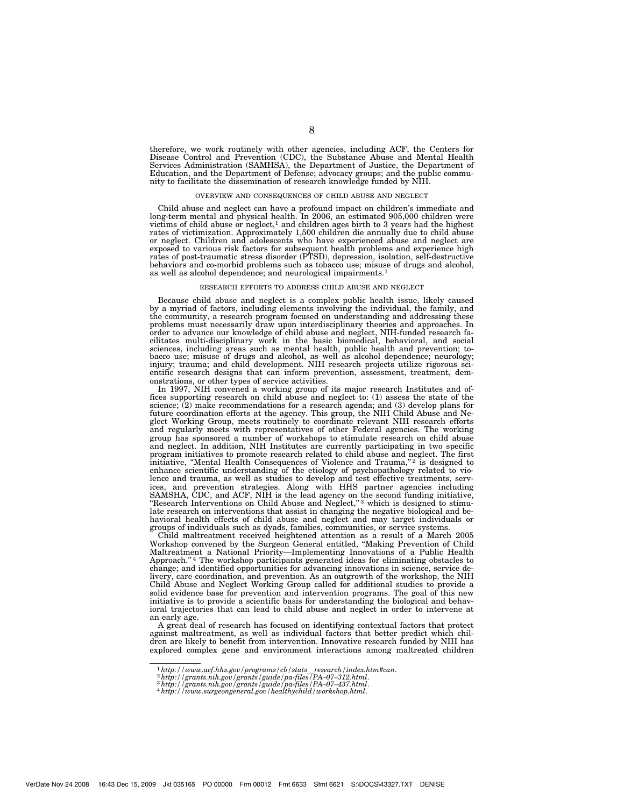therefore, we work routinely with other agencies, including ACF, the Centers for<br>Disease Control and Prevention (CDC), the Substance Abuse and Mental Health<br>Services Administration (SAMHSA), the Department of Justice, the Education, and the Department of Defense; advocacy groups; and the public community to facilitate the dissemination of research knowledge funded by NIH.

#### OVERVIEW AND CONSEQUENCES OF CHILD ABUSE AND NEGLECT

Child abuse and neglect can have a profound impact on children's immediate and long-term mental and physical health. In 2006, an estimated 905,000 children were victims of child abuse or neglect, $<sup>1</sup>$  and children ages birth to 3 years had the highest</sup> rates of victimization. Approximately 1,500 children die annually due to child abuse or neglect. Children and adolescents who have experienced abuse and neglect are exposed to various risk factors for subsequent health problems and experience high rates of post-traumatic stress disorder (PTSD), depression, isolation, self-destructive behaviors and co-morbid problems such as tobacco use; misuse of drugs and alcohol, as well as alcohol dependence; and neurological impairments.1

#### RESEARCH EFFORTS TO ADDRESS CHILD ABUSE AND NEGLECT

Because child abuse and neglect is a complex public health issue, likely caused by a myriad of factors, including elements involving the individual, the family, and the community, a research program focused on understanding and addressing these problems must necessarily draw upon interdisciplinary theories and approaches. In order to advance our knowledge of child abuse and neglect, NIH-funded research facilitates multi-disciplinary work in the basic biomedical, behavioral, and social sciences, including areas such as mental health, public health and prevention; to-bacco use; misuse of drugs and alcohol, as well as alcohol dependence; neurology; injury; trauma; and child development. NIH research projects utilize rigorous scientific research designs that can inform prevention, assessment, treatment, demonstrations, or other types of service activities.

In 1997, NIH convened a working group of its major research Institutes and offices supporting research on child abuse and neglect to: (1) assess the state of the science; (2) make recommendations for a research agenda; and (3) develop plans for future coordination efforts at the agency. This group, the NIH Child Abuse and Neglect Working Group, meets routinely to coordinate relevant NIH research efforts and regularly meets with representatives of other Federal agencies. The working group has sponsored a number of workshops to stimulate research on child abuse and neglect. In addition, NIH Institutes are currently participating in two specific program initiatives to promote research related to child abuse and neglect. The first initiative, "Mental Health Consequences of Violence and Trauma,"<sup>2</sup> is designed to enhance scientific understanding of the etiology of psychopathology related to violence and trauma, as well as studies to develop and test effective treatments, services, and prevention strategies. Along with HHS partner agencies including SAMSHA, CDC, and ACF, NIH is the lead agency on the second funding initiative, "Research Interventions on Child Abuse and Neglect," <sup>3</sup> which is designed to stimulate research on interventions that assist in changing the negative biological and behavioral health effects of child abuse and neglect and may target individuals or groups of individuals such as dyads, families, communities, or service systems.

Child maltreatment received heightened attention as a result of a March 2005 Workshop convened by the Surgeon General entitled, ''Making Prevention of Child Maltreatment a National Priority—Implementing Innovations of a Public Health Approach.'' 4 The workshop participants generated ideas for eliminating obstacles to change; and identified opportunities for advancing innovations in science, service delivery, care coordination, and prevention. As an outgrowth of the workshop, the NIH Child Abuse and Neglect Working Group called for additional studies to provide a solid evidence base for prevention and intervention programs. The goal of this new initiative is to provide a scientific basis for understanding the biological and behavioral trajectories that can lead to child abuse and neglect in order to intervene at an early age.

A great deal of research has focused on identifying contextual factors that protect against maltreatment, as well as individual factors that better predict which children are likely to benefit from intervention. Innovative research funded by NIH has explored complex gene and environment interactions among maltreated children

 ${1} \label{t:2} \begin{array}{l} \text{$1$} \text{http://www.acf.hhs.gov/programs/cb/stats\_research/index.htm\#can.}\\ \text{$2$} \text{http://grams.nih.gov/grams/suide/pa-files/PA-07-312.html.}\\ \text{$3$} \text{http://grams.nih.gov/grams.nib.gov/grams/suide/pa-files/PA-07-337.html.}\\ \text{$4$} \text{http://www.surgeongeneral.gov/heathychild/twoorkhop.html.} \end{array}$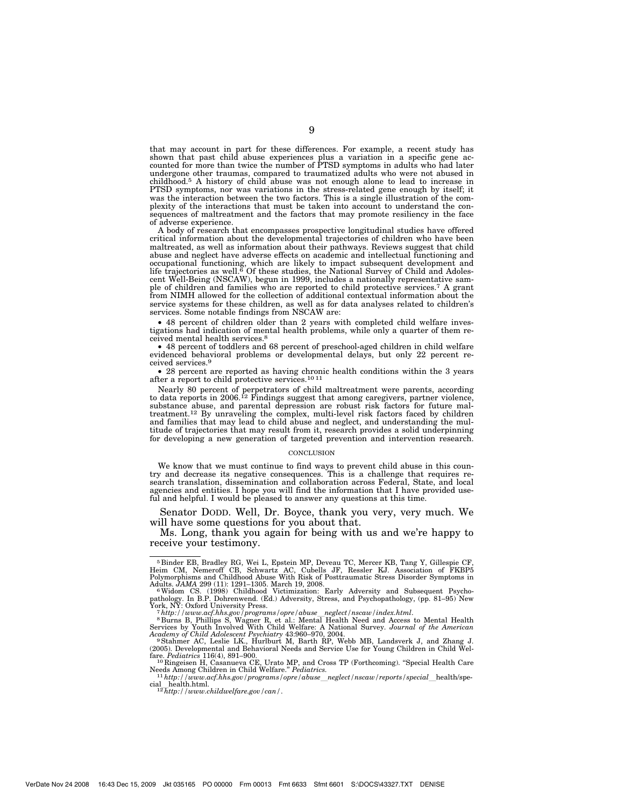that may account in part for these differences. For example, a recent study has shown that past child abuse experiences plus a variation in a specific gene accounted for more than twice the number of PTSD symptoms in adults who had later undergone other traumas, compared to traumatized adults who were not abused in childhood.5 A history of child abuse was not enough alone to lead to increase in PTSD symptoms, nor was variations in the stress-related gene enough by itself; it was the interaction between the two factors. This is a single illustration of the complexity of the interactions that must be taken into account to understand the consequences of maltreatment and the factors that may promote resiliency in the face of adverse experience.

A body of research that encompasses prospective longitudinal studies have offered critical information about the developmental trajectories of children who have been maltreated, as well as information about their pathways. Reviews suggest that child abuse and neglect have adverse effects on academic and intellectual functioning and occupational functioning, which are likely to impact subsequent development and<br>life trajectories as well.<sup>6</sup> Of these studies, the National Survey of Child and Adoles-<br>cent Well-Being (NSCAW), begun in 1999, includes a na ple of children and families who are reported to child protective services.7 A grant from NIMH allowed for the collection of additional contextual information about the service systems for these children, as well as for data analyses related to children's services. Some notable findings from NSCAW are:

• 48 percent of children older than 2 years with completed child welfare investigations had indication of mental health problems, while only a quarter of them received mental health services.<sup>8</sup>

• 48 percent of toddlers and 68 percent of preschool-aged children in child welfare evidenced behavioral problems or developmental delays, but only 22 percent received services.9

• 28 percent are reported as having chronic health conditions within the 3 years after a report to child protective services.<sup>10 11</sup>

Nearly 80 percent of perpetrators of child maltreatment were parents, according to data reports in 2006.<sup>12</sup> Findings suggest that among caregivers, partner violence, substance abuse, and parental depression are robust risk factors for future mal-treatment.12 By unraveling the complex, multi-level risk factors faced by children and families that may lead to child abuse and neglect, and understanding the multitude of trajectories that may result from it, research provides a solid underpinning for developing a new generation of targeted prevention and intervention research.

#### **CONCLUSION**

We know that we must continue to find ways to prevent child abuse in this country and decrease its negative consequences. This is a challenge that requires research translation, dissemination and collaboration across Federal, State, and local agencies and entities. I hope you will find the information that I have provided useful and helpful. I would be pleased to answer any questions at this time.

Senator DODD. Well, Dr. Boyce, thank you very, very much. We will have some questions for you about that.

Ms. Long, thank you again for being with us and we're happy to receive your testimony.

<sup>&</sup>lt;sup>5</sup> Binder EB, Bradley RG, Wei L, Epstein MP, Deveau TC, Mercer KB, Tang Y, Gillespie CF, Heim CM, Nemeroff CB, Schwartz AC, Cubells JF, Ressler KJ. Association of FKBP5 Polymorphisms and Childhood Abuse With Risk of Postt

York, NY: Oxford University Press.<br>  $\gamma hth$ : //www.acf.hhs.gov/programs/opre/abuse\_neglect/nscaw/index.html.<br>  $\gamma hth$ ://www.acf.hhs.gov/programs/opre/abuse\_neglect/nscaw/index.html.<br>
Services by Youth Involved With Child We

Needs Among Children in Child Welfare.'' *Pediatrics.* 11*http://www.acf.hhs.gov/programs/opre/abuse*l*neglect/nscaw/reports/special*lhealth/spe-

<sup>&</sup>lt;sup>11</sup>http://www.acf.hhs.gov/programs/opre/abuse\_neglect/nscaw/reports/special\_health/special\_health.html.<br><sup>12</sup>http://www.childwelfare.gov/can/.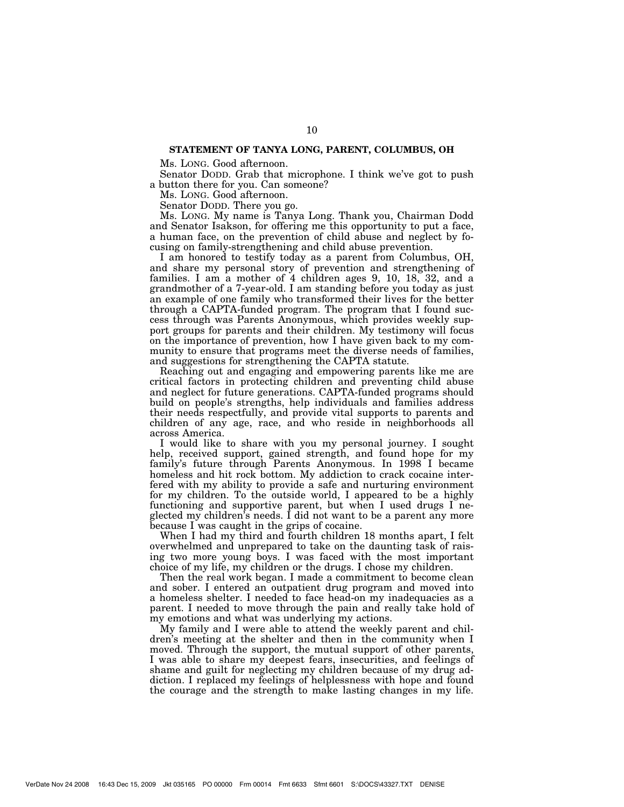## **STATEMENT OF TANYA LONG, PARENT, COLUMBUS, OH**

Ms. LONG. Good afternoon.

Senator DODD. Grab that microphone. I think we've got to push a button there for you. Can someone?

Ms. LONG. Good afternoon.

Senator DODD. There you go.

Ms. LONG. My name is Tanya Long. Thank you, Chairman Dodd and Senator Isakson, for offering me this opportunity to put a face, a human face, on the prevention of child abuse and neglect by focusing on family-strengthening and child abuse prevention.

I am honored to testify today as a parent from Columbus, OH, and share my personal story of prevention and strengthening of families. I am a mother of 4 children ages 9, 10, 18, 32, and a grandmother of a 7-year-old. I am standing before you today as just an example of one family who transformed their lives for the better through a CAPTA-funded program. The program that I found success through was Parents Anonymous, which provides weekly support groups for parents and their children. My testimony will focus on the importance of prevention, how I have given back to my community to ensure that programs meet the diverse needs of families, and suggestions for strengthening the CAPTA statute.

Reaching out and engaging and empowering parents like me are critical factors in protecting children and preventing child abuse and neglect for future generations. CAPTA-funded programs should build on people's strengths, help individuals and families address their needs respectfully, and provide vital supports to parents and children of any age, race, and who reside in neighborhoods all across America.

I would like to share with you my personal journey. I sought help, received support, gained strength, and found hope for my family's future through Parents Anonymous. In 1998 I became homeless and hit rock bottom. My addiction to crack cocaine interfered with my ability to provide a safe and nurturing environment for my children. To the outside world, I appeared to be a highly functioning and supportive parent, but when I used drugs I neglected my children's needs. I did not want to be a parent any more because I was caught in the grips of cocaine.

When I had my third and fourth children 18 months apart, I felt overwhelmed and unprepared to take on the daunting task of raising two more young boys. I was faced with the most important choice of my life, my children or the drugs. I chose my children.

Then the real work began. I made a commitment to become clean and sober. I entered an outpatient drug program and moved into a homeless shelter. I needed to face head-on my inadequacies as a parent. I needed to move through the pain and really take hold of my emotions and what was underlying my actions.

My family and I were able to attend the weekly parent and children's meeting at the shelter and then in the community when I moved. Through the support, the mutual support of other parents, I was able to share my deepest fears, insecurities, and feelings of shame and guilt for neglecting my children because of my drug addiction. I replaced my feelings of helplessness with hope and found the courage and the strength to make lasting changes in my life.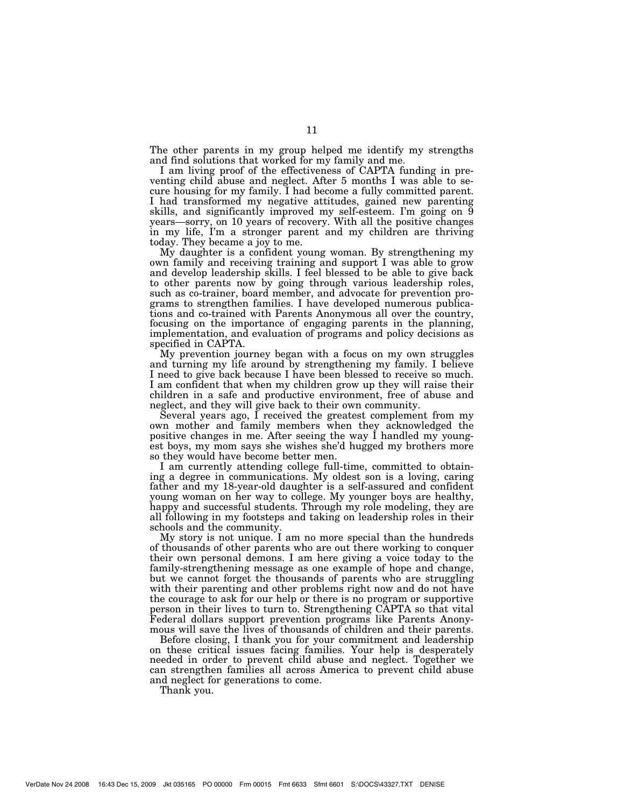The other parents in my group helped me identify my strengths and find solutions that worked for my family and me.

I am living proof of the effectiveness of CAPTA funding in preventing child abuse and neglect. After 5 months I was able to secure housing for my family. I had become a fully committed parent. I had transformed my negative attitudes, gained new parenting skills, and significantly improved my self-esteem. I'm going on  $\overline{9}$ years—sorry, on 10 years of recovery. With all the positive changes in my life, I'm a stronger parent and my children are thriving today. They became a joy to me.

My daughter is a confident young woman. By strengthening my own family and receiving training and support I was able to grow and develop leadership skills. I feel blessed to be able to give back to other parents now by going through various leadership roles, such as co-trainer, board member, and advocate for prevention programs to strengthen families. I have developed numerous publications and co-trained with Parents Anonymous all over the country, focusing on the importance of engaging parents in the planning, implementation, and evaluation of programs and policy decisions as specified in CAPTA.

My prevention journey began with a focus on my own struggles and turning my life around by strengthening my family. I believe I need to give back because I have been blessed to receive so much. I am confident that when my children grow up they will raise their children in a safe and productive environment, free of abuse and neglect, and they will give back to their own community.

Several years ago, I received the greatest complement from my own mother and family members when they acknowledged the positive changes in me. After seeing the way I handled my youngest boys, my mom says she wishes she'd hugged my brothers more so they would have become better men.

I am currently attending college full-time, committed to obtaining a degree in communications. My oldest son is a loving, caring father and my 18-year-old daughter is a self-assured and confident young woman on her way to college. My younger boys are healthy, happy and successful students. Through my role modeling, they are all following in my footsteps and taking on leadership roles in their schools and the community.

My story is not unique. I am no more special than the hundreds of thousands of other parents who are out there working to conquer their own personal demons. I am here giving a voice today to the family-strengthening message as one example of hope and change, but we cannot forget the thousands of parents who are struggling with their parenting and other problems right now and do not have the courage to ask for our help or there is no program or supportive person in their lives to turn to. Strengthening CAPTA so that vital Federal dollars support prevention programs like Parents Anonymous will save the lives of thousands of children and their parents.

Before closing, I thank you for your commitment and leadership on these critical issues facing families. Your help is desperately needed in order to prevent child abuse and neglect. Together we can strengthen families all across America to prevent child abuse and neglect for generations to come.

Thank you.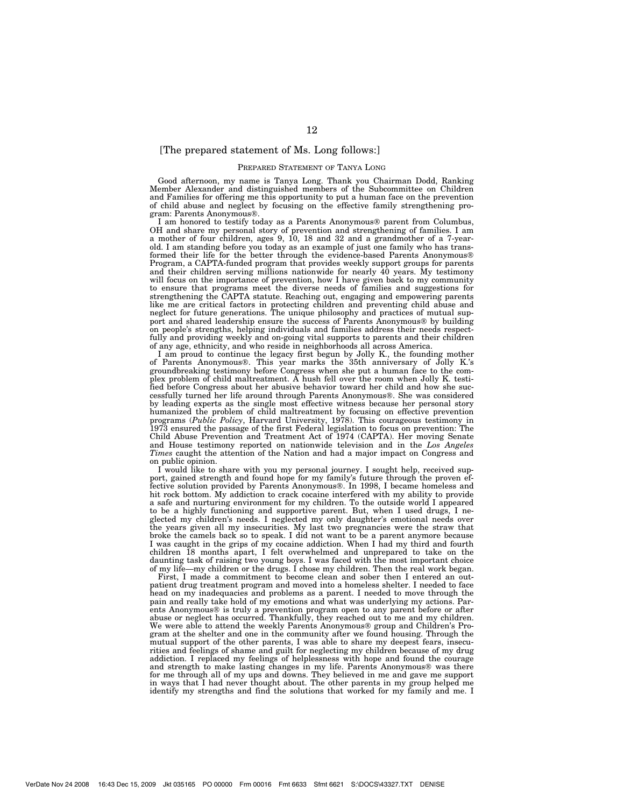## [The prepared statement of Ms. Long follows:]

### PREPARED STATEMENT OF TANYA LONG

Good afternoon, my name is Tanya Long. Thank you Chairman Dodd, Ranking Member Alexander and distinguished members of the Subcommittee on Children and Families for offering me this opportunity to put a human face on the prevention of child abuse and neglect by focusing on the effective family strengthening program: Parents Anonymous®.

I am honored to testify today as a Parents Anonymous® parent from Columbus, OH and share my personal story of prevention and strengthening of families. I am a mother of four children, ages 9, 10, 18 and 32 and a grandmother of a 7-yearold. I am standing before you today as an example of just one family who has transformed their life for the better through the evidence-based Parents Anonymous® Program, a CAPTA-funded program that provides weekly support groups for parents and their children serving millions nationwide for nearly 40 years. My testimony will focus on the importance of prevention, how I have given back to my community to ensure that programs meet the diverse needs of families and suggestions for strengthening the CAPTA statute. Reaching out, engaging and empowering parents like me are critical factors in protecting children and preventing child abuse and neglect for future generations. The unique philosophy and practices of mutual support and shared leadership ensure the success of Parents Anonymous® by building on people's strengths, helping individuals and families address their needs respectfully and providing weekly and on-going vital supports to parents and their children of any age, ethnicity, and who reside in neighborhoods all across America.

I am proud to continue the legacy first begun by Jolly K., the founding mother of Parents Anonymous®. This year marks the 35th anniversary of Jolly K.'s groundbreaking testimony before Congress when she put a human face to the complex problem of child maltreatment. A hush fell over the room when Jolly K. testified before Congress about her abusive behavior toward her child and how she successfully turned her life around through Parents Anonymous®. She was considered by leading experts as the single most effective witness because her personal story humanized the problem of child maltreatment by focusing on effective prevention programs (*Public Policy*, Harvard University, 1978). This courageous testimony in 1973 ensured the passage of the first Federal legislation to focus on prevention: The Child Abuse Prevention and Treatment Act of 1974 (CAPTA). Her moving Senate and House testimony reported on nationwide television and in the *Los Angeles Times* caught the attention of the Nation and had a major impact on Congress and on public opinion.

I would like to share with you my personal journey. I sought help, received support, gained strength and found hope for my family's future through the proven effective solution provided by Parents Anonymous®. In 1998, I became homeless and hit rock bottom. My addiction to crack cocaine interfered with my ability to provide a safe and nurturing environment for my children. To the outside world I appeared to be a highly functioning and supportive parent. But, when I used drugs, I neglected my children's needs. I neglected my only daughter's emotional needs over the years given all my insecurities. My last two pregnancies were the straw that broke the camels back so to speak. I did not want to be a parent anymore because I was caught in the grips of my cocaine addiction. When I had my third and fourth children 18 months apart, I felt overwhelmed and unprepared to take on the daunting task of raising two young boys. I was faced with the most important choice of my life—my children or the drugs. I chose my children. Then the real work began.

First, I made a commitment to become clean and sober then I entered an outpatient drug treatment program and moved into a homeless shelter. I needed to face head on my inadequacies and problems as a parent. I needed to move through the pain and really take hold of my emotions and what was underlying my actions. Parents Anonymous® is truly a prevention program open to any parent before or after abuse or neglect has occurred. Thankfully, they reached out to me and my children. We were able to attend the weekly Parents Anonymous® group and Children's Program at the shelter and one in the community after we found housing. Through the mutual support of the other parents, I was able to share my deepest fears, insecurities and feelings of shame and guilt for neglecting my children because of my drug addiction. I replaced my feelings of helplessness with hope and found the courage and strength to make lasting changes in my life. Parents Anonymous® was there for me through all of my ups and downs. They believed in me and gave me support<br>in ways that I had never thought about. The other parents in my group helped me<br>identify my strengths and find the solutions that worked for m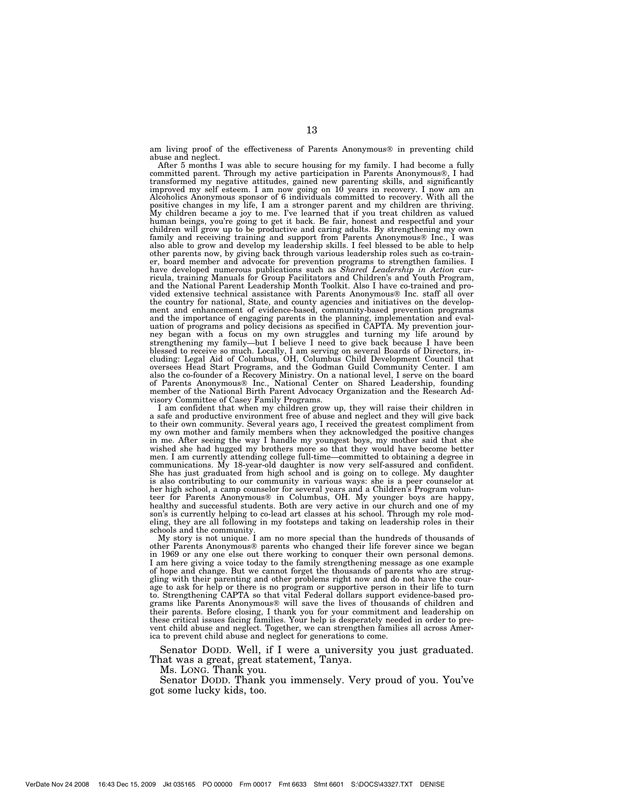am living proof of the effectiveness of Parents Anonymous® in preventing child abuse and neglect.

After 5 months I was able to secure housing for my family. I had become a fully committed parent. Through my active participation in Parents Anonymous®, I had transformed my negative attitudes, gained new parenting skills, and significantly<br>improved my self esteem. I am now going on 10 years in recovery. I now am an<br>Alcoholics Anonymous sponsor of 6 individuals committed to reco positive changes in my life, I am a stronger parent and my children are thriving. My children became a joy to me. I've learned that if you treat children as valued human beings, you're going to get it back. Be fair, honest and respectful and your children will grow up to be productive and caring adults. By strengthening my own family and receiving training and support from Parents Anonymous® Inc., I was also able to grow and develop my leadership skills. I feel blessed to be able to help other parents now, by giving back through various leadership roles such as co-train-er, board member and advocate for prevention programs to strengthen families. I have developed numerous publications such as *Shared Leadership in Action* cur- ricula, training Manuals for Group Facilitators and Children's and Youth Program, and the National Parent Leadership Month Toolkit. Also I have co-trained and pro-vided extensive technical assistance with Parents Anonymous® Inc. staff all over the country for national, State, and county agencies and initiatives on the develop-ment and enhancement of evidence-based, community-based prevention programs and the importance of engaging parents in the planning, implementation and evaluation of programs and policy decisions as specified in CAPTA. My prevention journey began with a focus on my own struggles and turning my life around by strengthening my family—but I believe I need to give back because I have been blessed to receive so much. Locally, I am serving on several Boards of Directors, including: Legal Aid of Columbus, OH, Columbus Child Development Council that oversees Head Start Programs, and the Godman Guild Community Center. I am also the co-founder of a Recovery Ministry. On a national level, I serve on the board of Parents Anonymous® Inc., National Center on Shared Leadership, founding member of the National Birth Parent Advocacy Organization and the Research Advisory Committee of Casey Family Programs.

I am confident that when my children grow up, they will raise their children in a safe and productive environment free of abuse and neglect and they will give back to their own community. Several years ago, I received the greatest compliment from my own mother and family members when they acknowledged the positive changes in me. After seeing the way I handle my youngest boys, my mother said that she wished she had hugged my brothers more so that they would have become better men. I am currently attending college full-time—committed to obtaining a degree in communications. My 18-year-old daughter is now very self-assured and confident. She has just graduated from high school and is going on to college. My daughter is also contributing to our community in various ways: she is a peer counselor at her high school, a camp counselor for several years and a Children's Program volunteer for Parents Anonymous® in Columbus, OH. My younger boys are happy, healthy and successful students. Both are very active in our church and one of my son's is currently helping to co-lead art classes at his school. Through my role modeling, they are all following in my footsteps and taking on leadership roles in their schools and the community.

My story is not unique. I am no more special than the hundreds of thousands of other Parents Anonymous® parents who changed their life forever since we began in 1969 or any one else out there working to conquer their own personal demons. I am here giving a voice today to the family strengthening message as one example of hope and change. But we cannot forget the thousands of parents who are struggling with their parenting and other problems right now and do not have the courage to ask for help or there is no program or supportive person in their life to turn to. Strengthening CAPTA so that vital Federal dollars support evidence-based programs like Parents Anonymous® will save the lives of thousands of children and their parents. Before closing, I thank you for your commitment and leadership on these critical issues facing families. Your help is desperately needed in order to prevent child abuse and neglect. Together, we can strengthen families all across America to prevent child abuse and neglect for generations to come.

Senator DODD. Well, if I were a university you just graduated. That was a great, great statement, Tanya.

Ms. LONG. Thank you.

Senator DODD. Thank you immensely. Very proud of you. You've got some lucky kids, too.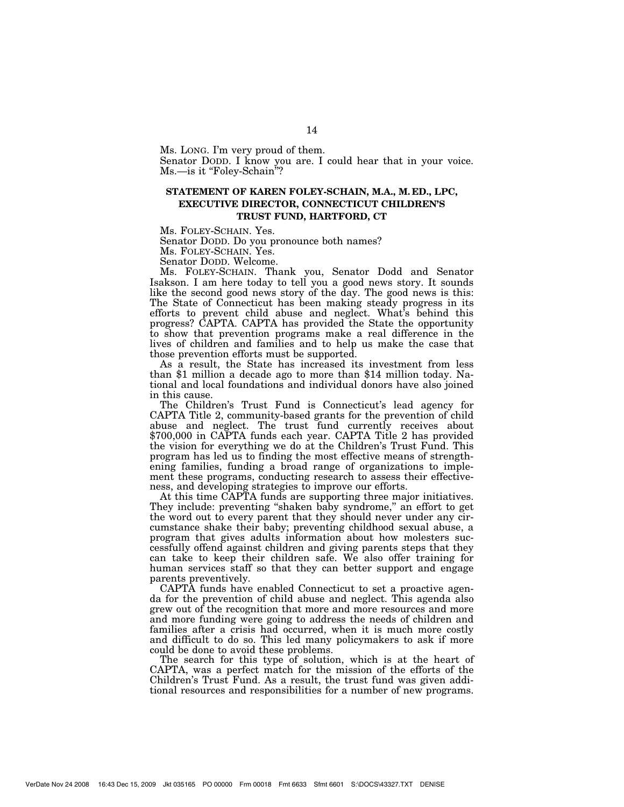Ms. LONG. I'm very proud of them.

Senator DODD. I know you are. I could hear that in your voice. Ms.—is it "Foley-Schain"?

# **STATEMENT OF KAREN FOLEY-SCHAIN, M.A., M. ED., LPC, EXECUTIVE DIRECTOR, CONNECTICUT CHILDREN'S TRUST FUND, HARTFORD, CT**

Ms. FOLEY-SCHAIN. Yes.

Senator DODD. Do you pronounce both names?

Ms. FOLEY-SCHAIN. Yes.

Senator DODD. Welcome.

Ms. FOLEY-SCHAIN. Thank you, Senator Dodd and Senator Isakson. I am here today to tell you a good news story. It sounds like the second good news story of the day. The good news is this: The State of Connecticut has been making steady progress in its efforts to prevent child abuse and neglect. What's behind this progress? CAPTA. CAPTA has provided the State the opportunity to show that prevention programs make a real difference in the lives of children and families and to help us make the case that those prevention efforts must be supported.

As a result, the State has increased its investment from less than \$1 million a decade ago to more than \$14 million today. National and local foundations and individual donors have also joined in this cause.

The Children's Trust Fund is Connecticut's lead agency for CAPTA Title 2, community-based grants for the prevention of child abuse and neglect. The trust fund currently receives about \$700,000 in CAPTA funds each year. CAPTA Title 2 has provided the vision for everything we do at the Children's Trust Fund. This program has led us to finding the most effective means of strengthening families, funding a broad range of organizations to implement these programs, conducting research to assess their effectiveness, and developing strategies to improve our efforts.

At this time CAPTA funds are supporting three major initiatives. They include: preventing "shaken baby syndrome," an effort to get the word out to every parent that they should never under any circumstance shake their baby; preventing childhood sexual abuse, a program that gives adults information about how molesters successfully offend against children and giving parents steps that they can take to keep their children safe. We also offer training for human services staff so that they can better support and engage parents preventively.

CAPTA funds have enabled Connecticut to set a proactive agenda for the prevention of child abuse and neglect. This agenda also grew out of the recognition that more and more resources and more and more funding were going to address the needs of children and families after a crisis had occurred, when it is much more costly and difficult to do so. This led many policymakers to ask if more could be done to avoid these problems.

The search for this type of solution, which is at the heart of CAPTA, was a perfect match for the mission of the efforts of the Children's Trust Fund. As a result, the trust fund was given additional resources and responsibilities for a number of new programs.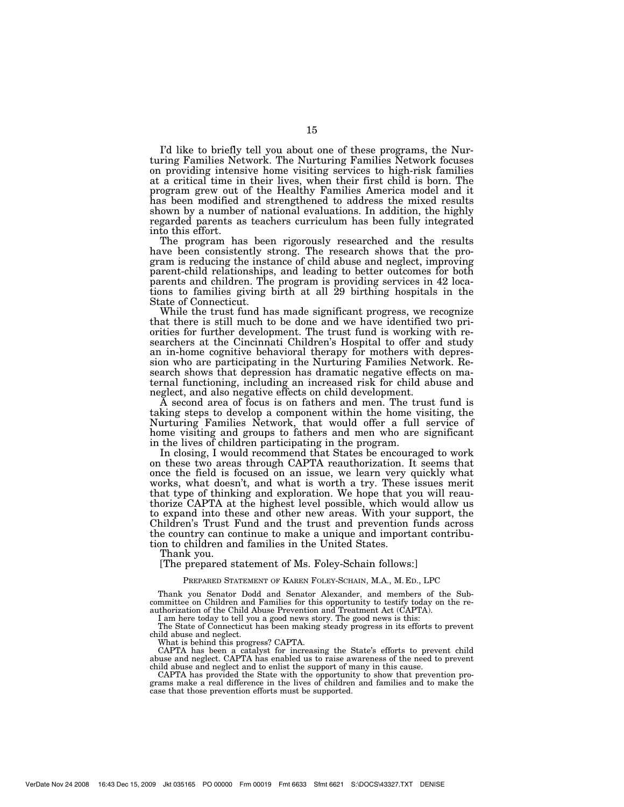I'd like to briefly tell you about one of these programs, the Nurturing Families Network. The Nurturing Families Network focuses on providing intensive home visiting services to high-risk families at a critical time in their lives, when their first child is born. The program grew out of the Healthy Families America model and it has been modified and strengthened to address the mixed results shown by a number of national evaluations. In addition, the highly regarded parents as teachers curriculum has been fully integrated into this effort.

The program has been rigorously researched and the results have been consistently strong. The research shows that the program is reducing the instance of child abuse and neglect, improving parent-child relationships, and leading to better outcomes for both parents and children. The program is providing services in 42 locations to families giving birth at all 29 birthing hospitals in the State of Connecticut.

While the trust fund has made significant progress, we recognize that there is still much to be done and we have identified two priorities for further development. The trust fund is working with researchers at the Cincinnati Children's Hospital to offer and study an in-home cognitive behavioral therapy for mothers with depression who are participating in the Nurturing Families Network. Research shows that depression has dramatic negative effects on maternal functioning, including an increased risk for child abuse and neglect, and also negative effects on child development.

A second area of focus is on fathers and men. The trust fund is taking steps to develop a component within the home visiting, the Nurturing Families Network, that would offer a full service of home visiting and groups to fathers and men who are significant in the lives of children participating in the program.

In closing, I would recommend that States be encouraged to work on these two areas through CAPTA reauthorization. It seems that once the field is focused on an issue, we learn very quickly what works, what doesn't, and what is worth a try. These issues merit that type of thinking and exploration. We hope that you will reauthorize CAPTA at the highest level possible, which would allow us to expand into these and other new areas. With your support, the Children's Trust Fund and the trust and prevention funds across the country can continue to make a unique and important contribution to children and families in the United States.

Thank you.

[The prepared statement of Ms. Foley-Schain follows:]

#### PREPARED STATEMENT OF KAREN FOLEY-SCHAIN, M.A., M. ED., LPC

Thank you Senator Dodd and Senator Alexander, and members of the Subcommittee on Children and Families for this opportunity to testify today on the reauthorization of the Child Abuse Prevention and Treatment Act (CAPTA).

I am here today to tell you a good news story. The good news is this:

The State of Connecticut has been making steady progress in its efforts to prevent child abuse and neglect.

What is behind this progress? CAPTA.

CAPTA has been a catalyst for increasing the State's efforts to prevent child abuse and neglect. CAPTA has enabled us to raise awareness of the need to prevent child abuse and neglect and to enlist the support of many in this cause.

CAPTA has provided the State with the opportunity to show that prevention programs make a real difference in the lives of children and families and to make the case that those prevention efforts must be supported.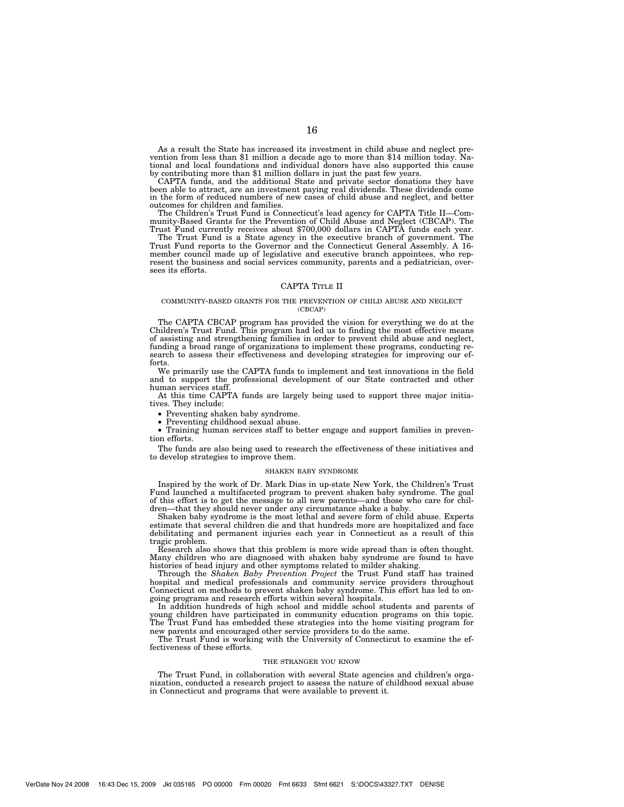As a result the State has increased its investment in child abuse and neglect prevention from less than \$1 million a decade ago to more than \$14 million today. National and local foundations and individual donors have also

by contributing more than \$1 million dollars in just the past few years.<br>CAPTA funds, and the additional State and private sector donations they have<br>been able to attract, are an investment paying real dividends. These div in the form of reduced numbers of new cases of child abuse and neglect, and better outcomes for children and families.

The Children's Trust Fund is Connecticut's lead agency for CAPTA Title II—Com-<br>munity-Based Grants for the Prevention of Child Abuse and Neglect (CBCAP). The<br>Trust Fund currently receives about \$700,000 dollars in CAPTA fu

The Trust Fund is a State agency in the executive branch of government. The Trust Fund reports to the Governor and the Connecticut General Assembly. A 16 member council made up of legislative and executive branch appointees, who represent the business and social services community, parents and a pediatrician, oversees its efforts.

### CAPTA TITLE II

#### COMMUNITY-BASED GRANTS FOR THE PREVENTION OF CHILD ABUSE AND NEGLECT (CBCAP)

The CAPTA CBCAP program has provided the vision for everything we do at the Children's Trust Fund. This program had led us to finding the most effective means of assisting and strengthening families in order to prevent child abuse and neglect, funding a broad range of organizations to implement these programs, conducting research to assess their effectiveness and developing strategies for improving our efforts

We primarily use the CAPTA funds to implement and test innovations in the field and to support the professional development of our State contracted and other human services staff.

At this time CAPTA funds are largely being used to support three major initiatives. They include:

• Preventing shaken baby syndrome.

Preventing childhood sexual abuse.

• Training human services staff to better engage and support families in prevention efforts.

The funds are also being used to research the effectiveness of these initiatives and to develop strategies to improve them.

#### SHAKEN BABY SYNDROME

Inspired by the work of Dr. Mark Dias in up-state New York, the Children's Trust Fund launched a multifaceted program to prevent shaken baby syndrome. The goal of this effort is to get the message to all new parents—and those who care for children—that they should never under any circumstance shake a baby.

Shaken baby syndrome is the most lethal and severe form of child abuse. Experts estimate that several children die and that hundreds more are hospitalized and face debilitating and permanent injuries each year in Connecticut as a result of this tragic problem.

Research also shows that this problem is more wide spread than is often thought. Many children who are diagnosed with shaken baby syndrome are found to have histories of head injury and other symptoms related to milder shaking.

Through the *Shaken Baby Prevention Project* the Trust Fund staff has trained hospital and medical professionals and community service providers throughout Connecticut on methods to prevent shaken baby syndrome. This effort has led to ongoing programs and research efforts within several hospitals.

In addition hundreds of high school and middle school students and parents of young children have participated in community education programs on this topic. The Trust Fund has embedded these strategies into the home visiting program for new parents and encouraged other service providers to do the same.

The Trust Fund is working with the University of Connecticut to examine the effectiveness of these efforts.

#### THE STRANGER YOU KNOW

The Trust Fund, in collaboration with several State agencies and children's organization, conducted a research project to assess the nature of childhood sexual abuse in Connecticut and programs that were available to prevent it.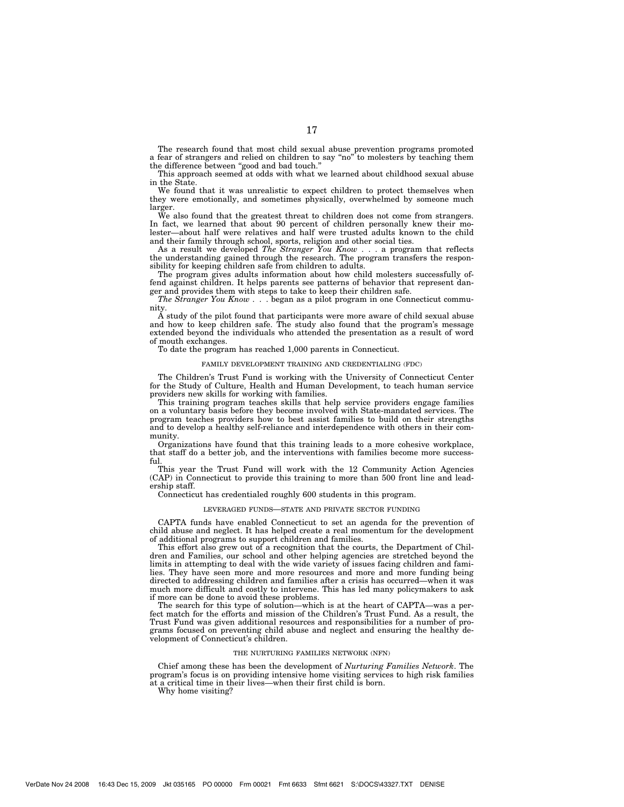The research found that most child sexual abuse prevention programs promoted a fear of strangers and relied on children to say "no" to molesters by teaching them the difference between ''good and bad touch.''

This approach seemed at odds with what we learned about childhood sexual abuse in the State.

We found that it was unrealistic to expect children to protect themselves when they were emotionally, and sometimes physically, overwhelmed by someone much larger.

We also found that the greatest threat to children does not come from strangers. In fact, we learned that about 90 percent of children personally knew their molester—about half were relatives and half were trusted adults known to the child and their family through school, sports, religion and other social ties.

As a result we developed *The Stranger You Know* . . . a program that reflects the understanding gained through the research. The program transfers the responsibility for keeping children safe from children to adults.

The program gives adults information about how child molesters successfully offend against children. It helps parents see patterns of behavior that represent danger and provides them with steps to take to keep their children safe.

*The Stranger You Know* . . . began as a pilot program in one Connecticut community.

A study of the pilot found that participants were more aware of child sexual abuse and how to keep children safe. The study also found that the program's message extended beyond the individuals who attended the presentation as a result of word of mouth exchanges.

To date the program has reached 1,000 parents in Connecticut.

#### FAMILY DEVELOPMENT TRAINING AND CREDENTIALING (FDC)

The Children's Trust Fund is working with the University of Connecticut Center for the Study of Culture, Health and Human Development, to teach human service providers new skills for working with families.

This training program teaches skills that help service providers engage families on a voluntary basis before they become involved with State-mandated services. The program teaches providers how to best assist families to build on their strengths and to develop a healthy self-reliance and interdependence with others in their community.

Organizations have found that this training leads to a more cohesive workplace, that staff do a better job, and the interventions with families become more successful.

This year the Trust Fund will work with the 12 Community Action Agencies (CAP) in Connecticut to provide this training to more than 500 front line and leadership staff.

Connecticut has credentialed roughly 600 students in this program.

#### LEVERAGED FUNDS—STATE AND PRIVATE SECTOR FUNDING

CAPTA funds have enabled Connecticut to set an agenda for the prevention of child abuse and neglect. It has helped create a real momentum for the development of additional programs to support children and families.

This effort also grew out of a recognition that the courts, the Department of Children and Families, our school and other helping agencies are stretched beyond the limits in attempting to deal with the wide variety of issues facing children and families. They have seen more and more resources and more and more funding being directed to addressing children and families after a crisis has occurred—when it was much more difficult and costly to intervene. This has led many policymakers to ask if more can be done to avoid these problems.

The search for this type of solution—which is at the heart of CAPTA—was a perfect match for the efforts and mission of the Children's Trust Fund. As a result, the Trust Fund was given additional resources and responsibilities for a number of programs focused on preventing child abuse and neglect and ensuring the healthy development of Connecticut's children.

#### THE NURTURING FAMILIES NETWORK (NFN)

Chief among these has been the development of *Nurturing Families Network*. The program's focus is on providing intensive home visiting services to high risk families at a critical time in their lives—when their first child is born.

Why home visiting?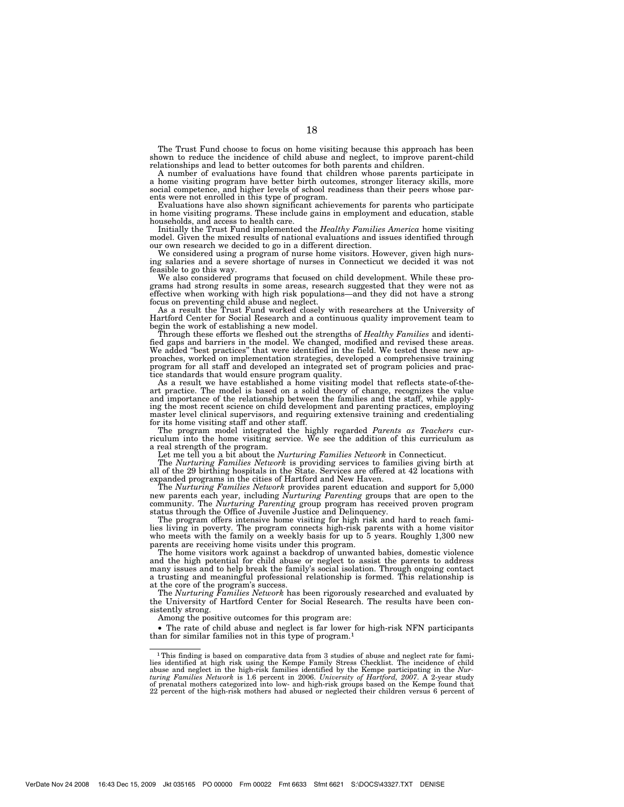The Trust Fund choose to focus on home visiting because this approach has been shown to reduce the incidence of child abuse and neglect, to improve parent-child relationships and lead to better outcomes for both parents and children.

A number of evaluations have found that children whose parents participate in a home visiting program have better birth outcomes, stronger literacy skills, more social competence, and higher levels of school readiness than their peers whose parents were not enrolled in this type of program.

Evaluations have also shown significant achievements for parents who participate in home visiting programs. These include gains in employment and education, stable households, and access to health care.

Initially the Trust Fund implemented the *Healthy Families America* home visiting model. Given the mixed results of national evaluations and issues identified through our own research we decided to go in a different direction.

We considered using a program of nurse home visitors. However, given high nurs-ing salaries and a severe shortage of nurses in Connecticut we decided it was not feasible to go this way. We also considered programs that focused on child development. While these pro-

grams had strong results in some areas, research suggested that they were not as effective when working with high risk populations—and they did not have a strong focus on preventing child abuse and neglect. As a result the Trust Fund worked closely with researchers at the University of

Hartford Center for Social Research and a continuous quality improvement team to begin the work of establishing a new model.

Through these efforts we fleshed out the strengths of *Healthy Families* and identi-<br>fied gaps and barriers in the model. We changed, modified and revised these areas.<br>We added "best practices" that were identified in the

tice standards that would ensure program quality.<br>As a result we have established a home visiting model that reflects state-of-the-<br>art practice. The model is based on a solid theory of change, recognizes the value<br>and imp ing the most recent science on child development and parenting practices, employing master level clinical supervisors, and requiring extensive training and credentialing for its home visiting staff and other staff.

The program model integrated the highly regarded *Parents as Teachers* cur-<br>riculum into the home visiting service. We see the addition of this curriculum as a real strength of the program.

Let me tell you a bit about the *Nurturing Families Network* in Connecticut.

The *Nurturing Families Network* is providing services to families giving birth at all of the 29 birthing hospitals in the State. Services are offered at 42 locations with expanded programs in the cities of Hartford and New Haven.

The *Nurturing Families Network* provides parent education and support for 5,000 new parents each year, including *Nurturing Parenting* groups that are open to the community. The *Nurturing Parenting* group program has received proven program status through the Office of Juvenile Justice and Delinquency.

The program offers intensive home visiting for high risk and hard to reach families living in poverty. The program connects high-risk parents with a home visitor who meets with the family on a weekly basis for up to 5 years. Roughly 1,300 new parents are receiving home visits under this program.

The home visitors work against a backdrop of unwanted babies, domestic violence and the high potential for child abuse or neglect to assist the parents to address many issues and to help break the family's social isolation. Through ongoing contact a trusting and meaningful professional relationship is formed. This relationship is at the core of the program's success.

The *Nurturing Families Network* has been rigorously researched and evaluated by the University of Hartford Center for Social Research. The results have been consistently strong.

Among the positive outcomes for this program are:

• The rate of child abuse and neglect is far lower for high-risk NFN participants than for similar families not in this type of program.1

<sup>&</sup>lt;sup>1</sup>This finding is based on comparative data from 3 studies of abuse and neglect rate for families identified at high risk using the Kempe Family Stress Checklist. The incidence of child<br>abuse and neglect in the high-risk families identified by the Kempe participating in the Nur-<br>turing Families Network is 1.6 perc of prenatal mothers categorized into low- and high-risk groups based on the Kempe found that 22 percent of the high-risk mothers had abused or neglected their children versus 6 percent of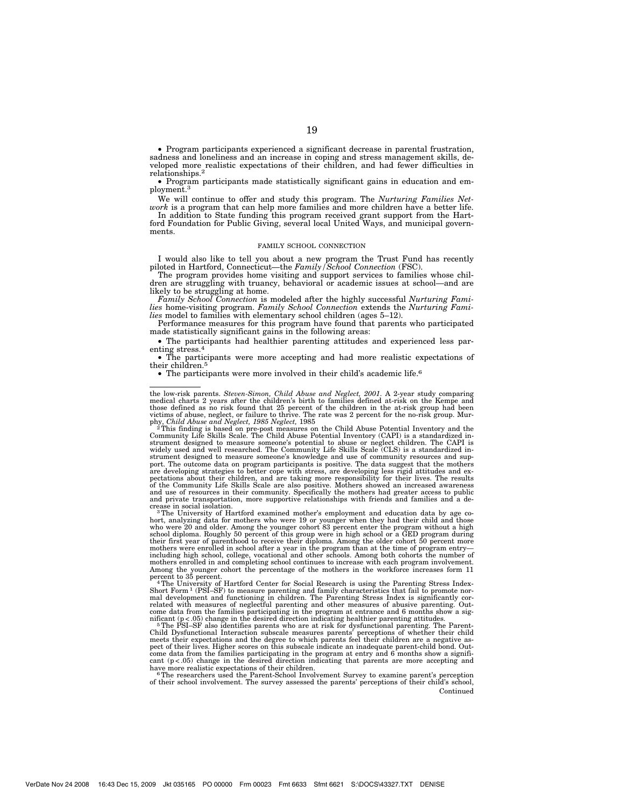• Program participants experienced a significant decrease in parental frustration, sadness and loneliness and an increase in coping and stress management skills, developed more realistic expectations of their children, and had fewer difficulties in relationships.2

• Program participants made statistically significant gains in education and employment.3

We will continue to offer and study this program. The *Nurturing Families Net-work* is a program that can help more families and more children have a better life.

In addition to State funding this program received grant support from the Hart-ford Foundation for Public Giving, several local United Ways, and municipal governments.

### FAMILY SCHOOL CONNECTION

I would also like to tell you about a new program the Trust Fund has recently piloted in Hartford, Connecticut—the *Family/School Connection* (FSC).

The program provides home visiting and support services to families whose children are struggling with truancy, behavioral or academic issues at school—and are

likely to be struggling at home. *Family School Connection* is modeled after the highly successful *Nurturing Families* home-visiting program. *Family School Connection* extends the *Nurturing Fami-lies* model to families with elementary school children (ages 5–12).

Performance measures for this program have found that parents who participated made statistically significant gains in the following areas:

• The participants had healthier parenting attitudes and experienced less par-

enting stress.<sup>4</sup><br>• The participants were more accepting and had more realistic expectations of their children.5

• The participants were more involved in their child's academic life.6

the low-risk parents. *Steven-Simon, Child Abuse and Neglect, 2001*. A 2-year study comparing medical charts 2 years after the children's birth to families defined at-risk on the Kempe and those defined as no risk found that 25 percent of the children in the at-risk group had been<br>victims of abuse, neglect, or failure to thrive. The rate was 2 percent for the no-risk group. Mur-<br>phy, *Child Abuse and Neglec* 

strument designed to measure someone's potential to abuse or neglect children. The CAPI is widely used and well researched. The Community Life Skills Scale (CLS) is a standardized instrument designed to measure someone's knowledge and use of community resources and sup-<br>port. The outcome data on program participants is positive. The data suggest that the mothers<br>pare developing strategies to better co and private transportation, more supportive relationships with friends and families and a de-

<sup>3</sup>The University of Hartford examined mother's employment and education data by age cohort, analyzing data for mothers who were 19 or younger when they had their child and those<br>who were 20 and older. Among the younger cohort 83 percent enter the program without a high<br>school diploma. Roughly 50 percent of Among the younger cohort the percentage of the mothers in the workforce increases form 11

percent to 35 percent.<br>
<sup>4</sup> The University of Hartford Center for Social Research is using the Parenting Stress Index-<br>
Short Form <sup>1</sup> (PSI–SF) to measure parenting and family characteristics that fail to promote nor-<br>
mal

come data from the families participating in the program at entrance and 6 months show a significant ( $p < .05$ ) change in the desired direction indicating healthier parenting attitudes.<br><sup>5</sup> The PSI–SF also identifies paren pect of their lives. Higher scores on this subscale indicate an inadequate parent-child bond. Out-<br>come data from the families participating in the program at entry and 6 months show a signifi-<br>cant (p<.05) change in the d

have more realistic expectations of their children.<br><sup>6</sup> The researchers used the Parent-School Involvement Survey to examine parent's perception<br>of their school involvement. The survey assessed the parents' perceptions of Continued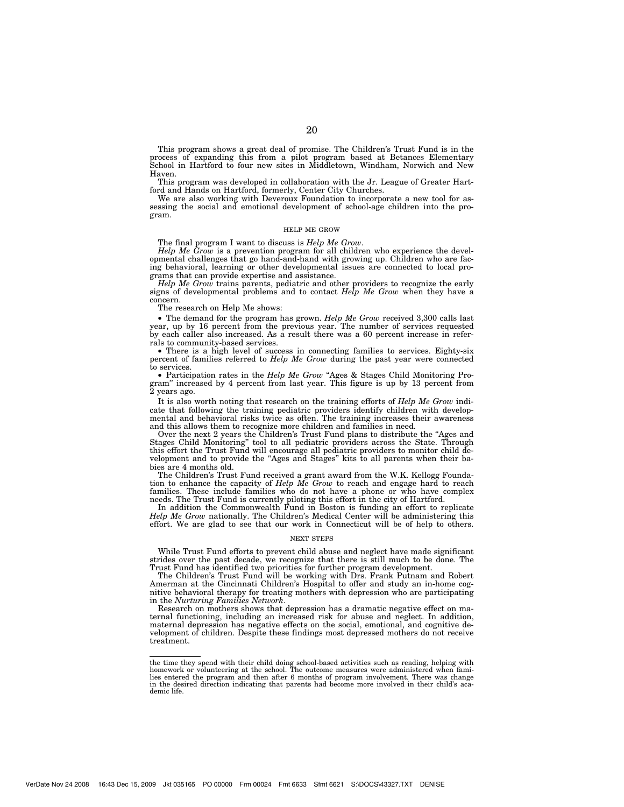This program shows a great deal of promise. The Children's Trust Fund is in the process of expanding this from a pilot program based at Betances Elementary School in Hartford to four new sites in Middletown, Windham, Norwich and New Haven.

This program was developed in collaboration with the Jr. League of Greater Hartford and Hands on Hartford, formerly, Center City Churches.

We are also working with Deveroux Foundation to incorporate a new tool for assessing the social and emotional development of school-age children into the program.

#### HELP ME GROW

The final program I want to discuss is *Help Me Grow*.

*Help Me Grow* is a prevention program for all children who experience the developmental challenges that go hand-and-hand with growing up. Children who are facing behavioral, learning or other developmental issues are connected to local programs that can provide expertise and assistance.

*Help Me Grow* trains parents, pediatric and other providers to recognize the early signs of developmental problems and to contact *Help Me Grow* when they have a concern.

The research on Help Me shows:

• The demand for the program has grown. *Help Me Grow* received 3,300 calls last year, up by 16 percent from the previous year. The number of services requested by each caller also increased. As a result there was a 60 percent increase in referrals to community-based services.

• There is a high level of success in connecting families to services. Eighty-six percent of families referred to *Help Me Grow* during the past year were connected to services.

• Participation rates in the *Help Me Grow* "Ages & Stages Child Monitoring Program" increased by 4 percent from last year. This figure is up by 13 percent from 2 years ago.

It is also worth noting that research on the training efforts of *Help Me Grow* indicate that following the training pediatric providers identify children with developmental and behavioral risks twice as often. The training increases their awareness and this allows them to recognize more children and families in need.

Over the next 2 years the Children's Trust Fund plans to distribute the ''Ages and Stages Child Monitoring'' tool to all pediatric providers across the State. Through this effort the Trust Fund will encourage all pediatric providers to monitor child development and to provide the ''Ages and Stages'' kits to all parents when their babies are 4 months old.

The Children's Trust Fund received a grant award from the W.K. Kellogg Foundation to enhance the capacity of *Help Me Grow* to reach and engage hard to reach families. These include families who do not have a phone or who have complex needs. The Trust Fund is currently piloting this effort in the city of Hartford.

In addition the Commonwealth Fund in Boston is funding an effort to replicate *Help Me Grow* nationally. The Children's Medical Center will be administering this effort. We are glad to see that our work in Connecticut will be of help to others.

#### NEXT STEPS

While Trust Fund efforts to prevent child abuse and neglect have made significant strides over the past decade, we recognize that there is still much to be done. The Trust Fund has identified two priorities for further program development.

The Children's Trust Fund will be working with Drs. Frank Putnam and Robert Amerman at the Cincinnati Children's Hospital to offer and study an in-home cognitive behavioral therapy for treating mothers with depression who are participating in the *Nurturing Families Network*.

Research on mothers shows that depression has a dramatic negative effect on maternal functioning, including an increased risk for abuse and neglect. In addition, maternal depression has negative effects on the social, emotional, and cognitive development of children. Despite these findings most depressed mothers do not receive treatment.

the time they spend with their child doing school-based activities such as reading, helping with homework or volunteering at the school. The outcome measures were administered when families entered the program and then after 6 months of program involvement. There was change in the desired direction indicating that parents had become more involved in their child's academic life.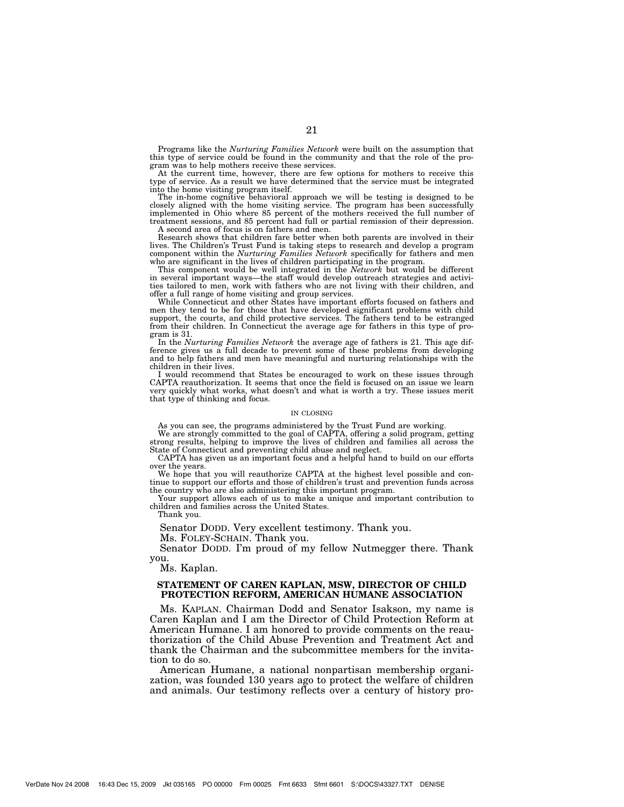Programs like the *Nurturing Families Network* were built on the assumption that this type of service could be found in the community and that the role of the program was to help mothers receive these services.

At the current time, however, there are few options for mothers to receive this type of service. As a result we have determined that the service must be integrated into the home visiting program itself.

The in-home cognitive behavioral approach we will be testing is designed to be closely aligned with the home visiting service. The program has been successfully implemented in Ohio where 85 percent of the mothers received treatment sessions, and 85 percent had full or partial remission of their depression. A second area of focus is on fathers and men.

Research shows that children fare better when both parents are involved in their lives. The Children's Trust Fund is taking steps to research and develop a program component within the *Nurturing Families Network* specifically for fathers and men who are significant in the lives of children participating in the program.

This component would be well integrated in the *Network* but would be different in several important ways—the staff would develop outreach strategies and activities tailored to men, work with fathers who are not living with their children, and offer a full range of home visiting and group services.

While Connecticut and other States have important efforts focused on fathers and men they tend to be for those that have developed significant problems with child support, the courts, and child protective services. The fathers tend to be estranged from their children. In Connecticut the average age for fathers in this type of program is 31.

In the *Nurturing Families Network* the average age of fathers is 21. This age difference gives us a full decade to prevent some of these problems from developing and to help fathers and men have meaningful and nurturing relationships with the children in their lives.

I would recommend that States be encouraged to work on these issues through CAPTA reauthorization. It seems that once the field is focused on an issue we learn very quickly what works, what doesn't and what is worth a try. These issues merit that type of thinking and focus.

#### IN CLOSING

As you can see, the programs administered by the Trust Fund are working. We are strongly committed to the goal of CAPTA, offering a solid program, getting strong results, helping to improve the lives of children and families all across the State of Connecticut and preventing child abuse and neglect.

CAPTA has given us an important focus and a helpful hand to build on our efforts over the years.

We hope that you will reauthorize CAPTA at the highest level possible and continue to support our efforts and those of children's trust and prevention funds across the country who are also administering this important program.

Your support allows each of us to make a unique and important contribution to children and families across the United States.

Thank you.

Senator DODD. Very excellent testimony. Thank you.

Ms. FOLEY-SCHAIN. Thank you.

Senator DODD. I'm proud of my fellow Nutmegger there. Thank you.

Ms. Kaplan.

## **STATEMENT OF CAREN KAPLAN, MSW, DIRECTOR OF CHILD PROTECTION REFORM, AMERICAN HUMANE ASSOCIATION**

Ms. KAPLAN. Chairman Dodd and Senator Isakson, my name is Caren Kaplan and I am the Director of Child Protection Reform at American Humane. I am honored to provide comments on the reauthorization of the Child Abuse Prevention and Treatment Act and thank the Chairman and the subcommittee members for the invitation to do so.

American Humane, a national nonpartisan membership organization, was founded 130 years ago to protect the welfare of children and animals. Our testimony reflects over a century of history pro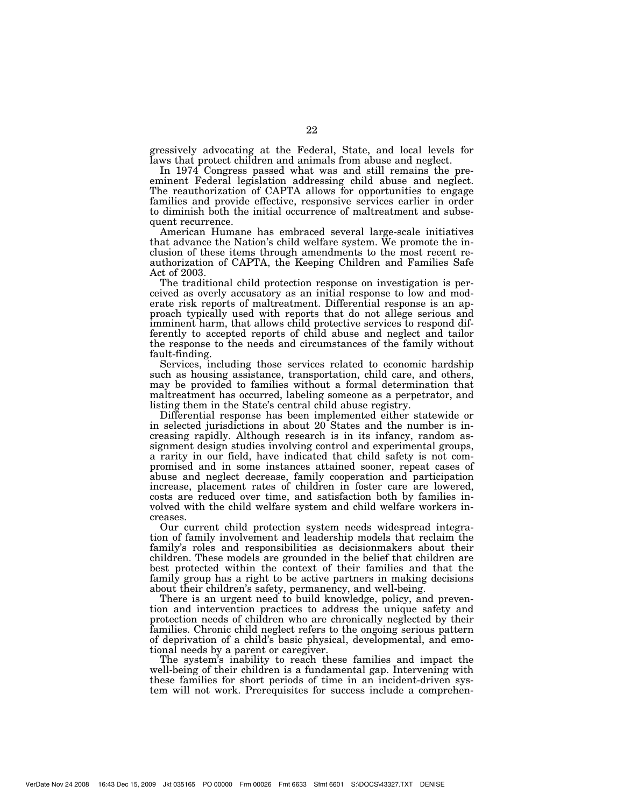gressively advocating at the Federal, State, and local levels for laws that protect children and animals from abuse and neglect.

In 1974 Congress passed what was and still remains the preeminent Federal legislation addressing child abuse and neglect. The reauthorization of CAPTA allows for opportunities to engage families and provide effective, responsive services earlier in order to diminish both the initial occurrence of maltreatment and subsequent recurrence.

American Humane has embraced several large-scale initiatives that advance the Nation's child welfare system. We promote the inclusion of these items through amendments to the most recent reauthorization of CAPTA, the Keeping Children and Families Safe Act of 2003.

The traditional child protection response on investigation is perceived as overly accusatory as an initial response to low and moderate risk reports of maltreatment. Differential response is an approach typically used with reports that do not allege serious and imminent harm, that allows child protective services to respond differently to accepted reports of child abuse and neglect and tailor the response to the needs and circumstances of the family without fault-finding.

Services, including those services related to economic hardship such as housing assistance, transportation, child care, and others, may be provided to families without a formal determination that maltreatment has occurred, labeling someone as a perpetrator, and listing them in the State's central child abuse registry.

Differential response has been implemented either statewide or in selected jurisdictions in about 20 States and the number is increasing rapidly. Although research is in its infancy, random assignment design studies involving control and experimental groups, a rarity in our field, have indicated that child safety is not compromised and in some instances attained sooner, repeat cases of abuse and neglect decrease, family cooperation and participation increase, placement rates of children in foster care are lowered, costs are reduced over time, and satisfaction both by families involved with the child welfare system and child welfare workers increases.

Our current child protection system needs widespread integration of family involvement and leadership models that reclaim the family's roles and responsibilities as decisionmakers about their children. These models are grounded in the belief that children are best protected within the context of their families and that the family group has a right to be active partners in making decisions about their children's safety, permanency, and well-being.

There is an urgent need to build knowledge, policy, and prevention and intervention practices to address the unique safety and protection needs of children who are chronically neglected by their families. Chronic child neglect refers to the ongoing serious pattern of deprivation of a child's basic physical, developmental, and emotional needs by a parent or caregiver.

The system's inability to reach these families and impact the well-being of their children is a fundamental gap. Intervening with these families for short periods of time in an incident-driven system will not work. Prerequisites for success include a comprehen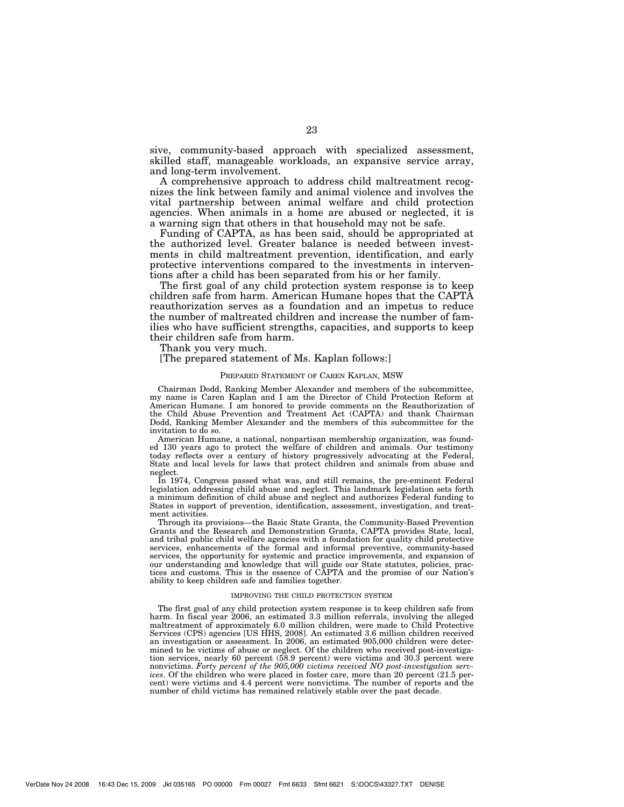sive, community-based approach with specialized assessment, skilled staff, manageable workloads, an expansive service array, and long-term involvement.

A comprehensive approach to address child maltreatment recognizes the link between family and animal violence and involves the vital partnership between animal welfare and child protection agencies. When animals in a home are abused or neglected, it is a warning sign that others in that household may not be safe.

Funding of CAPTA, as has been said, should be appropriated at the authorized level. Greater balance is needed between investments in child maltreatment prevention, identification, and early protective interventions compared to the investments in interventions after a child has been separated from his or her family.

The first goal of any child protection system response is to keep children safe from harm. American Humane hopes that the CAPTA reauthorization serves as a foundation and an impetus to reduce the number of maltreated children and increase the number of families who have sufficient strengths, capacities, and supports to keep their children safe from harm.

Thank you very much.

[The prepared statement of Ms. Kaplan follows:]

### PREPARED STATEMENT OF CAREN KAPLAN, MSW

Chairman Dodd, Ranking Member Alexander and members of the subcommittee, my name is Caren Kaplan and I am the Director of Child Protection Reform at American Humane. I am honored to provide comments on the Reauthorization of the Child Abuse Prevention and Treatment Act (CAPTA) and thank Chairman Dodd, Ranking Member Alexander and the members of this subcommittee for the invitation to do so.

American Humane, a national, nonpartisan membership organization, was founded 130 years ago to protect the welfare of children and animals. Our testimony today reflects over a century of history progressively advocating at the Federal, State and local levels for laws that protect children and animals from abuse and neglect.

In 1974, Congress passed what was, and still remains, the pre-eminent Federal legislation addressing child abuse and neglect. This landmark legislation sets forth a minimum definition of child abuse and neglect and authorizes Federal funding to States in support of prevention, identification, assessment, investigation, and treatment activities.

Through its provisions—the Basic State Grants, the Community-Based Prevention Grants and the Research and Demonstration Grants, CAPTA provides State, local, and tribal public child welfare agencies with a foundation for quality child protective services, enhancements of the formal and informal preventive, community-based services, the opportunity for systemic and practice improvements, and expansion of our understanding and knowledge that will guide our State statutes, policies, practices and customs. This is the essence of CAPTA and the promise of our Nation's ability to keep children safe and families together.

#### IMPROVING THE CHILD PROTECTION SYSTEM

The first goal of any child protection system response is to keep children safe from harm. In fiscal year 2006, an estimated 3.3 million referrals, involving the alleged maltreatment of approximately 6.0 million children, were made to Child Protective Services (CPS) agencies [US HHS, 2008]. An estimated 3.6 million children received an investigation or assessment. In 2006, an estimated 905,000 children were determined to be victims of abuse or neglect. Of the children who received post-investigation services, nearly 60 percent (58.9 percent) were victims and 30.3 percent were nonvictims. *Forty percent of the 905,000 victims received NO post-investigation services*. Of the children who were placed in foster care, more than 20 percent (21.5 percent) were victims and 4.4 percent were nonvictims. The number of reports and the number of child victims has remained relatively stable over the past decade.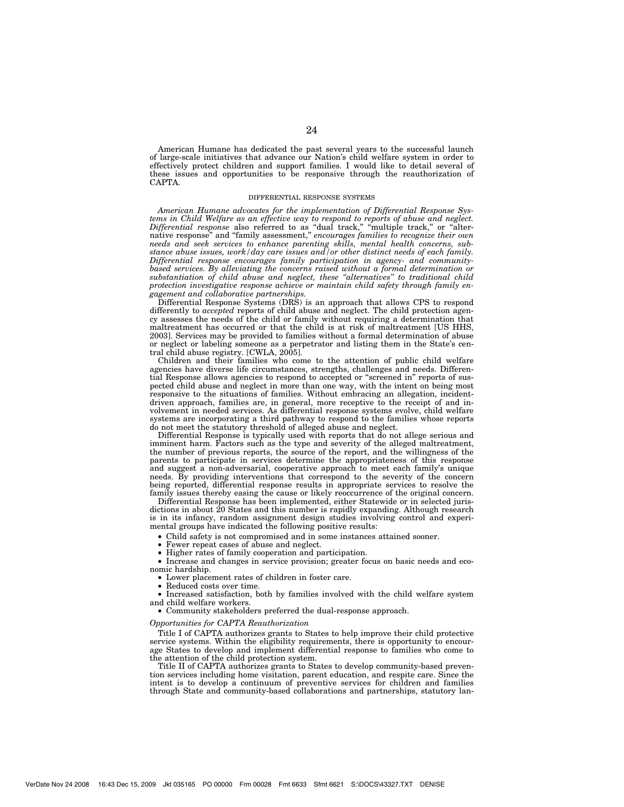American Humane has dedicated the past several years to the successful launch of large-scale initiatives that advance our Nation's child welfare system in order to effectively protect children and support families. I would like to detail several of these issues and opportunities to be responsive through the reauthorization of CAPTA.

#### DIFFERENTIAL RESPONSE SYSTEMS

*American Humane advocates for the implementation of Differential Response Systems in Child Welfare as an effective way to respond to reports of abuse and neglect. Differential response* also referred to as ''dual track,'' ''multiple track,'' or ''alternative response'' and ''family assessment,'' *encourages families to recognize their own needs and seek services to enhance parenting skills, mental health concerns, substance abuse issues, work/day care issues and/or other distinct needs of each family. Differential response encourages family participation in agency- and community*based services. By alleviating the concerns raised without a formal determination or *substantiation of child abuse and neglect, these ''alternatives'' to traditional child protection investigative response achieve or maintain child safety through family engagement and collaborative partnerships.* 

Differential Response Systems (DRS) is an approach that allows CPS to respond differently to *accepted* reports of child abuse and neglect. The child protection agency assesses the needs of the child or family without requiring a determination that maltreatment has occurred or that the child is at risk of maltreatment [US HHS, 2003]. Services may be provided to families without a formal determination of abuse or neglect or labeling someone as a perpetrator and listing them in the State's central child abuse registry. [CWLA, 2005].

Children and their families who come to the attention of public child welfare agencies have diverse life circumstances, strengths, challenges and needs. Differential Response allows agencies to respond to accepted or ''screened in'' reports of suspected child abuse and neglect in more than one way, with the intent on being most responsive to the situations of families. Without embracing an allegation, incidentdriven approach, families are, in general, more receptive to the receipt of and involvement in needed services. As differential response systems evolve, child welfare systems are incorporating a third pathway to respond to the families whose reports do not meet the statutory threshold of alleged abuse and neglect.

Differential Response is typically used with reports that do not allege serious and imminent harm. Factors such as the type and severity of the alleged maltreatment, the number of previous reports, the source of the report, and the willingness of the parents to participate in services determine the appropriateness of this response and suggest a non-adversarial, cooperative approach to meet each family's unique needs. By providing interventions that correspond to the severity of the concern being reported, differential response results in appropriate services to resolve the family issues thereby easing the cause or likely reoccurrence of the original concern.

Differential Response has been implemented, either Statewide or in selected jurisdictions in about 20 States and this number is rapidly expanding. Although research is in its infancy, random assignment design studies involving control and experimental groups have indicated the following positive results:

- Child safety is not compromised and in some instances attained sooner.
- Fewer repeat cases of abuse and neglect.
- Higher rates of family cooperation and participation.

• Increase and changes in service provision; greater focus on basic needs and economic hardship.

• Lower placement rates of children in foster care.

• Reduced costs over time.

• Increased satisfaction, both by families involved with the child welfare system and child welfare workers.

• Community stakeholders preferred the dual-response approach.

#### *Opportunities for CAPTA Reauthorization*

Title I of CAPTA authorizes grants to States to help improve their child protective service systems. Within the eligibility requirements, there is opportunity to encourage States to develop and implement differential response to families who come to the attention of the child protection system.

Title II of CAPTA authorizes grants to States to develop community-based prevention services including home visitation, parent education, and respite care. Since the intent is to develop a continuum of preventive services for children and families through State and community-based collaborations and partnerships, statutory lan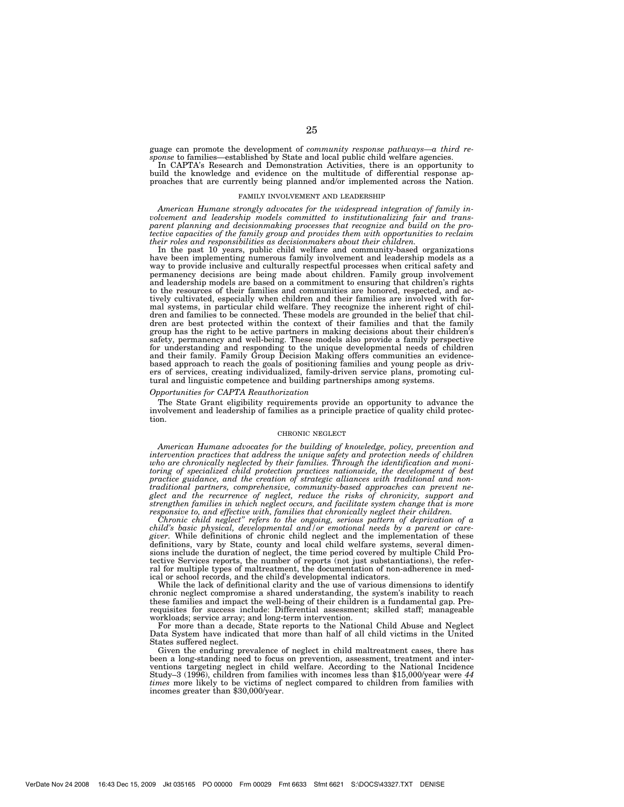guage can promote the development of *community response pathways—a third response* to families—established by State and local public child welfare agencies.

In CAPTA's Research and Demonstration Activities, there is an opportunity to build the knowledge and evidence on the multitude of differential response approaches that are currently being planned and/or implemented across the Nation.

#### FAMILY INVOLVEMENT AND LEADERSHIP

*American Humane strongly advocates for the widespread integration of family in*volvement and leadership models committed to institutionalizing fair and trans*parent planning and decisionmaking processes that recognize and build on the protective capacities of the family group and provides them with opportunities to reclaim their roles and responsibilities as decisionmakers about their children.* 

In the past 10 years, public child welfare and community-based organizations have been implementing numerous family involvement and leadership models as a way to provide inclusive and culturally respectful processes when critical safety and permanency decisions are being made about children. Family group involvement and leadership models are based on a commitment to ensuring that children's rights to the resources of their families and communities are honored, respected, and actively cultivated, especially when children and their families are involved with formal systems, in particular child welfare. They recognize the inherent right of children and families to be connected. These models are grounded in the belief that children are best protected within the context of their families and that the family group has the right to be active partners in making decisions about their children's safety, permanency and well-being. These models also provide a family perspective for understanding and responding to the unique developmental needs of children and their family. Family Group Decision Making offers communities an evidencebased approach to reach the goals of positioning families and young people as drivers of services, creating individualized, family-driven service plans, promoting cultural and linguistic competence and building partnerships among systems.

#### *Opportunities for CAPTA Reauthorization*

The State Grant eligibility requirements provide an opportunity to advance the involvement and leadership of families as a principle practice of quality child protection.

#### CHRONIC NEGLECT

*American Humane advocates for the building of knowledge, policy, prevention and intervention practices that address the unique safety and protection needs of children who are chronically neglected by their families. Through the identification and monitoring of specialized child protection practices nationwide, the development of best practice guidance, and the creation of strategic alliances with traditional and nontraditional partners, comprehensive, community-based approaches can prevent neglect and the recurrence of neglect, reduce the risks of chronicity, support and strengthen families in which neglect occurs, and facilitate system change that is more responsive to, and effective with, families that chronically neglect their children.* 

*Chronic child neglect'' refers to the ongoing, serious pattern of deprivation of a child's basic physical, developmental and/or emotional needs by a parent or caregiver.* While definitions of chronic child neglect and the implementation of these definitions, vary by State, county and local child welfare systems, several dimensions include the duration of neglect, the time period covered by multiple Child Protective Services reports, the number of reports (not just substantiations), the referral for multiple types of maltreatment, the documentation of non-adherence in medical or school records, and the child's developmental indicators.

While the lack of definitional clarity and the use of various dimensions to identify chronic neglect compromise a shared understanding, the system's inability to reach these families and impact the well-being of their children is a fundamental gap. Prerequisites for success include: Differential assessment; skilled staff; manageable workloads; service array; and long-term intervention.

For more than a decade, State reports to the National Child Abuse and Neglect Data System have indicated that more than half of all child victims in the United States suffered neglect.

Given the enduring prevalence of neglect in child maltreatment cases, there has been a long-standing need to focus on prevention, assessment, treatment and interventions targeting neglect in child welfare. According to the National Incidence Study–3 (1996), children from families with incomes less than \$15,000/year were *44 times* more likely to be victims of neglect compared to children from families with incomes greater than \$30,000/year.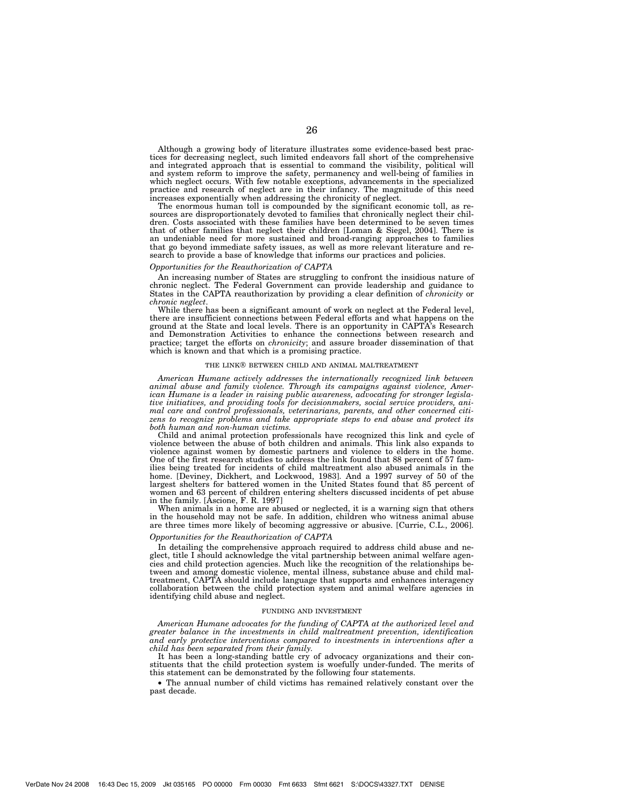Although a growing body of literature illustrates some evidence-based best practices for decreasing neglect, such limited endeavors fall short of the comprehensive and integrated approach that is essential to command the visibility, political will and system reform to improve the safety, permanency and well-being of families in which neglect occurs. With few notable exceptions, advancements in the specialized practice and research of neglect are in their infancy. The magnitude of this need increases exponentially when addressing the chronicity of neglect.

The enormous human toll is compounded by the significant economic toll, as resources are disproportionately devoted to families that chronically neglect their children. Costs associated with these families have been determined to be seven times that of other families that neglect their children [Loman & Siegel, 2004]. There is an undeniable need for more sustained and broad-ranging approaches to families that go beyond immediate safety issues, as well as more relevant literature and research to provide a base of knowledge that informs our practices and policies.

#### *Opportunities for the Reauthorization of CAPTA*

An increasing number of States are struggling to confront the insidious nature of chronic neglect. The Federal Government can provide leadership and guidance to States in the CAPTA reauthorization by providing a clear definition of *chronicity* or *chronic neglect*.

While there has been a significant amount of work on neglect at the Federal level, there are insufficient connections between Federal efforts and what happens on the ground at the State and local levels. There is an opportunity in CAPTA's Research and Demonstration Activities to enhance the connections between research and practice; target the efforts on *chronicity*; and assure broader dissemination of that which is known and that which is a promising practice.

#### THE LINK® BETWEEN CHILD AND ANIMAL MALTREATMENT

*American Humane actively addresses the internationally recognized link between animal abuse and family violence. Through its campaigns against violence, American Humane is a leader in raising public awareness, advocating for stronger legislative initiatives, and providing tools for decisionmakers, social service providers, animal care and control professionals, veterinarians, parents, and other concerned citizens to recognize problems and take appropriate steps to end abuse and protect its both human and non-human victims.* 

Child and animal protection professionals have recognized this link and cycle of violence between the abuse of both children and animals. This link also expands to violence against women by domestic partners and violence to elders in the home. One of the first research studies to address the link found that 88 percent of 57 families being treated for incidents of child maltreatment also abused animals in the home. [Deviney, Dickhert, and Lockwood, 1983]. And a 1997 survey of 50 of the largest shelters for battered women in the United States found that 85 percent of women and 63 percent of children entering shelters discussed incidents of pet abuse in the family. [Ascione, F. R. 1997]

When animals in a home are abused or neglected, it is a warning sign that others in the household may not be safe. In addition, children who witness animal abuse are three times more likely of becoming aggressive or abusive. [Currie, C.L., 2006].

#### *Opportunities for the Reauthorization of CAPTA*

In detailing the comprehensive approach required to address child abuse and neglect, title I should acknowledge the vital partnership between animal welfare agencies and child protection agencies. Much like the recognition of the relationships between and among domestic violence, mental illness, substance abuse and child maltreatment, CAPTA should include language that supports and enhances interagency collaboration between the child protection system and animal welfare agencies in identifying child abuse and neglect.

#### FUNDING AND INVESTMENT

*American Humane advocates for the funding of CAPTA at the authorized level and greater balance in the investments in child maltreatment prevention, identification and early protective interventions compared to investments in interventions after a child has been separated from their family.* 

It has been a long-standing battle cry of advocacy organizations and their constituents that the child protection system is woefully under-funded. The merits of this statement can be demonstrated by the following four statements.

• The annual number of child victims has remained relatively constant over the past decade.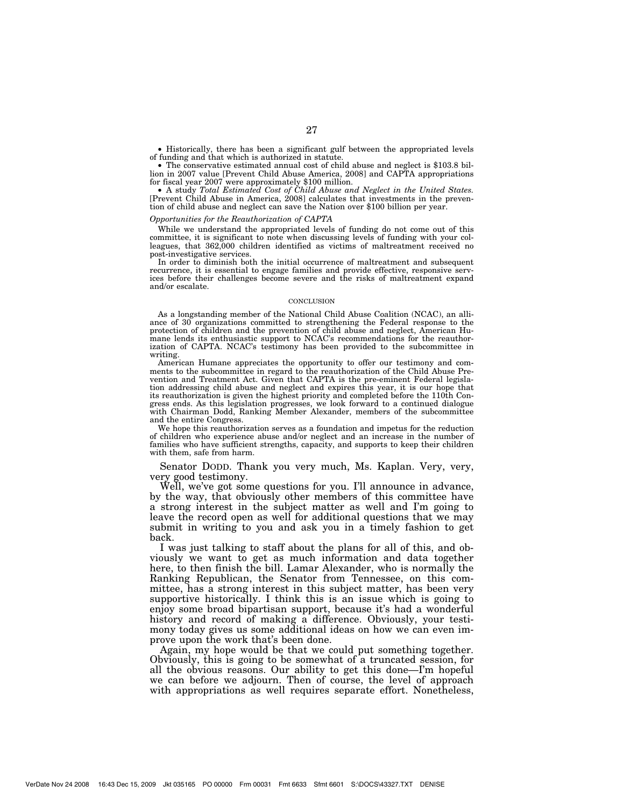• Historically, there has been a significant gulf between the appropriated levels of funding and that which is authorized in statute.

• The conservative estimated annual cost of child abuse and neglect is \$103.8 billion in 2007 value [Prevent Child Abuse America, 2008] and CAPTA appropriations for fiscal year 2007 were approximately \$100 million.

• A study *Total Estimated Cost of Child Abuse and Neglect in the United States.*  [Prevent Child Abuse in America, 2008] calculates that investments in the prevention of child abuse and neglect can save the Nation over \$100 billion per year.

## *Opportunities for the Reauthorization of CAPTA*

While we understand the appropriated levels of funding do not come out of this committee, it is significant to note when discussing levels of funding with your colleagues, that 362,000 children identified as victims of maltreatment received no post-investigative services.

In order to diminish both the initial occurrence of maltreatment and subsequent recurrence, it is essential to engage families and provide effective, responsive services before their challenges become severe and the risks of maltreatment expand and/or escalate.

### **CONCLUSION**

As a longstanding member of the National Child Abuse Coalition (NCAC), an alliance of 30 organizations committed to strengthening the Federal response to the protection of children and the prevention of child abuse and neglect, American Humane lends its enthusiastic support to NCAC's recommendations for the reauthorization of CAPTA. NCAC's testimony has been provided to the subcommittee in writing.

American Humane appreciates the opportunity to offer our testimony and comments to the subcommittee in regard to the reauthorization of the Child Abuse Prevention and Treatment Act. Given that CAPTA is the pre-eminent Federal legislation addressing child abuse and neglect and expires this year, it is our hope that its reauthorization is given the highest priority and completed before the 110th Congress ends. As this legislation progresses, we look forward to a continued dialogue with Chairman Dodd, Ranking Member Alexander, members of the subcommittee and the entire Congress.

We hope this reauthorization serves as a foundation and impetus for the reduction of children who experience abuse and/or neglect and an increase in the number of families who have sufficient strengths, capacity, and supports to keep their children with them, safe from harm.

Senator DODD. Thank you very much, Ms. Kaplan. Very, very, very good testimony.

Well, we've got some questions for you. I'll announce in advance, by the way, that obviously other members of this committee have a strong interest in the subject matter as well and I'm going to leave the record open as well for additional questions that we may submit in writing to you and ask you in a timely fashion to get back.

I was just talking to staff about the plans for all of this, and obviously we want to get as much information and data together here, to then finish the bill. Lamar Alexander, who is normally the Ranking Republican, the Senator from Tennessee, on this committee, has a strong interest in this subject matter, has been very supportive historically. I think this is an issue which is going to enjoy some broad bipartisan support, because it's had a wonderful history and record of making a difference. Obviously, your testimony today gives us some additional ideas on how we can even improve upon the work that's been done.

Again, my hope would be that we could put something together. Obviously, this is going to be somewhat of a truncated session, for all the obvious reasons. Our ability to get this done—I'm hopeful we can before we adjourn. Then of course, the level of approach with appropriations as well requires separate effort. Nonetheless,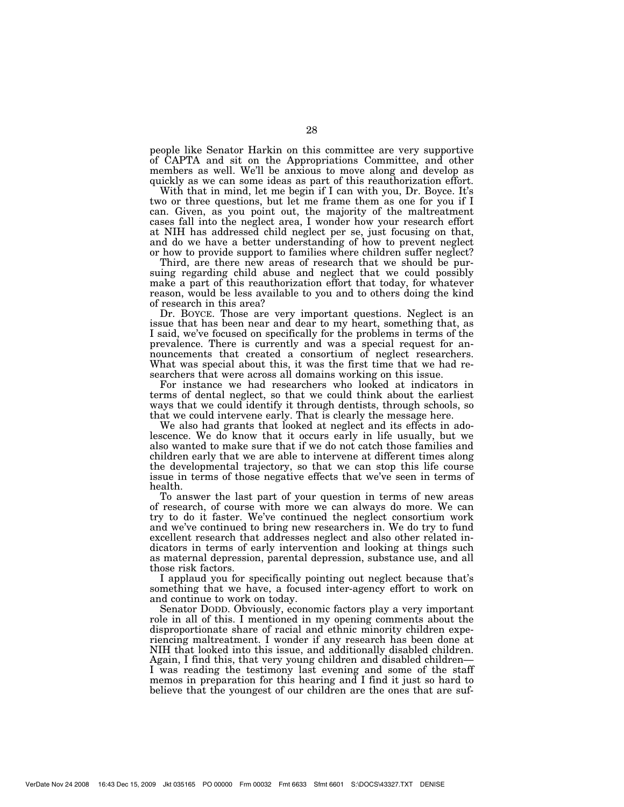people like Senator Harkin on this committee are very supportive of CAPTA and sit on the Appropriations Committee, and other members as well. We'll be anxious to move along and develop as quickly as we can some ideas as part of this reauthorization effort.

With that in mind, let me begin if I can with you, Dr. Boyce. It's two or three questions, but let me frame them as one for you if I can. Given, as you point out, the majority of the maltreatment cases fall into the neglect area, I wonder how your research effort at NIH has addressed child neglect per se, just focusing on that, and do we have a better understanding of how to prevent neglect or how to provide support to families where children suffer neglect?

Third, are there new areas of research that we should be pursuing regarding child abuse and neglect that we could possibly make a part of this reauthorization effort that today, for whatever reason, would be less available to you and to others doing the kind of research in this area?

Dr. BOYCE. Those are very important questions. Neglect is an issue that has been near and dear to my heart, something that, as I said, we've focused on specifically for the problems in terms of the prevalence. There is currently and was a special request for announcements that created a consortium of neglect researchers. What was special about this, it was the first time that we had researchers that were across all domains working on this issue.

For instance we had researchers who looked at indicators in terms of dental neglect, so that we could think about the earliest ways that we could identify it through dentists, through schools, so that we could intervene early. That is clearly the message here.

We also had grants that looked at neglect and its effects in adolescence. We do know that it occurs early in life usually, but we also wanted to make sure that if we do not catch those families and children early that we are able to intervene at different times along the developmental trajectory, so that we can stop this life course issue in terms of those negative effects that we've seen in terms of health.

To answer the last part of your question in terms of new areas of research, of course with more we can always do more. We can try to do it faster. We've continued the neglect consortium work and we've continued to bring new researchers in. We do try to fund excellent research that addresses neglect and also other related indicators in terms of early intervention and looking at things such as maternal depression, parental depression, substance use, and all those risk factors.

I applaud you for specifically pointing out neglect because that's something that we have, a focused inter-agency effort to work on and continue to work on today.

Senator DODD. Obviously, economic factors play a very important role in all of this. I mentioned in my opening comments about the disproportionate share of racial and ethnic minority children experiencing maltreatment. I wonder if any research has been done at NIH that looked into this issue, and additionally disabled children. Again, I find this, that very young children and disabled children— I was reading the testimony last evening and some of the staff memos in preparation for this hearing and I find it just so hard to believe that the youngest of our children are the ones that are suf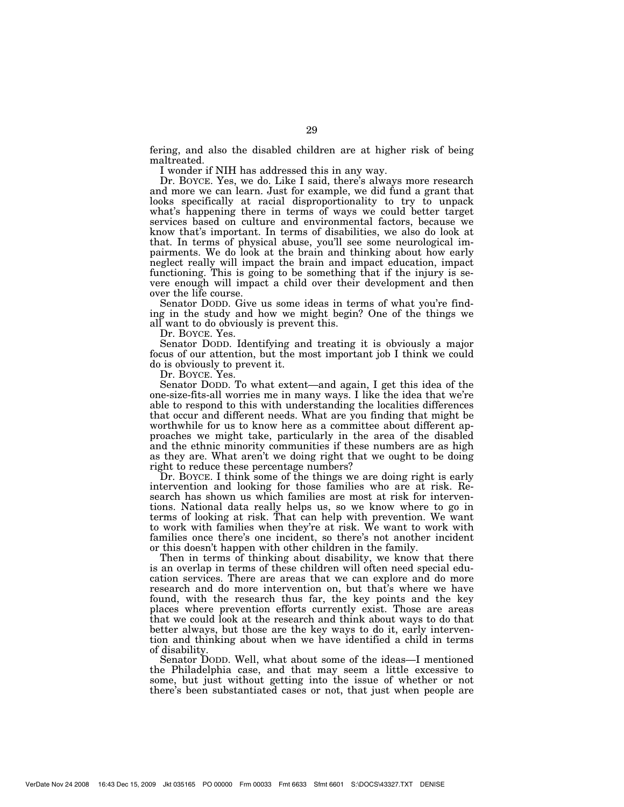fering, and also the disabled children are at higher risk of being maltreated.

I wonder if NIH has addressed this in any way.

Dr. BOYCE. Yes, we do. Like I said, there's always more research and more we can learn. Just for example, we did fund a grant that looks specifically at racial disproportionality to try to unpack what's happening there in terms of ways we could better target services based on culture and environmental factors, because we know that's important. In terms of disabilities, we also do look at that. In terms of physical abuse, you'll see some neurological impairments. We do look at the brain and thinking about how early neglect really will impact the brain and impact education, impact functioning. This is going to be something that if the injury is severe enough will impact a child over their development and then over the life course.

Senator DODD. Give us some ideas in terms of what you're finding in the study and how we might begin? One of the things we all want to do obviously is prevent this.

Dr. BOYCE. Yes.

Senator DODD. Identifying and treating it is obviously a major focus of our attention, but the most important job I think we could do is obviously to prevent it.

Dr. BOYCE. Yes.

Senator DODD. To what extent—and again, I get this idea of the one-size-fits-all worries me in many ways. I like the idea that we're able to respond to this with understanding the localities differences that occur and different needs. What are you finding that might be worthwhile for us to know here as a committee about different approaches we might take, particularly in the area of the disabled and the ethnic minority communities if these numbers are as high as they are. What aren't we doing right that we ought to be doing right to reduce these percentage numbers?

Dr. BOYCE. I think some of the things we are doing right is early intervention and looking for those families who are at risk. Research has shown us which families are most at risk for interventions. National data really helps us, so we know where to go in terms of looking at risk. That can help with prevention. We want to work with families when they're at risk. We want to work with families once there's one incident, so there's not another incident or this doesn't happen with other children in the family.

Then in terms of thinking about disability, we know that there is an overlap in terms of these children will often need special education services. There are areas that we can explore and do more research and do more intervention on, but that's where we have found, with the research thus far, the key points and the key places where prevention efforts currently exist. Those are areas that we could look at the research and think about ways to do that better always, but those are the key ways to do it, early intervention and thinking about when we have identified a child in terms of disability.

Senator DODD. Well, what about some of the ideas—I mentioned the Philadelphia case, and that may seem a little excessive to some, but just without getting into the issue of whether or not there's been substantiated cases or not, that just when people are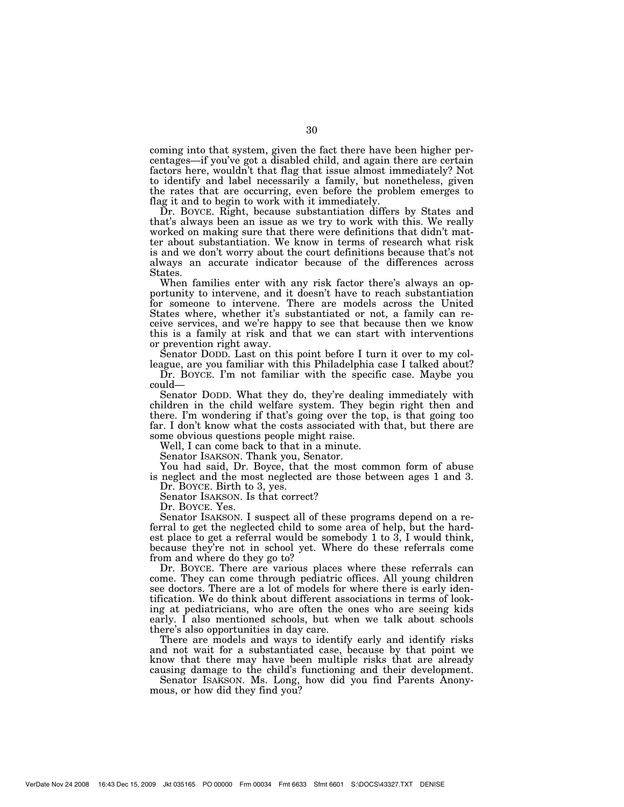coming into that system, given the fact there have been higher percentages—if you've got a disabled child, and again there are certain factors here, wouldn't that flag that issue almost immediately? Not to identify and label necessarily a family, but nonetheless, given the rates that are occurring, even before the problem emerges to flag it and to begin to work with it immediately.

Dr. BOYCE. Right, because substantiation differs by States and that's always been an issue as we try to work with this. We really worked on making sure that there were definitions that didn't matter about substantiation. We know in terms of research what risk is and we don't worry about the court definitions because that's not always an accurate indicator because of the differences across States.

When families enter with any risk factor there's always an opportunity to intervene, and it doesn't have to reach substantiation for someone to intervene. There are models across the United States where, whether it's substantiated or not, a family can receive services, and we're happy to see that because then we know this is a family at risk and that we can start with interventions or prevention right away.

Senator DODD. Last on this point before I turn it over to my colleague, are you familiar with this Philadelphia case I talked about?

Dr. BOYCE. I'm not familiar with the specific case. Maybe you could—

Senator DODD. What they do, they're dealing immediately with children in the child welfare system. They begin right then and there. I'm wondering if that's going over the top, is that going too far. I don't know what the costs associated with that, but there are some obvious questions people might raise.

Well, I can come back to that in a minute.

Senator ISAKSON. Thank you, Senator.

You had said, Dr. Boyce, that the most common form of abuse is neglect and the most neglected are those between ages 1 and 3.

Dr. BOYCE. Birth to 3, yes.

Senator ISAKSON. Is that correct?

Dr. BOYCE. Yes.

Senator ISAKSON. I suspect all of these programs depend on a referral to get the neglected child to some area of help, but the hardest place to get a referral would be somebody 1 to 3, I would think, because they're not in school yet. Where do these referrals come from and where do they go to?

Dr. BOYCE. There are various places where these referrals can come. They can come through pediatric offices. All young children see doctors. There are a lot of models for where there is early identification. We do think about different associations in terms of looking at pediatricians, who are often the ones who are seeing kids early. I also mentioned schools, but when we talk about schools there's also opportunities in day care.

There are models and ways to identify early and identify risks and not wait for a substantiated case, because by that point we know that there may have been multiple risks that are already causing damage to the child's functioning and their development.

Senator ISAKSON. Ms. Long, how did you find Parents Anonymous, or how did they find you?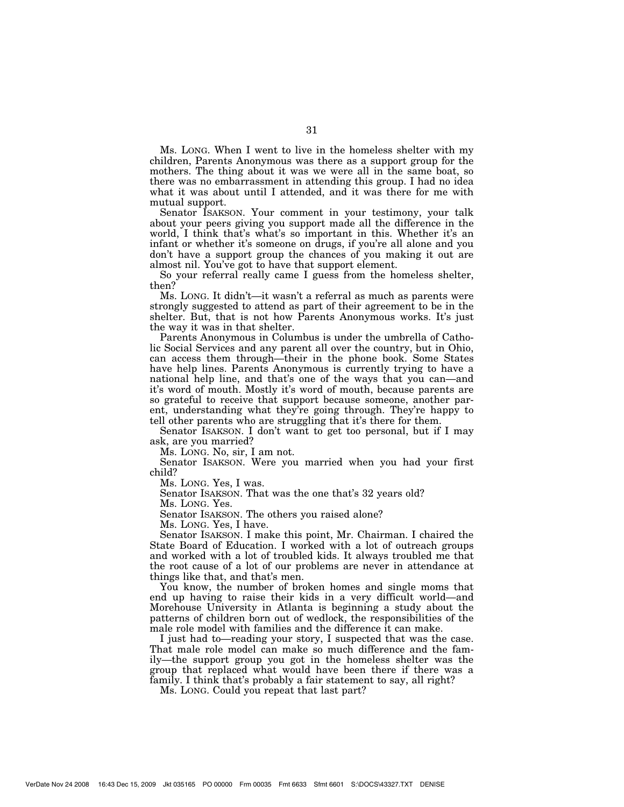Ms. LONG. When I went to live in the homeless shelter with my children, Parents Anonymous was there as a support group for the mothers. The thing about it was we were all in the same boat, so there was no embarrassment in attending this group. I had no idea what it was about until I attended, and it was there for me with mutual support.

Senator ISAKSON. Your comment in your testimony, your talk about your peers giving you support made all the difference in the world, I think that's what's so important in this. Whether it's an infant or whether it's someone on drugs, if you're all alone and you don't have a support group the chances of you making it out are almost nil. You've got to have that support element.

So your referral really came I guess from the homeless shelter, then?

Ms. LONG. It didn't—it wasn't a referral as much as parents were strongly suggested to attend as part of their agreement to be in the shelter. But, that is not how Parents Anonymous works. It's just the way it was in that shelter.

Parents Anonymous in Columbus is under the umbrella of Catholic Social Services and any parent all over the country, but in Ohio, can access them through—their in the phone book. Some States have help lines. Parents Anonymous is currently trying to have a national help line, and that's one of the ways that you can—and it's word of mouth. Mostly it's word of mouth, because parents are so grateful to receive that support because someone, another parent, understanding what they're going through. They're happy to tell other parents who are struggling that it's there for them.

Senator ISAKSON. I don't want to get too personal, but if I may ask, are you married?

Ms. LONG. No, sir, I am not.

Senator ISAKSON. Were you married when you had your first child?

Ms. LONG. Yes, I was.

Senator ISAKSON. That was the one that's 32 years old?

Ms. LONG. Yes.

Senator ISAKSON. The others you raised alone?

Ms. LONG. Yes, I have.

Senator ISAKSON. I make this point, Mr. Chairman. I chaired the State Board of Education. I worked with a lot of outreach groups and worked with a lot of troubled kids. It always troubled me that the root cause of a lot of our problems are never in attendance at things like that, and that's men.

You know, the number of broken homes and single moms that end up having to raise their kids in a very difficult world—and Morehouse University in Atlanta is beginning a study about the patterns of children born out of wedlock, the responsibilities of the male role model with families and the difference it can make.

I just had to—reading your story, I suspected that was the case. That male role model can make so much difference and the family—the support group you got in the homeless shelter was the group that replaced what would have been there if there was a family. I think that's probably a fair statement to say, all right?

Ms. LONG. Could you repeat that last part?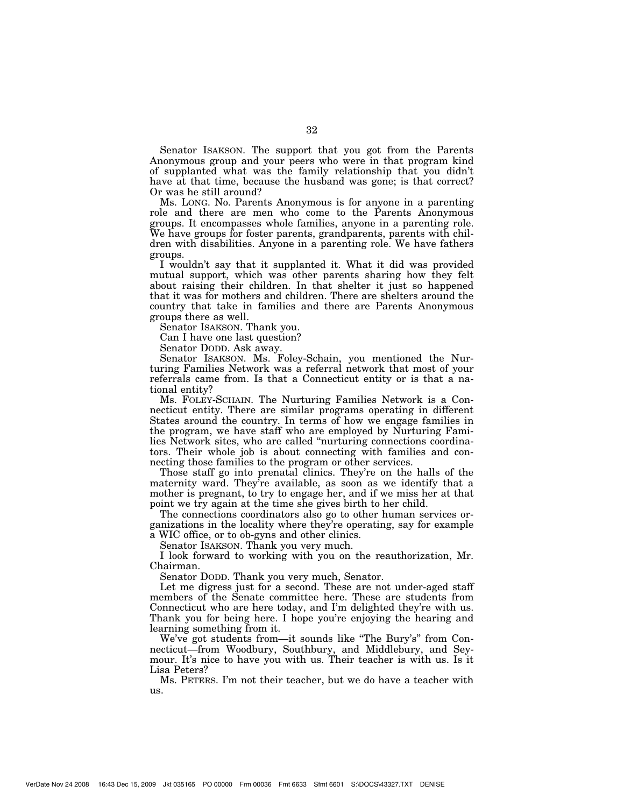Senator ISAKSON. The support that you got from the Parents Anonymous group and your peers who were in that program kind of supplanted what was the family relationship that you didn't have at that time, because the husband was gone; is that correct? Or was he still around?

Ms. LONG. No. Parents Anonymous is for anyone in a parenting role and there are men who come to the Parents Anonymous groups. It encompasses whole families, anyone in a parenting role. We have groups for foster parents, grandparents, parents with children with disabilities. Anyone in a parenting role. We have fathers groups.

I wouldn't say that it supplanted it. What it did was provided mutual support, which was other parents sharing how they felt about raising their children. In that shelter it just so happened that it was for mothers and children. There are shelters around the country that take in families and there are Parents Anonymous groups there as well.

Senator ISAKSON. Thank you.

Can I have one last question?

Senator DODD. Ask away.

Senator ISAKSON. Ms. Foley-Schain, you mentioned the Nurturing Families Network was a referral network that most of your referrals came from. Is that a Connecticut entity or is that a national entity?

Ms. FOLEY-SCHAIN. The Nurturing Families Network is a Connecticut entity. There are similar programs operating in different States around the country. In terms of how we engage families in the program, we have staff who are employed by Nurturing Families Network sites, who are called ''nurturing connections coordinators. Their whole job is about connecting with families and connecting those families to the program or other services.

Those staff go into prenatal clinics. They're on the halls of the maternity ward. They're available, as soon as we identify that a mother is pregnant, to try to engage her, and if we miss her at that point we try again at the time she gives birth to her child.

The connections coordinators also go to other human services organizations in the locality where they're operating, say for example a WIC office, or to ob-gyns and other clinics.

Senator ISAKSON. Thank you very much.

I look forward to working with you on the reauthorization, Mr. Chairman.

Senator DODD. Thank you very much, Senator.

Let me digress just for a second. These are not under-aged staff members of the Senate committee here. These are students from Connecticut who are here today, and I'm delighted they're with us. Thank you for being here. I hope you're enjoying the hearing and learning something from it.

We've got students from—it sounds like "The Bury's" from Connecticut—from Woodbury, Southbury, and Middlebury, and Seymour. It's nice to have you with us. Their teacher is with us. Is it Lisa Peters?

Ms. PETERS. I'm not their teacher, but we do have a teacher with us.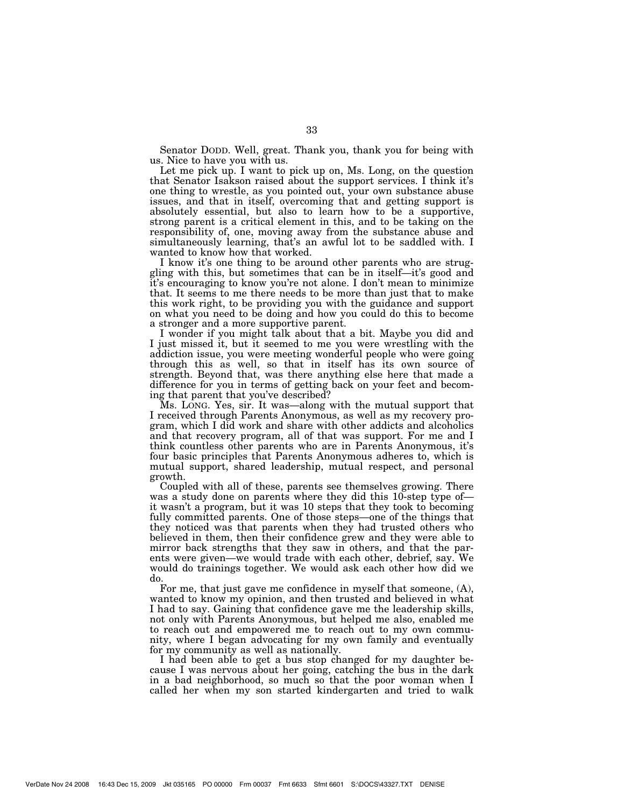Senator DODD. Well, great. Thank you, thank you for being with us. Nice to have you with us.

Let me pick up. I want to pick up on, Ms. Long, on the question that Senator Isakson raised about the support services. I think it's one thing to wrestle, as you pointed out, your own substance abuse issues, and that in itself, overcoming that and getting support is absolutely essential, but also to learn how to be a supportive, strong parent is a critical element in this, and to be taking on the responsibility of, one, moving away from the substance abuse and simultaneously learning, that's an awful lot to be saddled with. I wanted to know how that worked.

I know it's one thing to be around other parents who are struggling with this, but sometimes that can be in itself—it's good and it's encouraging to know you're not alone. I don't mean to minimize that. It seems to me there needs to be more than just that to make this work right, to be providing you with the guidance and support on what you need to be doing and how you could do this to become a stronger and a more supportive parent.

I wonder if you might talk about that a bit. Maybe you did and I just missed it, but it seemed to me you were wrestling with the addiction issue, you were meeting wonderful people who were going through this as well, so that in itself has its own source of strength. Beyond that, was there anything else here that made a difference for you in terms of getting back on your feet and becoming that parent that you've described?

Ms. LONG. Yes, sir. It was—along with the mutual support that I received through Parents Anonymous, as well as my recovery program, which I did work and share with other addicts and alcoholics and that recovery program, all of that was support. For me and I think countless other parents who are in Parents Anonymous, it's four basic principles that Parents Anonymous adheres to, which is mutual support, shared leadership, mutual respect, and personal growth.

Coupled with all of these, parents see themselves growing. There was a study done on parents where they did this 10-step type of it wasn't a program, but it was 10 steps that they took to becoming fully committed parents. One of those steps—one of the things that they noticed was that parents when they had trusted others who believed in them, then their confidence grew and they were able to mirror back strengths that they saw in others, and that the parents were given—we would trade with each other, debrief, say. We would do trainings together. We would ask each other how did we do.

For me, that just gave me confidence in myself that someone, (A), wanted to know my opinion, and then trusted and believed in what I had to say. Gaining that confidence gave me the leadership skills, not only with Parents Anonymous, but helped me also, enabled me to reach out and empowered me to reach out to my own community, where I began advocating for my own family and eventually for my community as well as nationally.

I had been able to get a bus stop changed for my daughter because I was nervous about her going, catching the bus in the dark in a bad neighborhood, so much so that the poor woman when I called her when my son started kindergarten and tried to walk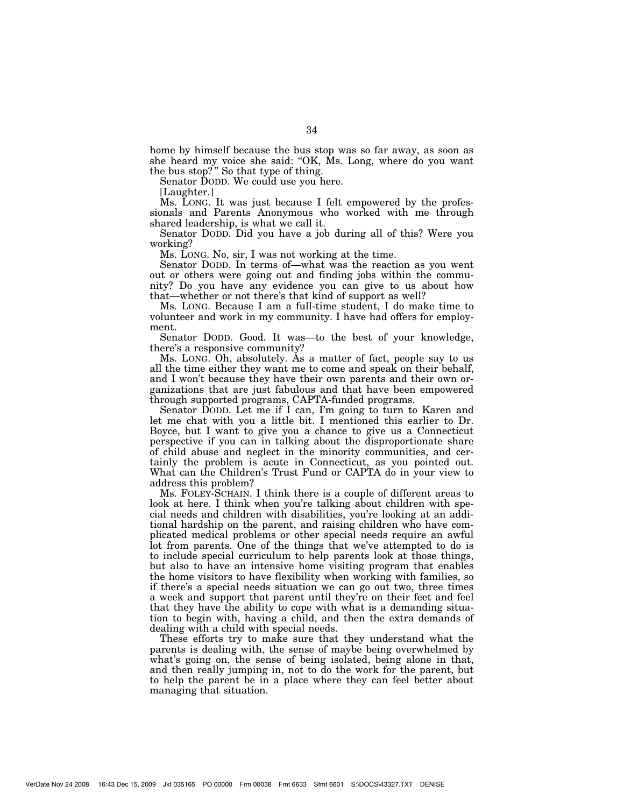home by himself because the bus stop was so far away, as soon as she heard my voice she said: ''OK, Ms. Long, where do you want the bus stop? '' So that type of thing.

Senator DODD. We could use you here.

[Laughter.]

Ms. LONG. It was just because I felt empowered by the professionals and Parents Anonymous who worked with me through shared leadership, is what we call it.

Senator DODD. Did you have a job during all of this? Were you working?

Ms. LONG. No, sir, I was not working at the time.

Senator DODD. In terms of—what was the reaction as you went out or others were going out and finding jobs within the community? Do you have any evidence you can give to us about how that—whether or not there's that kind of support as well?

Ms. LONG. Because I am a full-time student, I do make time to volunteer and work in my community. I have had offers for employment.

Senator DODD. Good. It was—to the best of your knowledge, there's a responsive community?

Ms. LONG. Oh, absolutely. As a matter of fact, people say to us all the time either they want me to come and speak on their behalf, and I won't because they have their own parents and their own organizations that are just fabulous and that have been empowered through supported programs, CAPTA-funded programs.

Senator DODD. Let me if I can, I'm going to turn to Karen and let me chat with you a little bit. I mentioned this earlier to Dr. Boyce, but I want to give you a chance to give us a Connecticut perspective if you can in talking about the disproportionate share of child abuse and neglect in the minority communities, and certainly the problem is acute in Connecticut, as you pointed out. What can the Children's Trust Fund or CAPTA do in your view to address this problem?

Ms. FOLEY-SCHAIN. I think there is a couple of different areas to look at here. I think when you're talking about children with special needs and children with disabilities, you're looking at an additional hardship on the parent, and raising children who have complicated medical problems or other special needs require an awful lot from parents. One of the things that we've attempted to do is to include special curriculum to help parents look at those things, but also to have an intensive home visiting program that enables the home visitors to have flexibility when working with families, so if there's a special needs situation we can go out two, three times a week and support that parent until they're on their feet and feel that they have the ability to cope with what is a demanding situation to begin with, having a child, and then the extra demands of dealing with a child with special needs.

These efforts try to make sure that they understand what the parents is dealing with, the sense of maybe being overwhelmed by what's going on, the sense of being isolated, being alone in that, and then really jumping in, not to do the work for the parent, but to help the parent be in a place where they can feel better about managing that situation.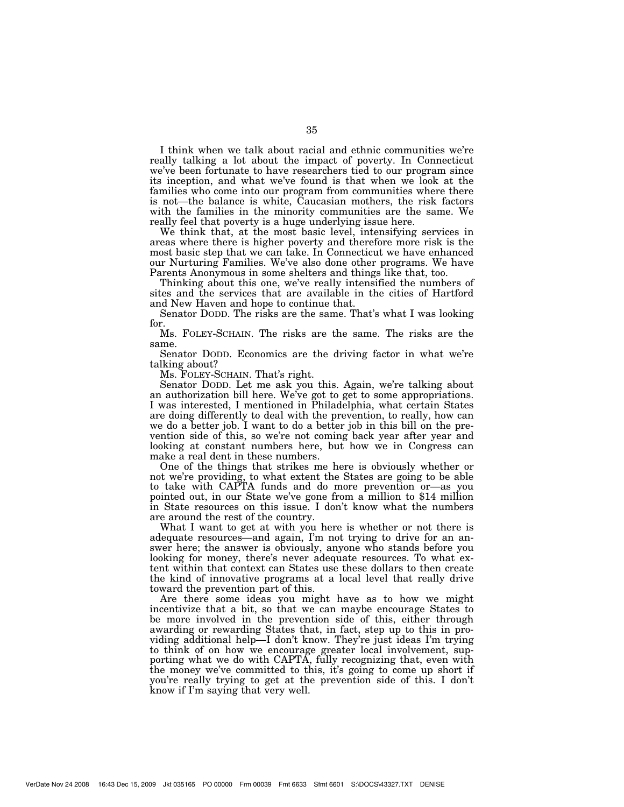I think when we talk about racial and ethnic communities we're really talking a lot about the impact of poverty. In Connecticut we've been fortunate to have researchers tied to our program since its inception, and what we've found is that when we look at the families who come into our program from communities where there is not—the balance is white, Caucasian mothers, the risk factors with the families in the minority communities are the same. We really feel that poverty is a huge underlying issue here.

We think that, at the most basic level, intensifying services in areas where there is higher poverty and therefore more risk is the most basic step that we can take. In Connecticut we have enhanced our Nurturing Families. We've also done other programs. We have Parents Anonymous in some shelters and things like that, too.

Thinking about this one, we've really intensified the numbers of sites and the services that are available in the cities of Hartford and New Haven and hope to continue that.

Senator DODD. The risks are the same. That's what I was looking for.

Ms. FOLEY-SCHAIN. The risks are the same. The risks are the same.

Senator DODD. Economics are the driving factor in what we're talking about?

Ms. FOLEY-SCHAIN. That's right.

Senator DODD. Let me ask you this. Again, we're talking about an authorization bill here. We've got to get to some appropriations. I was interested, I mentioned in Philadelphia, what certain States are doing differently to deal with the prevention, to really, how can we do a better job. I want to do a better job in this bill on the prevention side of this, so we're not coming back year after year and looking at constant numbers here, but how we in Congress can make a real dent in these numbers.

One of the things that strikes me here is obviously whether or not we're providing, to what extent the States are going to be able to take with CAPTA funds and do more prevention or—as you pointed out, in our State we've gone from a million to \$14 million in State resources on this issue. I don't know what the numbers are around the rest of the country.

What I want to get at with you here is whether or not there is adequate resources—and again, I'm not trying to drive for an answer here; the answer is obviously, anyone who stands before you looking for money, there's never adequate resources. To what extent within that context can States use these dollars to then create the kind of innovative programs at a local level that really drive toward the prevention part of this.

Are there some ideas you might have as to how we might incentivize that a bit, so that we can maybe encourage States to be more involved in the prevention side of this, either through awarding or rewarding States that, in fact, step up to this in providing additional help—I don't know. They're just ideas I'm trying to think of on how we encourage greater local involvement, supporting what we do with CAPTA, fully recognizing that, even with the money we've committed to this, it's going to come up short if you're really trying to get at the prevention side of this. I don't know if I'm saying that very well.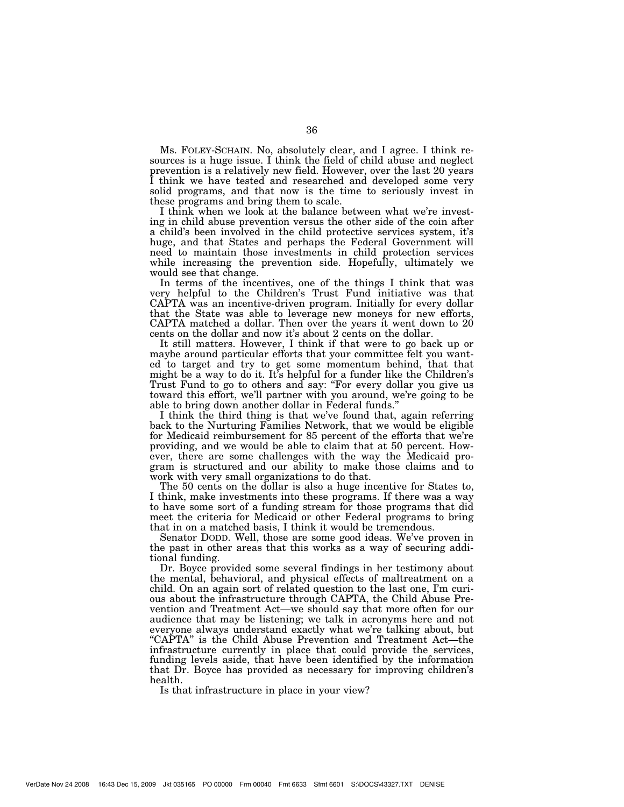Ms. FOLEY-SCHAIN. No, absolutely clear, and I agree. I think resources is a huge issue. I think the field of child abuse and neglect prevention is a relatively new field. However, over the last 20 years I think we have tested and researched and developed some very solid programs, and that now is the time to seriously invest in these programs and bring them to scale.

I think when we look at the balance between what we're investing in child abuse prevention versus the other side of the coin after a child's been involved in the child protective services system, it's huge, and that States and perhaps the Federal Government will need to maintain those investments in child protection services while increasing the prevention side. Hopefully, ultimately we would see that change.

In terms of the incentives, one of the things I think that was very helpful to the Children's Trust Fund initiative was that CAPTA was an incentive-driven program. Initially for every dollar that the State was able to leverage new moneys for new efforts, CAPTA matched a dollar. Then over the years it went down to 20 cents on the dollar and now it's about 2 cents on the dollar.

It still matters. However, I think if that were to go back up or maybe around particular efforts that your committee felt you wanted to target and try to get some momentum behind, that that might be a way to do it. It's helpful for a funder like the Children's Trust Fund to go to others and say: "For every dollar you give us toward this effort, we'll partner with you around, we're going to be able to bring down another dollar in Federal funds.''

I think the third thing is that we've found that, again referring back to the Nurturing Families Network, that we would be eligible for Medicaid reimbursement for 85 percent of the efforts that we're providing, and we would be able to claim that at 50 percent. However, there are some challenges with the way the Medicaid program is structured and our ability to make those claims and to work with very small organizations to do that.

The 50 cents on the dollar is also a huge incentive for States to, I think, make investments into these programs. If there was a way to have some sort of a funding stream for those programs that did meet the criteria for Medicaid or other Federal programs to bring that in on a matched basis, I think it would be tremendous.

Senator DODD. Well, those are some good ideas. We've proven in the past in other areas that this works as a way of securing additional funding.

Dr. Boyce provided some several findings in her testimony about the mental, behavioral, and physical effects of maltreatment on a child. On an again sort of related question to the last one, I'm curious about the infrastructure through CAPTA, the Child Abuse Prevention and Treatment Act—we should say that more often for our audience that may be listening; we talk in acronyms here and not everyone always understand exactly what we're talking about, but ''CAPTA'' is the Child Abuse Prevention and Treatment Act—the infrastructure currently in place that could provide the services, funding levels aside, that have been identified by the information that Dr. Boyce has provided as necessary for improving children's health.

Is that infrastructure in place in your view?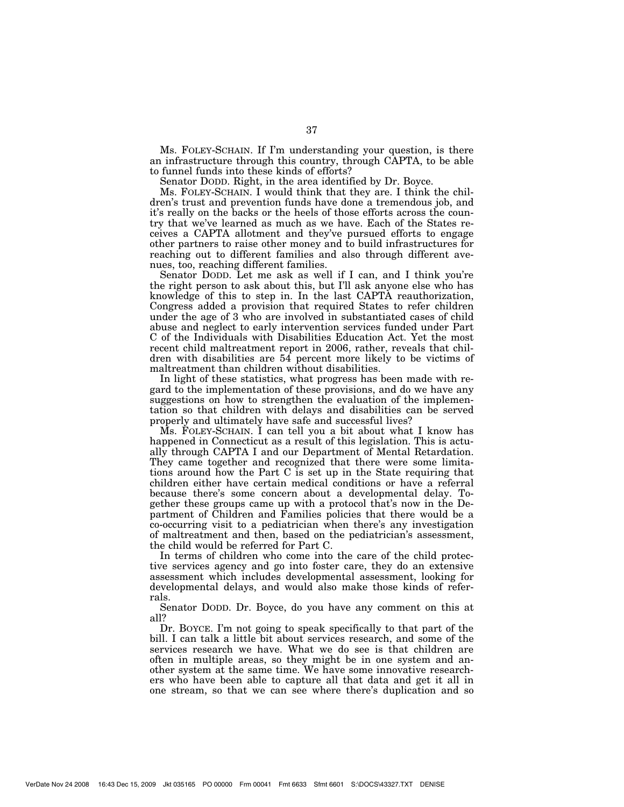Ms. FOLEY-SCHAIN. If I'm understanding your question, is there an infrastructure through this country, through CAPTA, to be able to funnel funds into these kinds of efforts?

Senator DODD. Right, in the area identified by Dr. Boyce.

Ms. FOLEY-SCHAIN. I would think that they are. I think the children's trust and prevention funds have done a tremendous job, and it's really on the backs or the heels of those efforts across the country that we've learned as much as we have. Each of the States receives a CAPTA allotment and they've pursued efforts to engage other partners to raise other money and to build infrastructures for reaching out to different families and also through different avenues, too, reaching different families.

Senator DODD. Let me ask as well if I can, and I think you're the right person to ask about this, but I'll ask anyone else who has knowledge of this to step in. In the last CAPTA reauthorization, Congress added a provision that required States to refer children under the age of 3 who are involved in substantiated cases of child abuse and neglect to early intervention services funded under Part C of the Individuals with Disabilities Education Act. Yet the most recent child maltreatment report in 2006, rather, reveals that children with disabilities are 54 percent more likely to be victims of maltreatment than children without disabilities.

In light of these statistics, what progress has been made with regard to the implementation of these provisions, and do we have any suggestions on how to strengthen the evaluation of the implementation so that children with delays and disabilities can be served properly and ultimately have safe and successful lives?

Ms. FOLEY-SCHAIN. I can tell you a bit about what I know has happened in Connecticut as a result of this legislation. This is actually through CAPTA I and our Department of Mental Retardation. They came together and recognized that there were some limitations around how the Part C is set up in the State requiring that children either have certain medical conditions or have a referral because there's some concern about a developmental delay. Together these groups came up with a protocol that's now in the Department of Children and Families policies that there would be a co-occurring visit to a pediatrician when there's any investigation of maltreatment and then, based on the pediatrician's assessment, the child would be referred for Part C.

In terms of children who come into the care of the child protective services agency and go into foster care, they do an extensive assessment which includes developmental assessment, looking for developmental delays, and would also make those kinds of referrals.

Senator DODD. Dr. Boyce, do you have any comment on this at all?

Dr. BOYCE. I'm not going to speak specifically to that part of the bill. I can talk a little bit about services research, and some of the services research we have. What we do see is that children are often in multiple areas, so they might be in one system and another system at the same time. We have some innovative researchers who have been able to capture all that data and get it all in one stream, so that we can see where there's duplication and so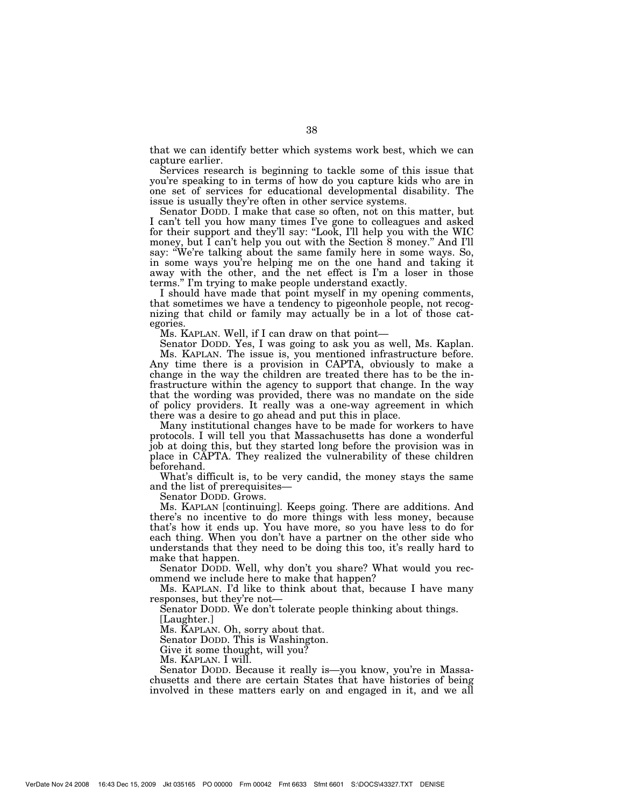that we can identify better which systems work best, which we can capture earlier.

Services research is beginning to tackle some of this issue that you're speaking to in terms of how do you capture kids who are in one set of services for educational developmental disability. The issue is usually they're often in other service systems.

Senator DODD. I make that case so often, not on this matter, but I can't tell you how many times I've gone to colleagues and asked for their support and they'll say: ''Look, I'll help you with the WIC money, but I can't help you out with the Section 8 money." And I'll say: "We're talking about the same family here in some ways. So, in some ways you're helping me on the one hand and taking it away with the other, and the net effect is I'm a loser in those terms.'' I'm trying to make people understand exactly.

I should have made that point myself in my opening comments, that sometimes we have a tendency to pigeonhole people, not recognizing that child or family may actually be in a lot of those categories.

Ms. KAPLAN. Well, if I can draw on that point—

Senator DODD. Yes, I was going to ask you as well, Ms. Kaplan. Ms. KAPLAN. The issue is, you mentioned infrastructure before. Any time there is a provision in CAPTA, obviously to make a change in the way the children are treated there has to be the infrastructure within the agency to support that change. In the way that the wording was provided, there was no mandate on the side of policy providers. It really was a one-way agreement in which there was a desire to go ahead and put this in place.

Many institutional changes have to be made for workers to have protocols. I will tell you that Massachusetts has done a wonderful job at doing this, but they started long before the provision was in place in CAPTA. They realized the vulnerability of these children beforehand.

What's difficult is, to be very candid, the money stays the same and the list of prerequisites—

Senator DODD. Grows.

Ms. KAPLAN [continuing]. Keeps going. There are additions. And there's no incentive to do more things with less money, because that's how it ends up. You have more, so you have less to do for each thing. When you don't have a partner on the other side who understands that they need to be doing this too, it's really hard to make that happen.

Senator DODD. Well, why don't you share? What would you recommend we include here to make that happen?

Ms. KAPLAN. I'd like to think about that, because I have many responses, but they're not—

Senator DODD. We don't tolerate people thinking about things.

[Laughter.]

Ms. KAPLAN. Oh, sorry about that.

Senator DODD. This is Washington.

Give it some thought, will you?

Ms. KAPLAN. I will.

Senator DODD. Because it really is—you know, you're in Massachusetts and there are certain States that have histories of being involved in these matters early on and engaged in it, and we all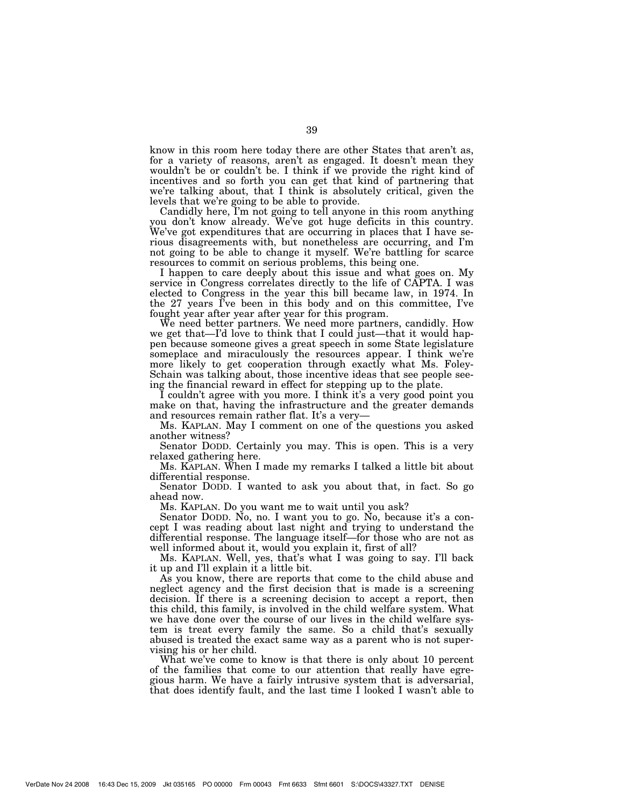know in this room here today there are other States that aren't as, for a variety of reasons, aren't as engaged. It doesn't mean they wouldn't be or couldn't be. I think if we provide the right kind of incentives and so forth you can get that kind of partnering that we're talking about, that I think is absolutely critical, given the levels that we're going to be able to provide.

Candidly here, I'm not going to tell anyone in this room anything you don't know already. We've got huge deficits in this country. We've got expenditures that are occurring in places that I have serious disagreements with, but nonetheless are occurring, and I'm not going to be able to change it myself. We're battling for scarce resources to commit on serious problems, this being one.

I happen to care deeply about this issue and what goes on. My service in Congress correlates directly to the life of CAPTA. I was elected to Congress in the year this bill became law, in 1974. In the 27 years I've been in this body and on this committee, I've fought year after year after year for this program.

We need better partners. We need more partners, candidly. How we get that—I'd love to think that I could just—that it would happen because someone gives a great speech in some State legislature someplace and miraculously the resources appear. I think we're more likely to get cooperation through exactly what Ms. Foley-Schain was talking about, those incentive ideas that see people seeing the financial reward in effect for stepping up to the plate.

I couldn't agree with you more. I think it's a very good point you make on that, having the infrastructure and the greater demands and resources remain rather flat. It's a very—

Ms. KAPLAN. May I comment on one of the questions you asked another witness?

Senator DODD. Certainly you may. This is open. This is a very relaxed gathering here.

Ms. KAPLAN. When I made my remarks I talked a little bit about differential response.

Senator DODD. I wanted to ask you about that, in fact. So go ahead now.

Ms. KAPLAN. Do you want me to wait until you ask?

Senator DODD. No, no. I want you to go. No, because it's a concept I was reading about last night and trying to understand the differential response. The language itself—for those who are not as well informed about it, would you explain it, first of all?

Ms. KAPLAN. Well, yes, that's what I was going to say. I'll back it up and I'll explain it a little bit.

As you know, there are reports that come to the child abuse and neglect agency and the first decision that is made is a screening decision. If there is a screening decision to accept a report, then this child, this family, is involved in the child welfare system. What we have done over the course of our lives in the child welfare system is treat every family the same. So a child that's sexually abused is treated the exact same way as a parent who is not supervising his or her child.

What we've come to know is that there is only about 10 percent of the families that come to our attention that really have egregious harm. We have a fairly intrusive system that is adversarial, that does identify fault, and the last time I looked I wasn't able to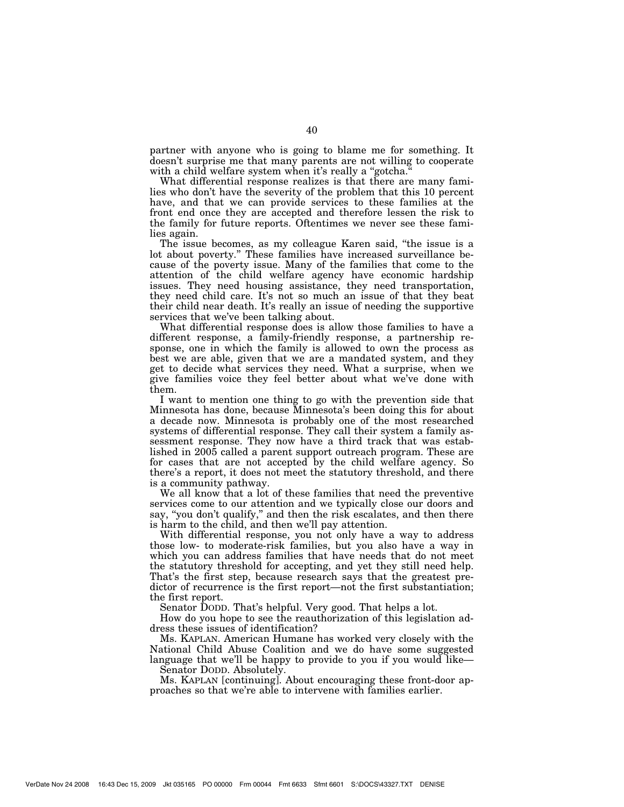partner with anyone who is going to blame me for something. It doesn't surprise me that many parents are not willing to cooperate with a child welfare system when it's really a ''gotcha.''

What differential response realizes is that there are many families who don't have the severity of the problem that this 10 percent have, and that we can provide services to these families at the front end once they are accepted and therefore lessen the risk to the family for future reports. Oftentimes we never see these families again.

The issue becomes, as my colleague Karen said, ''the issue is a lot about poverty.'' These families have increased surveillance because of the poverty issue. Many of the families that come to the attention of the child welfare agency have economic hardship issues. They need housing assistance, they need transportation, they need child care. It's not so much an issue of that they beat their child near death. It's really an issue of needing the supportive services that we've been talking about.

What differential response does is allow those families to have a different response, a family-friendly response, a partnership response, one in which the family is allowed to own the process as best we are able, given that we are a mandated system, and they get to decide what services they need. What a surprise, when we give families voice they feel better about what we've done with them.

I want to mention one thing to go with the prevention side that Minnesota has done, because Minnesota's been doing this for about a decade now. Minnesota is probably one of the most researched systems of differential response. They call their system a family assessment response. They now have a third track that was established in 2005 called a parent support outreach program. These are for cases that are not accepted by the child welfare agency. So there's a report, it does not meet the statutory threshold, and there is a community pathway.

We all know that a lot of these families that need the preventive services come to our attention and we typically close our doors and say, "you don't qualify," and then the risk escalates, and then there is harm to the child, and then we'll pay attention.

With differential response, you not only have a way to address those low- to moderate-risk families, but you also have a way in which you can address families that have needs that do not meet the statutory threshold for accepting, and yet they still need help. That's the first step, because research says that the greatest predictor of recurrence is the first report—not the first substantiation; the first report.

Senator DODD. That's helpful. Very good. That helps a lot.

How do you hope to see the reauthorization of this legislation address these issues of identification?

Ms. KAPLAN. American Humane has worked very closely with the National Child Abuse Coalition and we do have some suggested language that we'll be happy to provide to you if you would like—

Senator DODD. Absolutely.

Ms. KAPLAN [continuing]. About encouraging these front-door approaches so that we're able to intervene with families earlier.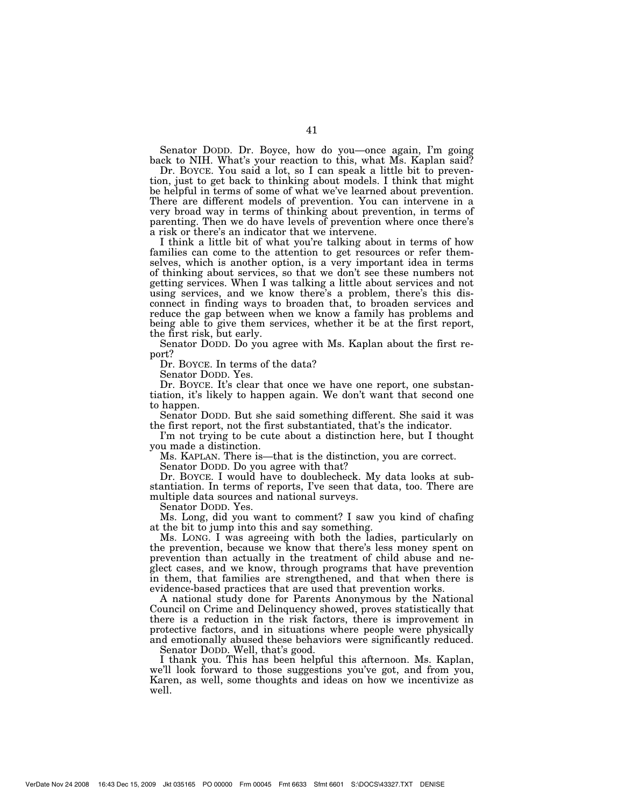Senator DODD. Dr. Boyce, how do you—once again, I'm going back to NIH. What's your reaction to this, what Ms. Kaplan said?

Dr. BOYCE. You said a lot, so I can speak a little bit to prevention, just to get back to thinking about models. I think that might be helpful in terms of some of what we've learned about prevention. There are different models of prevention. You can intervene in a very broad way in terms of thinking about prevention, in terms of parenting. Then we do have levels of prevention where once there's a risk or there's an indicator that we intervene.

I think a little bit of what you're talking about in terms of how families can come to the attention to get resources or refer themselves, which is another option, is a very important idea in terms of thinking about services, so that we don't see these numbers not getting services. When I was talking a little about services and not using services, and we know there's a problem, there's this disconnect in finding ways to broaden that, to broaden services and reduce the gap between when we know a family has problems and being able to give them services, whether it be at the first report, the first risk, but early.

Senator DODD. Do you agree with Ms. Kaplan about the first report?

Dr. BOYCE. In terms of the data?

Senator DODD. Yes.

Dr. BOYCE. It's clear that once we have one report, one substantiation, it's likely to happen again. We don't want that second one to happen.

Senator DODD. But she said something different. She said it was the first report, not the first substantiated, that's the indicator.

I'm not trying to be cute about a distinction here, but I thought you made a distinction.

Ms. KAPLAN. There is—that is the distinction, you are correct.

Senator DODD. Do you agree with that?

Dr. BOYCE. I would have to doublecheck. My data looks at substantiation. In terms of reports, I've seen that data, too. There are multiple data sources and national surveys.

Senator DODD. Yes.

Ms. Long, did you want to comment? I saw you kind of chafing at the bit to jump into this and say something.

Ms. LONG. I was agreeing with both the ladies, particularly on the prevention, because we know that there's less money spent on prevention than actually in the treatment of child abuse and neglect cases, and we know, through programs that have prevention in them, that families are strengthened, and that when there is evidence-based practices that are used that prevention works.

A national study done for Parents Anonymous by the National Council on Crime and Delinquency showed, proves statistically that there is a reduction in the risk factors, there is improvement in protective factors, and in situations where people were physically and emotionally abused these behaviors were significantly reduced.

Senator DODD. Well, that's good.

I thank you. This has been helpful this afternoon. Ms. Kaplan, we'll look forward to those suggestions you've got, and from you, Karen, as well, some thoughts and ideas on how we incentivize as well.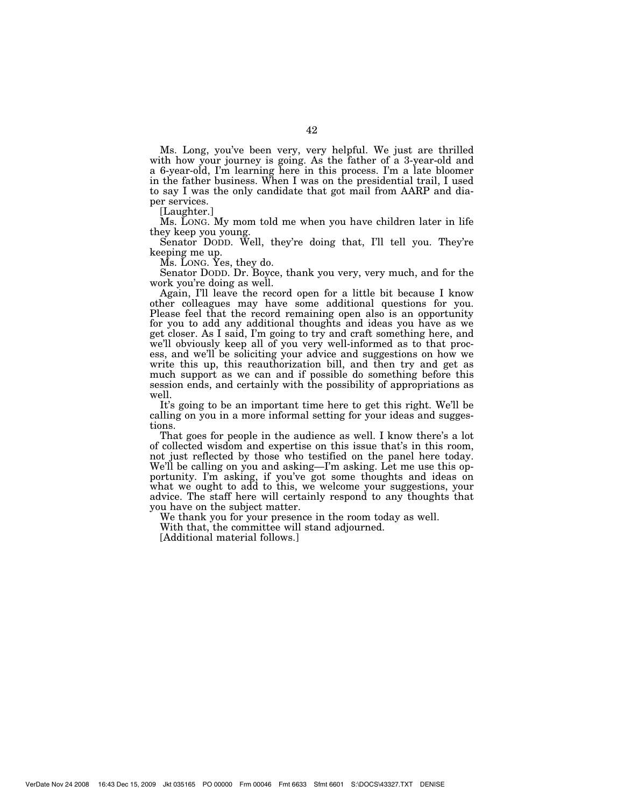Ms. Long, you've been very, very helpful. We just are thrilled with how your journey is going. As the father of a 3-year-old and a 6-year-old, I'm learning here in this process. I'm a late bloomer in the father business. When I was on the presidential trail, I used to say I was the only candidate that got mail from AARP and diaper services.

[Laughter.]

Ms. LONG. My mom told me when you have children later in life they keep you young.

Senator DODD. Well, they're doing that, I'll tell you. They're keeping me up.

Ms. LONG. Yes, they do.

Senator DODD. Dr. Boyce, thank you very, very much, and for the work you're doing as well.

Again, I'll leave the record open for a little bit because I know other colleagues may have some additional questions for you. Please feel that the record remaining open also is an opportunity for you to add any additional thoughts and ideas you have as we get closer. As I said, I'm going to try and craft something here, and we'll obviously keep all of you very well-informed as to that process, and we'll be soliciting your advice and suggestions on how we write this up, this reauthorization bill, and then try and get as much support as we can and if possible do something before this session ends, and certainly with the possibility of appropriations as well.

It's going to be an important time here to get this right. We'll be calling on you in a more informal setting for your ideas and suggestions.

That goes for people in the audience as well. I know there's a lot of collected wisdom and expertise on this issue that's in this room, not just reflected by those who testified on the panel here today. We'll be calling on you and asking—I'm asking. Let me use this opportunity. I'm asking, if you've got some thoughts and ideas on what we ought to add to this, we welcome your suggestions, your advice. The staff here will certainly respond to any thoughts that you have on the subject matter.

We thank you for your presence in the room today as well.

With that, the committee will stand adjourned.

[Additional material follows.]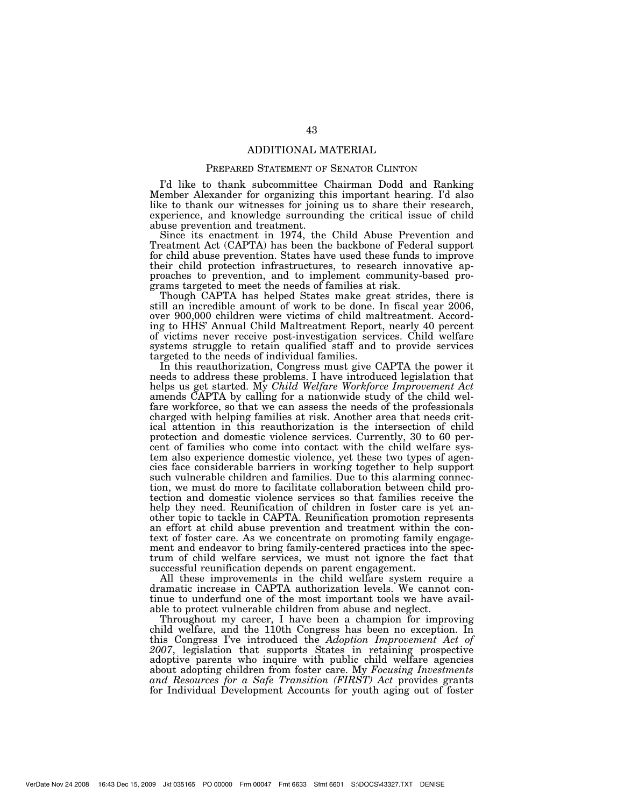# ADDITIONAL MATERIAL

# PREPARED STATEMENT OF SENATOR CLINTON

I'd like to thank subcommittee Chairman Dodd and Ranking Member Alexander for organizing this important hearing. I'd also like to thank our witnesses for joining us to share their research, experience, and knowledge surrounding the critical issue of child abuse prevention and treatment.

Since its enactment in 1974, the Child Abuse Prevention and Treatment Act (CAPTA) has been the backbone of Federal support for child abuse prevention. States have used these funds to improve their child protection infrastructures, to research innovative approaches to prevention, and to implement community-based programs targeted to meet the needs of families at risk.

Though CAPTA has helped States make great strides, there is still an incredible amount of work to be done. In fiscal year 2006, over 900,000 children were victims of child maltreatment. According to HHS' Annual Child Maltreatment Report, nearly 40 percent of victims never receive post-investigation services. Child welfare systems struggle to retain qualified staff and to provide services targeted to the needs of individual families.

In this reauthorization, Congress must give CAPTA the power it needs to address these problems. I have introduced legislation that helps us get started. My *Child Welfare Workforce Improvement Act*  amends CAPTA by calling for a nationwide study of the child welfare workforce, so that we can assess the needs of the professionals charged with helping families at risk. Another area that needs critical attention in this reauthorization is the intersection of child protection and domestic violence services. Currently, 30 to 60 percent of families who come into contact with the child welfare system also experience domestic violence, yet these two types of agencies face considerable barriers in working together to help support such vulnerable children and families. Due to this alarming connection, we must do more to facilitate collaboration between child protection and domestic violence services so that families receive the help they need. Reunification of children in foster care is yet another topic to tackle in CAPTA. Reunification promotion represents an effort at child abuse prevention and treatment within the context of foster care. As we concentrate on promoting family engagement and endeavor to bring family-centered practices into the spectrum of child welfare services, we must not ignore the fact that successful reunification depends on parent engagement.

All these improvements in the child welfare system require a dramatic increase in CAPTA authorization levels. We cannot continue to underfund one of the most important tools we have available to protect vulnerable children from abuse and neglect.

Throughout my career, I have been a champion for improving child welfare, and the 110th Congress has been no exception. In this Congress I've introduced the *Adoption Improvement Act of 2007*, legislation that supports States in retaining prospective adoptive parents who inquire with public child welfare agencies about adopting children from foster care. My *Focusing Investments and Resources for a Safe Transition (FIRST) Act* provides grants for Individual Development Accounts for youth aging out of foster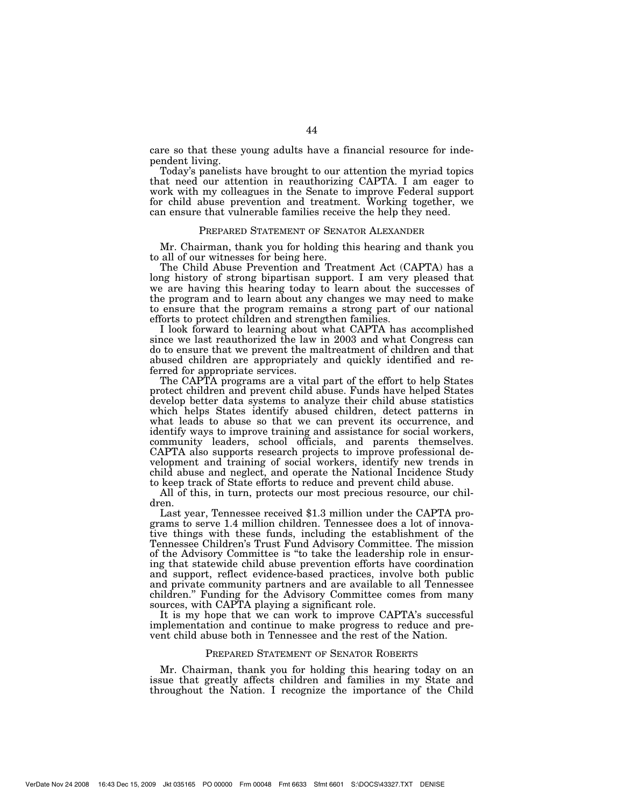care so that these young adults have a financial resource for independent living.

Today's panelists have brought to our attention the myriad topics that need our attention in reauthorizing CAPTA. I am eager to work with my colleagues in the Senate to improve Federal support for child abuse prevention and treatment. Working together, we can ensure that vulnerable families receive the help they need.

# PREPARED STATEMENT OF SENATOR ALEXANDER

Mr. Chairman, thank you for holding this hearing and thank you to all of our witnesses for being here.

The Child Abuse Prevention and Treatment Act (CAPTA) has a long history of strong bipartisan support. I am very pleased that we are having this hearing today to learn about the successes of the program and to learn about any changes we may need to make to ensure that the program remains a strong part of our national efforts to protect children and strengthen families.

I look forward to learning about what CAPTA has accomplished since we last reauthorized the law in 2003 and what Congress can do to ensure that we prevent the maltreatment of children and that abused children are appropriately and quickly identified and referred for appropriate services.

The CAPTA programs are a vital part of the effort to help States protect children and prevent child abuse. Funds have helped States develop better data systems to analyze their child abuse statistics which helps States identify abused children, detect patterns in what leads to abuse so that we can prevent its occurrence, and identify ways to improve training and assistance for social workers, community leaders, school officials, and parents themselves. CAPTA also supports research projects to improve professional development and training of social workers, identify new trends in child abuse and neglect, and operate the National Incidence Study to keep track of State efforts to reduce and prevent child abuse.

All of this, in turn, protects our most precious resource, our children.

Last year, Tennessee received \$1.3 million under the CAPTA programs to serve 1.4 million children. Tennessee does a lot of innovative things with these funds, including the establishment of the Tennessee Children's Trust Fund Advisory Committee. The mission of the Advisory Committee is ''to take the leadership role in ensuring that statewide child abuse prevention efforts have coordination and support, reflect evidence-based practices, involve both public and private community partners and are available to all Tennessee children.'' Funding for the Advisory Committee comes from many sources, with CAPTA playing a significant role.

It is my hope that we can work to improve CAPTA's successful implementation and continue to make progress to reduce and prevent child abuse both in Tennessee and the rest of the Nation.

# PREPARED STATEMENT OF SENATOR ROBERTS

Mr. Chairman, thank you for holding this hearing today on an issue that greatly affects children and families in my State and throughout the Nation. I recognize the importance of the Child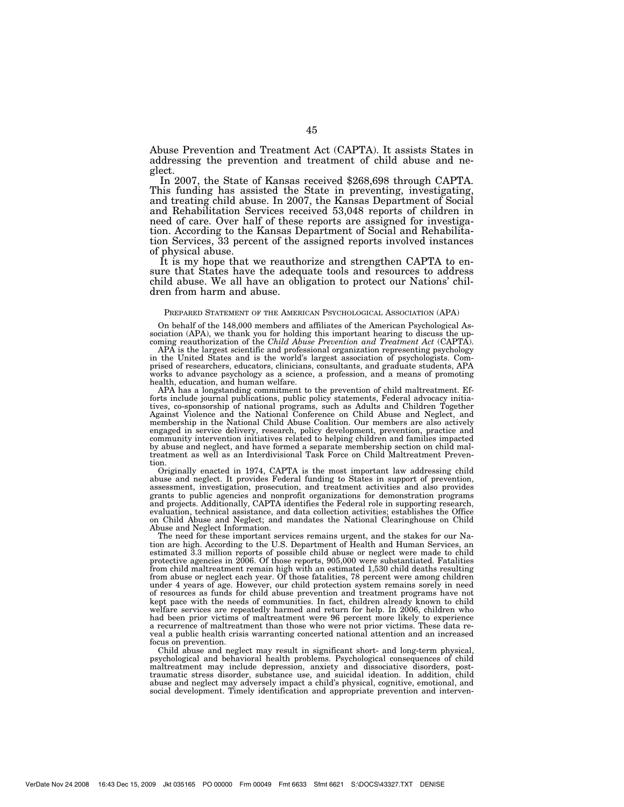Abuse Prevention and Treatment Act (CAPTA). It assists States in addressing the prevention and treatment of child abuse and neglect. In 2007, the State of Kansas received \$268,698 through CAPTA.

This funding has assisted the State in preventing, investigating, and treating child abuse. In 2007, the Kansas Department of Social and Rehabilitation Services received 53,048 reports of children in need of care. Over half of these reports are assigned for investigation. According to the Kansas Department of Social and Rehabilitation Services, 33 percent of the assigned reports involved instances of physical abuse.

It is my hope that we reauthorize and strengthen CAPTA to ensure that States have the adequate tools and resources to address child abuse. We all have an obligation to protect our Nations' children from harm and abuse.

# PREPARED STATEMENT OF THE AMERICAN PSYCHOLOGICAL ASSOCIATION (APA)

On behalf of the 148,000 members and affiliates of the American Psychological Association (APA), we thank you for holding this important hearing to discuss the upcoming reauthorization of the *Child Abuse Prevention and Treatment Act* (CAPTA).

APA is the largest scientific and professional organization representing psychology in the United States and is the world's largest association of psychologists. Comprised of researchers, educators, clinicians, consultants, and graduate students, APA works to advance psychology as a science, a profession, and a means of promoting health, education, and human welfare.

APA has a longstanding commitment to the prevention of child maltreatment. Efforts include journal publications, public policy statements, Federal advocacy initiatives, co-sponsorship of national programs, such as Adults and Children Together Against Violence and the National Conference on Child Ab engaged in service delivery, research, policy development, prevention, practice and community intervention initiatives related to helping children and families impacted by abuse and neglect, and have formed a separate membership section on child maltreatment as well as an Interdivisional Task Force on Child Maltreatment Prevention.

Originally enacted in 1974, CAPTA is the most important law addressing child abuse and neglect. It provides Federal funding to States in support of prevention, assessment, investigation, prosecution, and treatment activities and also provides grants to public agencies and nonprofit organizations for demonstration programs and projects. Additionally, CAPTA identifies the Federal role in supporting research, evaluation, technical assistance, and data collection activities; establishes the Office on Child Abuse and Neglect; and mandates the National Clearinghouse on Child Abuse and Neglect Information.

The need for these important services remains urgent, and the stakes for our Nation are high. According to the U.S. Department of Health and Human Services, an estimated 3.3 million reports of possible child abuse or neglect were made to child protective agencies in 2006. Of those reports, 905,000 were substantiated. Fatalities from child maltreatment remain high with an estimated 1,530 child deaths resulting from abuse or neglect each year. Of those fatalities, 78 percent were among children under 4 years of age. However, our child protection system remains sorely in need of resources as funds for child abuse prevention and treatment programs have not kept pace with the needs of communities. In fact, children already known to child welfare services are repeatedly harmed and return for help. In 2006, children who had been prior victims of maltreatment were 96 percent more likely to experience a recurrence of maltreatment than those who were not prior victims. These data reveal a public health crisis warranting concerted national attention and an increased focus on prevention.

Child abuse and neglect may result in significant short- and long-term physical, psychological and behavioral health problems. Psychological consequences of child maltreatment may include depression, anxiety and dissociative disorders, posttraumatic stress disorder, substance use, and suicidal ideation. In addition, child abuse and neglect may adversely impact a child's physical, cognitive, emotional, and social development. Timely identification and appropriate prevention and interven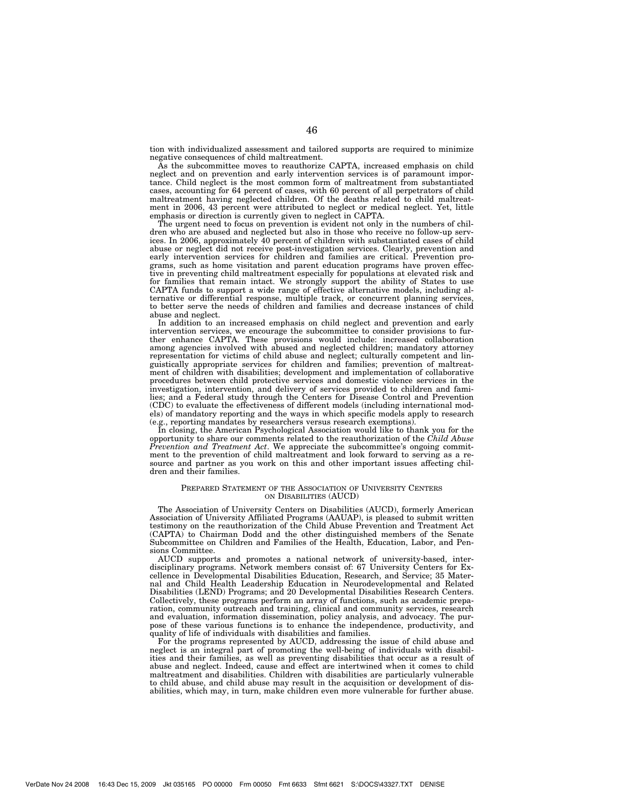tion with individualized assessment and tailored supports are required to minimize negative consequences of child maltreatment.

As the subcommittee moves to reauthorize CAPTA, increased emphasis on child neglect and on prevention and early intervention services is of paramount importance. Child neglect is the most common form of maltreatment from substantiated cases, accounting for 64 percent of cases, with 60 percent of all perpetrators of child maltreatment having neglected children. Of the deaths related to child maltreatment in 2006, 43 percent were attributed to neglect or medical neglect. Yet, little emphasis or direction is currently given to neglect in CAPTA.

The urgent need to focus on prevention is evident not only in the numbers of children who are abused and neglected but also in those who receive no follow-up services. In 2006, approximately 40 percent of children with substantiated cases of child abuse or neglect did not receive post-investigation services. Clearly, prevention and early intervention services for children and families are critical. Prevention programs, such as home visitation and parent education programs have proven effective in preventing child maltreatment especially for populations at elevated risk and for families that remain intact. We strongly support the ability of States to use CAPTA funds to support a wide range of effective alternative models, including alternative or differential response, multiple track, or concurrent planning services, to better serve the needs of children and families and decrease instances of child abuse and neglect.

In addition to an increased emphasis on child neglect and prevention and early intervention services, we encourage the subcommittee to consider provisions to further enhance CAPTA. These provisions would include: increased collaboration among agencies involved with abused and neglected children; mandatory attorney representation for victims of child abuse and neglect; culturally competent and linguistically appropriate services for children and families; prevention of maltreatment of children with disabilities; development and implementation of collaborative procedures between child protective services and domestic violence services in the investigation, intervention, and delivery of services provided to children and families; and a Federal study through the Centers for Disease Control and Prevention (CDC) to evaluate the effectiveness of different models (including international models) of mandatory reporting and the ways in which specific models apply to research (e.g., reporting mandates by researchers versus research exemptions).

In closing, the American Psychological Association would like to thank you for the opportunity to share our comments related to the reauthorization of the *Child Abuse Prevention and Treatment Act*. We appreciate the subcommittee's ongoing commitment to the prevention of child maltreatment and look forward to serving as a resource and partner as you work on this and other important issues affecting children and their families.

# PREPARED STATEMENT OF THE ASSOCIATION OF UNIVERSITY CENTERS ON DISABILITIES (AUCD)

The Association of University Centers on Disabilities (AUCD), formerly American Association of University Affiliated Programs (AAUAP), is pleased to submit written testimony on the reauthorization of the Child Abuse Prevention and Treatment Act (CAPTA) to Chairman Dodd and the other distinguished members of the Senate Subcommittee on Children and Families of the Health, Education, Labor, and Pensions Committee.

AUCD supports and promotes a national network of university-based, interdisciplinary programs. Network members consist of: 67 University Centers for Excellence in Developmental Disabilities Education, Research, and Service; 35 Maternal and Child Health Leadership Education in Neurodevelopmental and Related Disabilities (LEND) Programs; and 20 Developmental Disabilities Research Centers. Collectively, these programs perform an array of functions, such as academic preparation, community outreach and training, clinical and community services, research and evaluation, information dissemination, policy analysis, and advocacy. The purpose of these various functions is to enhance the independence, productivity, and quality of life of individuals with disabilities and families.

For the programs represented by AUCD, addressing the issue of child abuse and neglect is an integral part of promoting the well-being of individuals with disabilities and their families, as well as preventing disabilities that occur as a result of abuse and neglect. Indeed, cause and effect are intertwined when it comes to child maltreatment and disabilities. Children with disabilities are particularly vulnerable to child abuse, and child abuse may result in the acquisition or development of disabilities, which may, in turn, make children even more vulnerable for further abuse.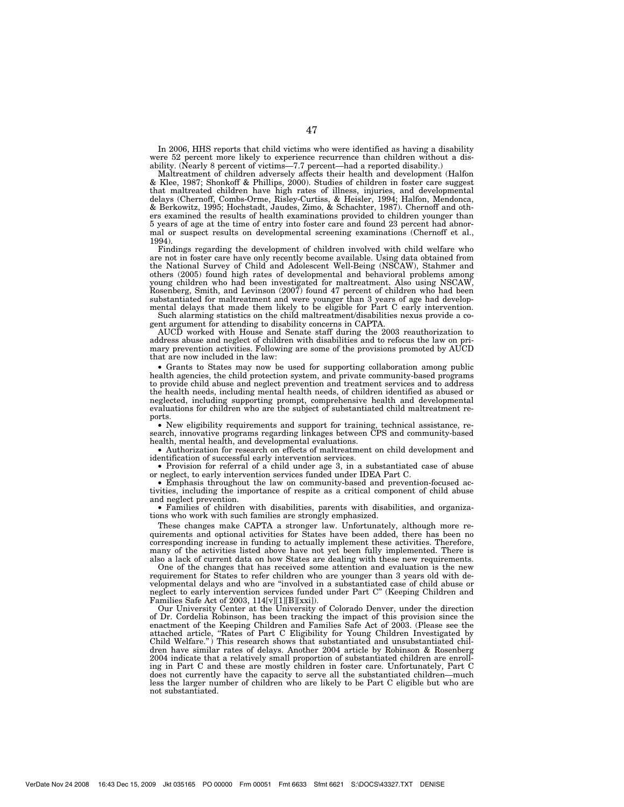In 2006, HHS reports that child victims who were identified as having a disability were 52 percent more likely to experience recurrence than children without a disability. (Nearly 8 percent of victims—7.7 percent—had a reported disability.)

Maltreatment of children adversely affects their health and development (Halfon & Klee, 1987; Shonkoff & Phillips, 2000). Studies of children in foster care suggest that maltreated children have high rates of illness, injuries, and developmental delays (Chernoff, Combs-Orme, Risley-Curtiss, & Heisler, 1994; Halfon, Mendonca, & Berkowitz, 1995; Hochstadt, Jaudes, Zimo, & Schachter, 1987). Chernoff and others examined the results of health examinations provided to children younger than 5 years of age at the time of entry into foster care and found 23 percent had abnormal or suspect results on developmental screening examinations (Chernoff et al., 1994).

Findings regarding the development of children involved with child welfare who are not in foster care have only recently become available. Using data obtained from the National Survey of Child and Adolescent Well-Being (NSCAW), Stahmer and others (2005) found high rates of developmental and behavioral problems among young children who had been investigated for maltreatment. Also using NSCAW, Rosenberg, Smith, and Levinson (2007) found 47 percent of children who had been substantiated for maltreatment and were younger than 3 years of age had developmental delays that made them likely to be eligible for Part C early intervention.

Such alarming statistics on the child maltreatment/disabilities nexus provide a cogent argument for attending to disability concerns in CAPTA.

AUCD worked with House and Senate staff during the 2003 reauthorization to address abuse and neglect of children with disabilities and to refocus the law on primary prevention activities. Following are some of the provisions promoted by AUCD that are now included in the law:

• Grants to States may now be used for supporting collaboration among public health agencies, the child protection system, and private community-based programs to provide child abuse and neglect prevention and treatment services and to address the health needs, including mental health needs, of children identified as abused or neglected, including supporting prompt, comprehensive health and developmental evaluations for children who are the subject of substantiated child maltreatment reports.

• New eligibility requirements and support for training, technical assistance, research, innovative programs regarding linkages between CPS and community-based health, mental health, and developmental evaluations.

• Authorization for research on effects of maltreatment on child development and identification of successful early intervention services.

• Provision for referral of a child under age 3, in a substantiated case of abuse or neglect, to early intervention services funded under IDEA Part C.

• Emphasis throughout the law on community-based and prevention-focused activities, including the importance of respite as a critical component of child abuse and neglect prevention.

• Families of children with disabilities, parents with disabilities, and organizations who work with such families are strongly emphasized.

These changes make CAPTA a stronger law. Unfortunately, although more requirements and optional activities for States have been added, there has been no corresponding increase in funding to actually implement these activities. Therefore, many of the activities listed above have not yet been fully implemented. There is also a lack of current data on how States are dealing with these new requirements.

One of the changes that has received some attention and evaluation is the new requirement for States to refer children who are younger than 3 years old with developmental delays and who are ''involved in a substantiated case of child abuse or neglect to early intervention services funded under Part C'' (Keeping Children and Families Safe Act of 2003, 114[v][1][B][xxi]).

Our University Center at the University of Colorado Denver, under the direction of Dr. Cordelia Robinson, has been tracking the impact of this provision since the enactment of the Keeping Children and Families Safe Act of 2003. (Please see the attached article, ''Rates of Part C Eligibility for Young Children Investigated by Child Welfare.'' ) This research shows that substantiated and unsubstantiated children have similar rates of delays. Another 2004 article by Robinson & Rosenberg 2004 indicate that a relatively small proportion of substantiated children are enrolling in Part C and these are mostly children in foster care. Unfortunately, Part C does not currently have the capacity to serve all the substantiated children—much less the larger number of children who are likely to be Part C eligible but who are not substantiated.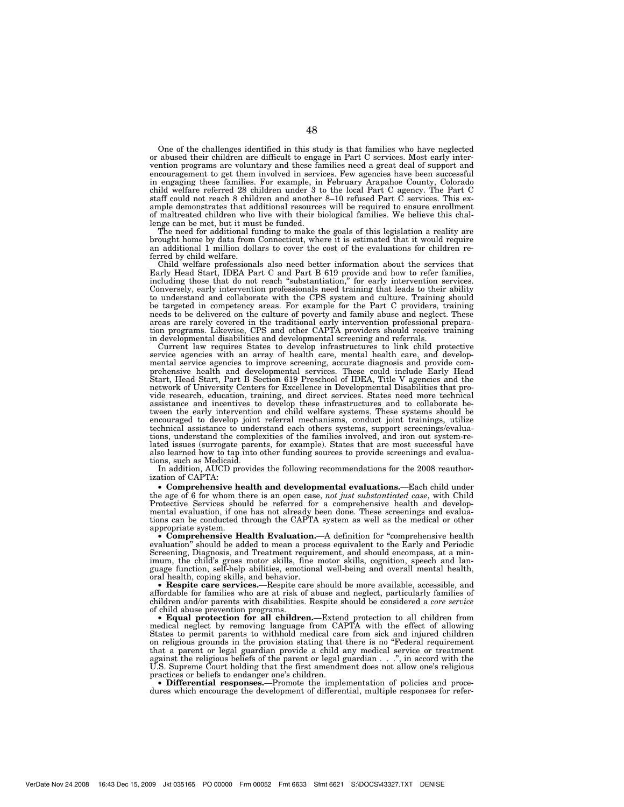One of the challenges identified in this study is that families who have neglected or abused their children are difficult to engage in Part C services. Most early intervention programs are voluntary and these families need a great deal of support and encouragement to get them involved in services. Few agencies have been successful in engaging these families. For example, in February Arapahoe County, Colorado child welfare referred 28 children under 3 to the local Part C agency. The Part C staff could not reach 8 children and another 8–10 refused Part C services. This example demonstrates that additional resources will be required to ensure enrollment of maltreated children who live with their biological families. We believe this challenge can be met, but it must be funded.

The need for additional funding to make the goals of this legislation a reality are brought home by data from Connecticut, where it is estimated that it would require an additional 1 million dollars to cover the cost of the evaluations for children referred by child welfare.

Child welfare professionals also need better information about the services that Early Head Start, IDEA Part C and Part B 619 provide and how to refer families, including those that do not reach ''substantiation,'' for early intervention services. Conversely, early intervention professionals need training that leads to their ability to understand and collaborate with the CPS system and culture. Training should be targeted in competency areas. For example for the Part C providers, training needs to be delivered on the culture of poverty and family abuse and neglect. These areas are rarely covered in the traditional early intervention professional preparation programs. Likewise, CPS and other CAPTA providers should receive training in developmental disabilities and developmental screening and referrals.

Current law requires States to develop infrastructures to link child protective service agencies with an array of health care, mental health care, and developmental service agencies to improve screening, accurate diagnosis and provide comprehensive health and developmental services. These could include Early Head Start, Head Start, Part B Section 619 Preschool of IDEA, Title V agencies and the network of University Centers for Excellence in Developmental Disabilities that provide research, education, training, and direct services. States need more technical assistance and incentives to develop these infrastructures and to collaborate between the early intervention and child welfare systems. These systems should be encouraged to develop joint referral mechanisms, conduct joint trainings, utilize technical assistance to understand each others systems, support screenings/evaluations, understand the complexities of the families involved, and iron out system-related issues (surrogate parents, for example). States that are most successful have also learned how to tap into other funding sources to provide screenings and evaluations, such as Medicaid.

In addition, AUCD provides the following recommendations for the 2008 reauthorization of CAPTA:

• **Comprehensive health and developmental evaluations.**—Each child under the age of 6 for whom there is an open case, *not just substantiated case*, with Child Protective Services should be referred for a comprehensive health and developmental evaluation, if one has not already been done. These screenings and evaluations can be conducted through the CAPTA system as well as the medical or other appropriate system.

• **Comprehensive Health Evaluation.**—A definition for "comprehensive health evaluation'' should be added to mean a process equivalent to the Early and Periodic Screening, Diagnosis, and Treatment requirement, and should encompass, at a minimum, the child's gross motor skills, fine motor skills, cognition, speech and language function, self-help abilities, emotional well-being and overall mental health, oral health, coping skills, and behavior.

• **Respite care services.**—Respite care should be more available, accessible, and affordable for families who are at risk of abuse and neglect, particularly families of children and/or parents with disabilities. Respite should be considered a *core service*  of child abuse prevention programs.

• **Equal protection for all children.**—Extend protection to all children from medical neglect by removing language from CAPTA with the effect of allowing States to permit parents to withhold medical care from sick and injured children on religious grounds in the provision stating that there is no ''Federal requirement that a parent or legal guardian provide a child any medical service or treatment against the religious beliefs of the parent or legal guardian . . .'', in accord with the U.S. Supreme Court holding that the first amendment does not allow one's religious

practices or beliefs to endanger one's children. • **Differential responses.**—Promote the implementation of policies and procedures which encourage the development of differential, multiple responses for refer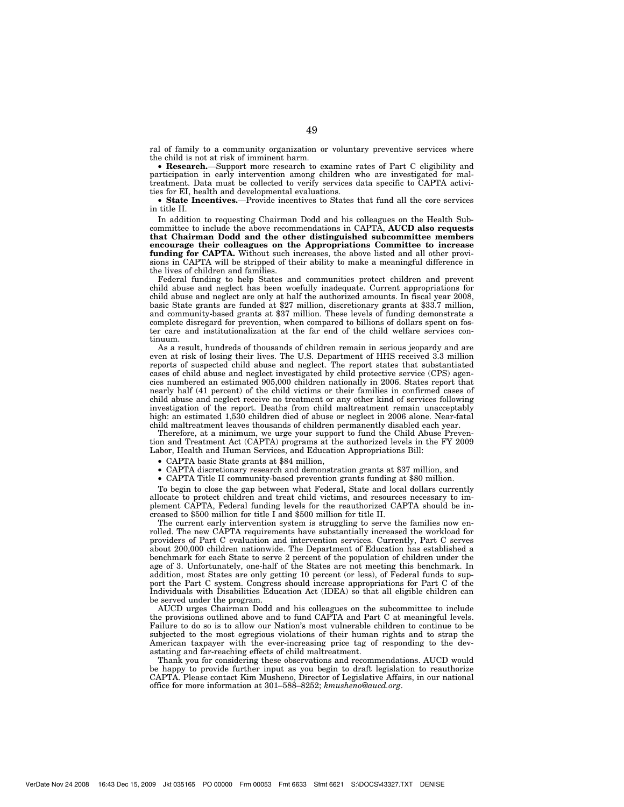ral of family to a community organization or voluntary preventive services where the child is not at risk of imminent harm.

• **Research.**—Support more research to examine rates of Part C eligibility and participation in early intervention among children who are investigated for maltreatment. Data must be collected to verify services data specific to CAPTA activities for EI, health and developmental evaluations.

• **State Incentives.**—Provide incentives to States that fund all the core services in title II.

In addition to requesting Chairman Dodd and his colleagues on the Health Subcommittee to include the above recommendations in CAPTA, **AUCD also requests that Chairman Dodd and the other distinguished subcommittee members encourage their colleagues on the Appropriations Committee to increase funding for CAPTA.** Without such increases, the above listed and all other provisions in CAPTA will be stripped of their ability to make a meaningful difference in the lives of children and families.

Federal funding to help States and communities protect children and prevent child abuse and neglect has been woefully inadequate. Current appropriations for child abuse and neglect are only at half the authorized amounts. In fiscal year 2008, basic State grants are funded at \$27 million, discretionary grants at \$33.7 million, and community-based grants at \$37 million. These levels of funding demonstrate a complete disregard for prevention, when compared to billions of dollars spent on foster care and institutionalization at the far end of the child welfare services continuum.

As a result, hundreds of thousands of children remain in serious jeopardy and are even at risk of losing their lives. The U.S. Department of HHS received 3.3 million reports of suspected child abuse and neglect. The report states that substantiated cases of child abuse and neglect investigated by child protective service (CPS) agencies numbered an estimated 905,000 children nationally in 2006. States report that nearly half (41 percent) of the child victims or their families in confirmed cases of child abuse and neglect receive no treatment or any other kind of services following investigation of the report. Deaths from child maltreatment remain unacceptably high: an estimated 1,530 children died of abuse or neglect in 2006 alone. Near-fatal child maltreatment leaves thousands of children permanently disabled each year.

Therefore, at a minimum, we urge your support to fund the Child Abuse Prevention and Treatment Act (CAPTA) programs at the authorized levels in the FY 2009 Labor, Health and Human Services, and Education Appropriations Bill:

- CAPTA basic State grants at \$84 million,
- CAPTA discretionary research and demonstration grants at \$37 million, and
- CAPTA Title II community-based prevention grants funding at \$80 million.

To begin to close the gap between what Federal, State and local dollars currently allocate to protect children and treat child victims, and resources necessary to implement CAPTA, Federal funding levels for the reauthorized CAPTA should be increased to \$500 million for title I and \$500 million for title II.

The current early intervention system is struggling to serve the families now enrolled. The new CAPTA requirements have substantially increased the workload for providers of Part C evaluation and intervention services. Currently, Part C serves about 200,000 children nationwide. The Department of Education has established a benchmark for each State to serve 2 percent of the population of children under the age of 3. Unfortunately, one-half of the States are not meeting this benchmark. In addition, most States are only getting 10 percent (or less), of Federal funds to support the Part C system. Congress should increase appropriations for Part C of the Individuals with Disabilities Education Act (IDEA) so that all eligible children can be served under the program.

AUCD urges Chairman Dodd and his colleagues on the subcommittee to include the provisions outlined above and to fund CAPTA and Part C at meaningful levels. Failure to do so is to allow our Nation's most vulnerable children to continue to be subjected to the most egregious violations of their human rights and to strap the American taxpayer with the ever-increasing price tag of responding to the devastating and far-reaching effects of child maltreatment.

Thank you for considering these observations and recommendations. AUCD would be happy to provide further input as you begin to draft legislation to reauthorize CAPTA. Please contact Kim Musheno, Director of Legislative Affairs, in our national office for more information at 301–588–8252; *kmusheno@aucd.org*.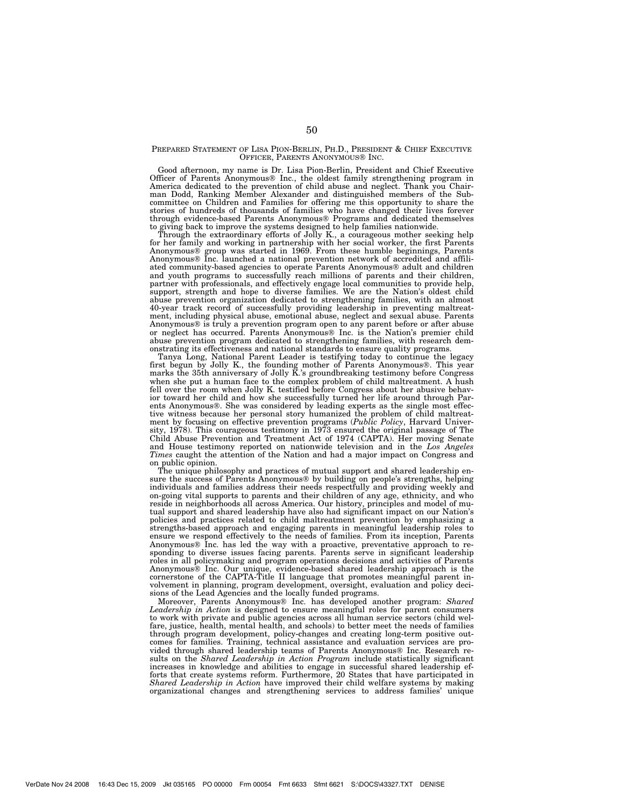#### PREPARED STATEMENT OF LISA PION-BERLIN, PH.D., PRESIDENT & CHIEF EXECUTIVE OFFICER, PARENTS ANONYMOUS® INC.

Good afternoon, my name is Dr. Lisa Pion-Berlin, President and Chief Executive Officer of Parents Anonymous® Inc., the oldest family strengthening program in America dedicated to the prevention of child abuse and neglect. Thank you Chairman Dodd, Ranking Member Alexander and distinguished members of the Sub-committee on Children and Families for offering me this opportunity to share the stories of hundreds of thousands of families who have changed their lives forever through evidence-based Parents Anonymous® Programs and dedicated themselves to giving back to improve the systems designed to help families nationwide.

Through the extraordinary efforts of Jolly K., a courageous mother seeking help for her family and working in partnership with her social worker, the first Parents Anonymous® group was started in 1969. From these humble beginnings, Parents Anonymous® Inc. launched a national prevention network of accredited and affiliated community-based agencies to operate Parents Anonymous® adult and children and youth programs to successfully reach millions of parents and their children, partner with professionals, and effectively engage local communities to provide help, support, strength and hope to diverse families. We are the Nation's oldest child abuse prevention organization dedicated to strengthening families, with an almost 40-year track record of successfully providing leadership in preventing maltreatment, including physical abuse, emotional abuse, neglect and sexual abuse. Parents Anonymous® is truly a prevention program open to any parent before or after abuse or neglect has occurred. Parents Anonymous® Inc. is the Nation's premier child abuse prevention program dedicated to strengthening families, with research demonstrating its effectiveness and national standards to ensure quality programs.

Tanya Long, National Parent Leader is testifying today to continue the legacy first begun by Jolly K., the founding mother of Parents Anonymous®. This year marks the 35th anniversary of Jolly K's groundbreaking testimony before Congress when she put a human face to the complex problem of child maltreatment. A hush fell over the room when Jolly K. testified before Congress about her abusive behavior toward her child and how she successfully turned her life around through Parents Anonymous®. She was considered by leading experts as the single most effec-tive witness because her personal story humanized the problem of child maltreatment by focusing on effective prevention programs (*Public Policy*, Harvard University, 1978). This courageous testimony in 1973 ensured the original passage of The Child Abuse Prevention and Treatment Act of 1974 (CAPTA). Her moving Senate and House testimony reported on nationwide television and in the *Los Angeles Times* caught the attention of the Nation and had a major impact on Congress and on public opinion.

The unique philosophy and practices of mutual support and shared leadership ensure the success of Parents Anonymous® by building on people's strengths, helping individuals and families address their needs respectfully and providing weekly and on-going vital supports to parents and their children of any age, ethnicity, and who reside in neighborhoods all across America. Our history, principles and model of mutual support and shared leadership have also had significant impact on our Nation's policies and practices related to child maltreatment prevention by emphasizing a strengths-based approach and engaging parents in meaningful leadership roles to ensure we respond effectively to the needs of families. From its inception, Parents Anonymous® Inc. has led the way with a proactive, preventative approach to re-sponding to diverse issues facing parents. Parents serve in significant leadership roles in all policymaking and program operations decisions and activities of Parents Anonymous® Inc. Our unique, evidence-based shared leadership approach is the cornerstone of the CAPTA-Title II language that promotes meaningful parent involvement in planning, program development, oversight, evaluation and policy decisions of the Lead Agencies and the locally funded programs.

Moreover, Parents Anonymous® Inc. has developed another program: *Shared Leadership in Action* is designed to ensure meaningful roles for parent consumers to work with private and public agencies across all human service sectors (child welfare, justice, health, mental health, and schools) to better meet the needs of families through program development, policy-changes and creating long-term positive outcomes for families. Training, technical assistance and evaluation services are provided through shared leadership teams of Parents Anonymous® Inc. Research re-sults on the *Shared Leadership in Action Program* include statistically significant increases in knowledge and abilities to engage in successful shared leadership efforts that create systems reform. Furthermore, 20 States that have participated in *Shared Leadership in Action* have improved their child welfare systems by making organizational changes and strengthening services to address families' unique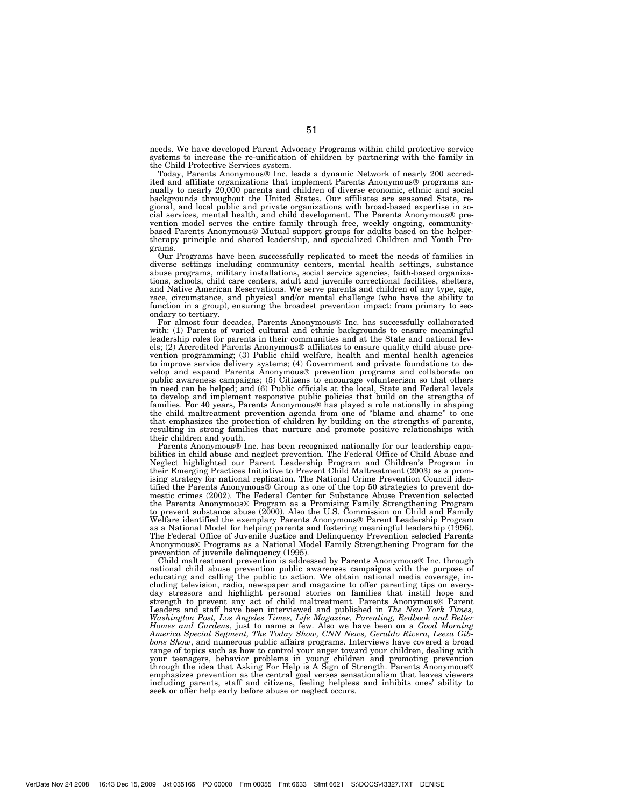needs. We have developed Parent Advocacy Programs within child protective service systems to increase the re-unification of children by partnering with the family in the Child Protective Services system.

Today, Parents Anonymous® Inc. leads a dynamic Network of nearly 200 accredited and affiliate organizations that implement Parents Anonymous® programs annually to nearly 20,000 parents and children of diverse economic, ethnic and social backgrounds throughout the United States. Our affiliates are seasoned State, regional, and local public and private organizations with broad-based expertise in social services, mental health, and child development. The Parents Anonymous® prevention model serves the entire family through free, weekly ongoing, communitybased Parents Anonymous® Mutual support groups for adults based on the helpertherapy principle and shared leadership, and specialized Children and Youth Programs.

Our Programs have been successfully replicated to meet the needs of families in diverse settings including community centers, mental health settings, substance abuse programs, military installations, social service agencies, faith-based organizations, schools, child care centers, adult and juvenile correctional facilities, shelters, and Native American Reservations. We serve parents and children of any type, age, race, circumstance, and physical and/or mental challenge (who have the ability to function in a group), ensuring the broadest prevention impact: from primary to secondary to tertiary.

For almost four decades, Parents Anonymous® Inc. has successfully collaborated with: (1) Parents of varied cultural and ethnic backgrounds to ensure meaningful leadership roles for parents in their communities and at the State and national levels; (2) Accredited Parents Anonymous® affiliates to ensure quality child abuse prevention programming; (3) Public child welfare, health and mental health agencies to improve service delivery systems; (4) Government and private foundations to develop and expand Parents Anonymous® prevention programs and collaborate on public awareness campaigns; (5) Citizens to encourage volunteerism so that others in need can be helped; and (6) Public officials at the local, State and Federal levels to develop and implement responsive public policies that build on the strengths of families. For 40 years, Parents Anonymous® has played a role nationally in shaping the child maltreatment prevention agenda from one of ''blame and shame'' to one that emphasizes the protection of children by building on the strengths of parents, resulting in strong families that nurture and promote positive relationships with their children and youth.

Parents Anonymous® Inc. has been recognized nationally for our leadership capabilities in child abuse and neglect prevention. The Federal Office of Child Abuse and Neglect highlighted our Parent Leadership Program and Children's Program in their Emerging Practices Initiative to Prevent Child Maltreatment (2003) as a promising strategy for national replication. The National Crime Prevention Council identified the Parents Anonymous® Group as one of the top 50 strategies to prevent domestic crimes (2002). The Federal Center for Substance Abuse Prevention selected the Parents Anonymous® Program as a Promising Family Strengthening Program to prevent substance abuse (2000). Also the U.S. Commission on Child and Family Welfare identified the exemplary Parents Anonymous® Parent Leadership Program as a National Model for helping parents and fostering meaningful leadership (1996). The Federal Office of Juvenile Justice and Delinquency Prevention selected Parents Anonymous® Programs as a National Model Family Strengthening Program for the prevention of juvenile delinquency (1995).

Child maltreatment prevention is addressed by Parents Anonymous® Inc. through national child abuse prevention public awareness campaigns with the purpose of educating and calling the public to action. We obtain national media coverage, including television, radio, newspaper and magazine to offer parenting tips on everyday stressors and highlight personal stories on families that instill hope and strength to prevent any act of child maltreatment. Parents Anonymous® Parent Leaders and staff have been interviewed and published in *The New York Times, Washington Post, Los Angeles Times, Life Magazine, Parenting, Redbook and Better Homes and Gardens*, just to name a few. Also we have been on a *Good Morning America Special Segment, The Today Show, CNN News, Geraldo Rivera, Leeza Gibbons Show*, and numerous public affairs programs. Interviews have covered a broad range of topics such as how to control your anger toward your children, dealing with your teenagers, behavior problems in young children and promoting prevention through the idea that Asking For Help is A Sign of Strength. Parents Anonymous® emphasizes prevention as the central goal verses sensationalism that leaves viewers including parents, staff and citizens, feeling helpless and inhibits ones' ability to seek or offer help early before abuse or neglect occurs.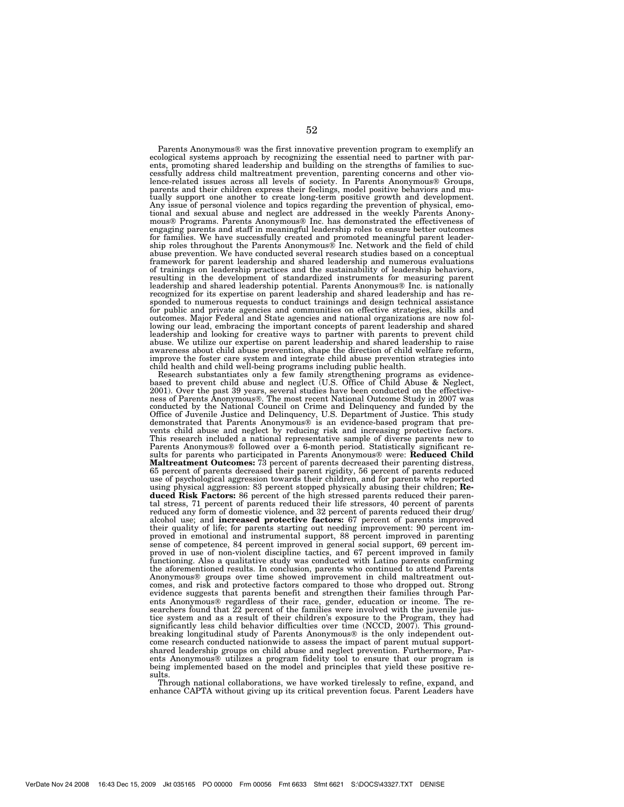Parents Anonymous® was the first innovative prevention program to exemplify an ecological systems approach by recognizing the essential need to partner with parents, promoting shared leadership and building on the strengths of families to successfully address child maltreatment prevention, parenting concerns and other vio-lence-related issues across all levels of society. In Parents Anonymous® Groups, parents and their children express their feelings, model positive behaviors and mutually support one another to create long-term positive growth and development. Any issue of personal violence and topics regarding the prevention of physical, emotional and sexual abuse and neglect are addressed in the weekly Parents Anony-<br>mous® Programs. Parents Anonymous® Inc. has demonstrated the effectiveness of<br>engaging parents and staff in meaningful leadership roles to ensu for families. We have successfully created and promoted meaningful parent leader-ship roles throughout the Parents Anonymous® Inc. Network and the field of child abuse prevention. We have conducted several research studies based on a conceptual framework for parent leadership and shared leadership and numerous evaluations of trainings on leadership practices and the sustainability of leadership behaviors, resulting in the development of standardized instruments for measuring parent leadership and shared leadership potential. Parents Anonymous® Inc. is nationally recognized for its expertise on parent leadership and shared leadership and has responded to numerous requests to conduct trainings and design technical assistance for public and private agencies and communities on effective strategies, skills and outcomes. Major Federal and State agencies and national organizations are now fol-lowing our lead, embracing the important concepts of parent leadership and shared leadership and looking for creative ways to partner with parents to prevent child abuse. We utilize our expertise on parent leadership and shared leadership to raise awareness about child abuse prevention, shape the direction of child welfare reform,

improve the foster care system and integrate child abuse prevention strategies into<br>child health and child well-being programs including public health.<br>Research substantiates only a few family strengthening programs as evi This research included a national representative sample of diverse parents new to Parents Anonymous® followed over a 6-month period. Statistically significant re-sults for parents who participated in Parents Anonymous® were: **Reduced Child Maltreatment Outcomes:** 73 percent of parents decreased their parenting distress, 65 percent of parents decreased their parent rigidity, 56 percent of parents reduced use of psychological aggression towards their children, and for parents who reported using physical aggression: 83 percent stopped physically abusing their children; **Reduced Risk Factors:** 86 percent of the high stressed parents reduced their parental stress, 71 percent of parents reduced their life stressors, 40 percent of parents reduced any form of domestic violence, and 32 percent of parents reduced their drug/ alcohol use; and **increased protective factors:** 67 percent of parents improved their quality of life; for parents starting out needing improvement: 90 percent improved in emotional and instrumental support, 88 percent improved in parenting sense of competence, 84 percent improved in general social support, 69 percent improved in use of non-violent discipline tactics, and 67 percent improved in family functioning. Also a qualitative study was conducted with Latino parents confirming the aforementioned results. In conclusion, parents who continued to attend Parents Anonymous® groups over time showed improvement in child maltreatment out-comes, and risk and protective factors compared to those who dropped out. Strong evidence suggests that parents benefit and strengthen their families through Parents Anonymous® regardless of their race, gender, education or income. The re-searchers found that 22 percent of the families were involved with the juvenile justice system and as a result of their children's exposure to the Program, they had significantly less child behavior difficulties over time (NCCD, 2007). This groundbreaking longitudinal study of Parents Anonymous® is the only independent outcome research conducted nationwide to assess the impact of parent mutual supportshared leadership groups on child abuse and neglect prevention. Furthermore, Parents Anonymous® utilizes a program fidelity tool to ensure that our program is being implemented based on the model and principles that yield these positive results.

Through national collaborations, we have worked tirelessly to refine, expand, and enhance CAPTA without giving up its critical prevention focus. Parent Leaders have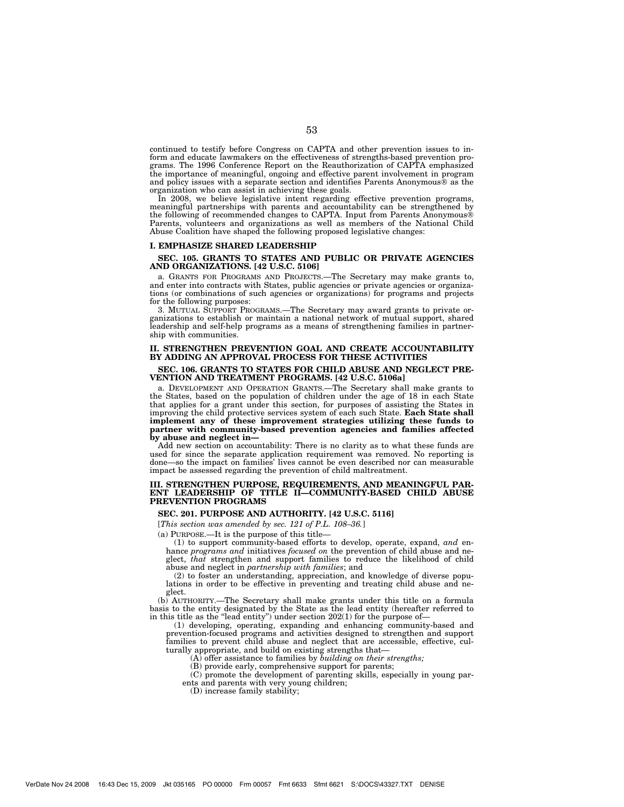continued to testify before Congress on CAPTA and other prevention issues to inform and educate lawmakers on the effectiveness of strengths-based prevention programs. The 1996 Conference Report on the Reauthorization of CAPTA emphasized the importance of meaningful, ongoing and effective parent involvement in program and policy issues with a separate section and identifies Parents Anonymous® as the organization who can assist in achieving these goals.

In 2008, we believe legislative intent regarding effective prevention programs, meaningful partnerships with parents and accountability can be strengthened by the following of recommended changes to CAPTA. Input from Parents Anonymous® Parents, volunteers and organizations as well as members of the National Child Abuse Coalition have shaped the following proposed legislative changes:

# **I. EMPHASIZE SHARED LEADERSHIP**

# **SEC. 105. GRANTS TO STATES AND PUBLIC OR PRIVATE AGENCIES AND ORGANIZATIONS. [42 U.S.C. 5106]**

a. GRANTS FOR PROGRAMS AND PROJECTS.—The Secretary may make grants to, and enter into contracts with States, public agencies or private agencies or organizations (or combinations of such agencies or organizations) for programs and projects for the following purposes:

3. MUTUAL SUPPORT PROGRAMS.—The Secretary may award grants to private organizations to establish or maintain a national network of mutual support, shared leadership and self-help programs as a means of strengthening families in partnership with communities.

# **II. STRENGTHEN PREVENTION GOAL AND CREATE ACCOUNTABILITY BY ADDING AN APPROVAL PROCESS FOR THESE ACTIVITIES**

# **SEC. 106. GRANTS TO STATES FOR CHILD ABUSE AND NEGLECT PRE-VENTION AND TREATMENT PROGRAMS. [42 U.S.C. 5106a]**

a. DEVELOPMENT AND OPERATION GRANTS.—The Secretary shall make grants to the States, based on the population of children under the age of 18 in each State that applies for a grant under this section, for purposes of assisting the States in improving the child protective services system of each such State. **Each State shall implement any of these improvement strategies utilizing these funds to partner with community-based prevention agencies and families affected by abuse and neglect in—** 

Add new section on accountability: There is no clarity as to what these funds are used for since the separate application requirement was removed. No reporting is done—so the impact on families' lives cannot be even described nor can measurable impact be assessed regarding the prevention of child maltreatment.

#### **III. STRENGTHEN PURPOSE, REQUIREMENTS, AND MEANINGFUL PAR-ENT LEADERSHIP OF TITLE II—COMMUNITY-BASED CHILD ABUSE PREVENTION PROGRAMS**

# **SEC. 201. PURPOSE AND AUTHORITY. [42 U.S.C. 5116]**

[*This section was amended by sec. 121 of P.L. 108–36.*]

(a) PURPOSE.—It is the purpose of this title—

(1) to support community-based efforts to develop, operate, expand, *and* enhance *programs and* initiatives *focused on* the prevention of child abuse and neglect, *that* strengthen and support families to reduce the likelihood of child abuse and neglect in *partnership with families*; and

(2) to foster an understanding, appreciation, and knowledge of diverse populations in order to be effective in preventing and treating child abuse and neglect.

(b) AUTHORITY.—The Secretary shall make grants under this title on a formula basis to the entity designated by the State as the lead entity (hereafter referred to in this title as the "lead entity") under section 202(1) for the purpose of-

(1) developing, operating, expanding and enhancing community-based and prevention-focused programs and activities designed to strengthen and support families to prevent child abuse and neglect that are accessible, effective, culturally appropriate, and build on existing strengths that—

(A) offer assistance to families by *building on their strengths;* 

(B) provide early, comprehensive support for parents;

(C) promote the development of parenting skills, especially in young parents and parents with very young children;

(D) increase family stability;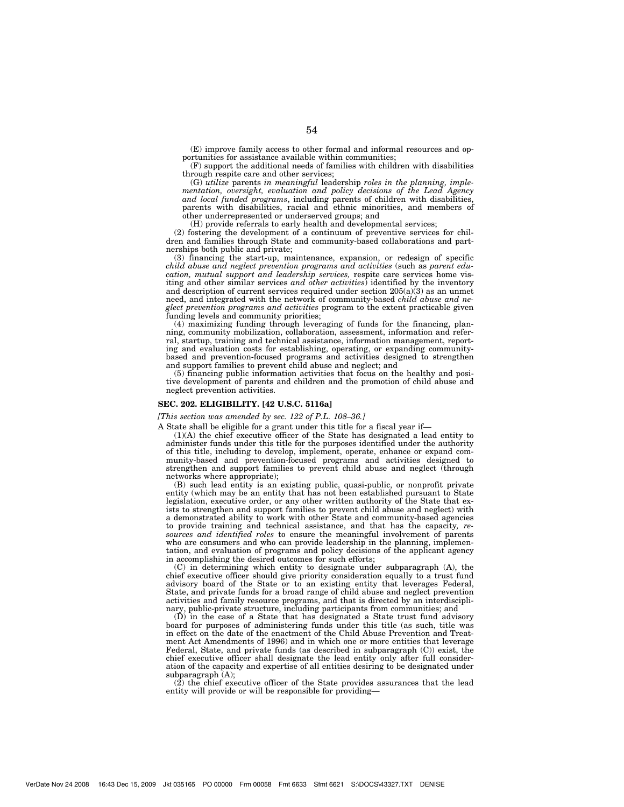(E) improve family access to other formal and informal resources and opportunities for assistance available within communities;

(F) support the additional needs of families with children with disabilities through respite care and other services;

(G) *utilize* parents *in meaningful* leadership *roles in the planning, implementation, oversight, evaluation and policy decisions of the Lead Agency and local funded programs*, including parents of children with disabilities, parents with disabilities, racial and ethnic minorities, and members of other underrepresented or underserved groups; and

(H) provide referrals to early health and developmental services;

(2) fostering the development of a continuum of preventive services for children and families through State and community-based collaborations and partnerships both public and private;

(3) financing the start-up, maintenance, expansion, or redesign of specific *child abuse and neglect prevention programs and activities* (such as *parent education, mutual support and leadership services,* respite care services home visiting and other similar services *and other activities*) identified by the inventory and description of current services required under section  $205(a)(3)$  as an unmet need, and integrated with the network of community-based *child abuse and neglect prevention programs and activities* program to the extent practicable given funding levels and community priorities;

(4) maximizing funding through leveraging of funds for the financing, planning, community mobilization, collaboration, assessment, information and referral, startup, training and technical assistance, information management, reporting and evaluation costs for establishing, operating, or expanding communitybased and prevention-focused programs and activities designed to strengthen and support families to prevent child abuse and neglect; and

(5) financing public information activities that focus on the healthy and positive development of parents and children and the promotion of child abuse and neglect prevention activities.

# **SEC. 202. ELIGIBILITY. [42 U.S.C. 5116a]**

*[This section was amended by sec. 122 of P.L. 108–36.]* 

A State shall be eligible for a grant under this title for a fiscal year if—

 $(1)(A)$  the chief executive officer of the State has designated a lead entity to administer funds under this title for the purposes identified under the authority of this title, including to develop, implement, operate, enhance or expand community-based and prevention-focused programs and activities designed to strengthen and support families to prevent child abuse and neglect (through networks where appropriate);

(B) such lead entity is an existing public, quasi-public, or nonprofit private entity (which may be an entity that has not been established pursuant to State legislation, executive order, or any other written authority of the State that exists to strengthen and support families to prevent child abuse and neglect) with a demonstrated ability to work with other State and community-based agencies to provide training and technical assistance, and that has the capacity*, resources and identified roles* to ensure the meaningful involvement of parents who are consumers and who can provide leadership in the planning, implementation, and evaluation of programs and policy decisions of the applicant agency in accomplishing the desired outcomes for such efforts;

(C) in determining which entity to designate under subparagraph (A), the chief executive officer should give priority consideration equally to a trust fund advisory board of the State or to an existing entity that leverages Federal, State, and private funds for a broad range of child abuse and neglect prevention activities and family resource programs, and that is directed by an interdisciplinary, public-private structure, including participants from communities; and

(D) in the case of a State that has designated a State trust fund advisory board for purposes of administering funds under this title (as such, title was in effect on the date of the enactment of the Child Abuse Prevention and Treatment Act Amendments of 1996) and in which one or more entities that leverage Federal, State, and private funds (as described in subparagraph (C)) exist, the chief executive officer shall designate the lead entity only after full consideration of the capacity and expertise of all entities desiring to be designated under subparagraph (A);

(2) the chief executive officer of the State provides assurances that the lead entity will provide or will be responsible for providing—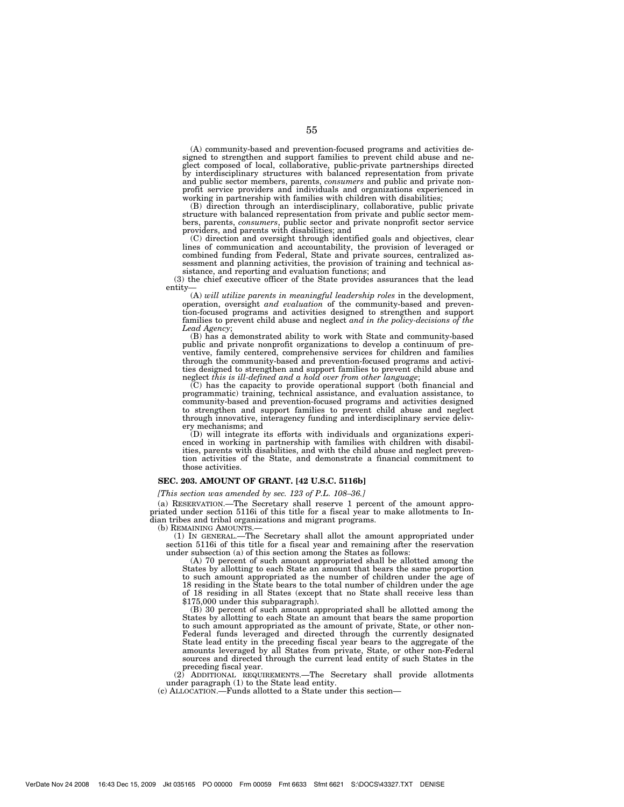(A) community-based and prevention-focused programs and activities designed to strengthen and support families to prevent child abuse and neglect composed of local, collaborative, public-private partnerships directed by interdisciplinary structures with balanced representation from private and public sector members, parents, *consumers* and public and private nonprofit service providers and individuals and organizations experienced in working in partnership with families with children with disabilities;

(B) direction through an interdisciplinary, collaborative, public private structure with balanced representation from private and public sector members, parents, *consumers*, public sector and private nonprofit sector service providers, and parents with disabilities; and

(C) direction and oversight through identified goals and objectives, clear lines of communication and accountability, the provision of leveraged or combined funding from Federal, State and private sources, centralized assessment and planning activities, the provision of training and technical assistance, and reporting and evaluation functions; and

(3) the chief executive officer of the State provides assurances that the lead entity—

(A) *will utilize parents in meaningful leadership roles* in the development, operation, oversight *and evaluation* of the community-based and prevention-focused programs and activities designed to strengthen and support families to prevent child abuse and neglect *and in the policy-decisions of the Lead Agency*;

(B) has a demonstrated ability to work with State and community-based public and private nonprofit organizations to develop a continuum of preventive, family centered, comprehensive services for children and families through the community-based and prevention-focused programs and activities designed to strengthen and support families to prevent child abuse and neglect *this is ill-defined and a hold over from other language*;

(C) has the capacity to provide operational support (both financial and programmatic) training, technical assistance, and evaluation assistance, to community-based and prevention-focused programs and activities designed to strengthen and support families to prevent child abuse and neglect through innovative, interagency funding and interdisciplinary service delivery mechanisms; and

(D) will integrate its efforts with individuals and organizations experienced in working in partnership with families with children with disabilities, parents with disabilities, and with the child abuse and neglect prevention activities of the State, and demonstrate a financial commitment to those activities.

### **SEC. 203. AMOUNT OF GRANT. [42 U.S.C. 5116b]**

*[This section was amended by sec. 123 of P.L. 108–36.]* 

(a) RESERVATION.—The Secretary shall reserve 1 percent of the amount appro-priated under section 5116i of this title for a fiscal year to make allotments to Indian tribes and tribal organizations and migrant programs.

(b) REMAINING AMOUNTS.—

(1) IN GENERAL.—The Secretary shall allot the amount appropriated under section 5116i of this title for a fiscal year and remaining after the reservation under subsection (a) of this section among the States as follows:

(A) 70 percent of such amount appropriated shall be allotted among the States by allotting to each State an amount that bears the same proportion to such amount appropriated as the number of children under the age of 18 residing in the State bears to the total number of children under the age of 18 residing in all States (except that no State shall receive less than \$175,000 under this subparagraph).

(B) 30 percent of such amount appropriated shall be allotted among the States by allotting to each State an amount that bears the same proportion to such amount appropriated as the amount of private, State, or other non-Federal funds leveraged and directed through the currently designated State lead entity in the preceding fiscal year bears to the aggregate of the amounts leveraged by all States from private, State, or other non-Federal sources and directed through the current lead entity of such States in the preceding fiscal year.

(2) ADDITIONAL REQUIREMENTS.—The Secretary shall provide allotments under paragraph (1) to the State lead entity.

(c) ALLOCATION.—Funds allotted to a State under this section—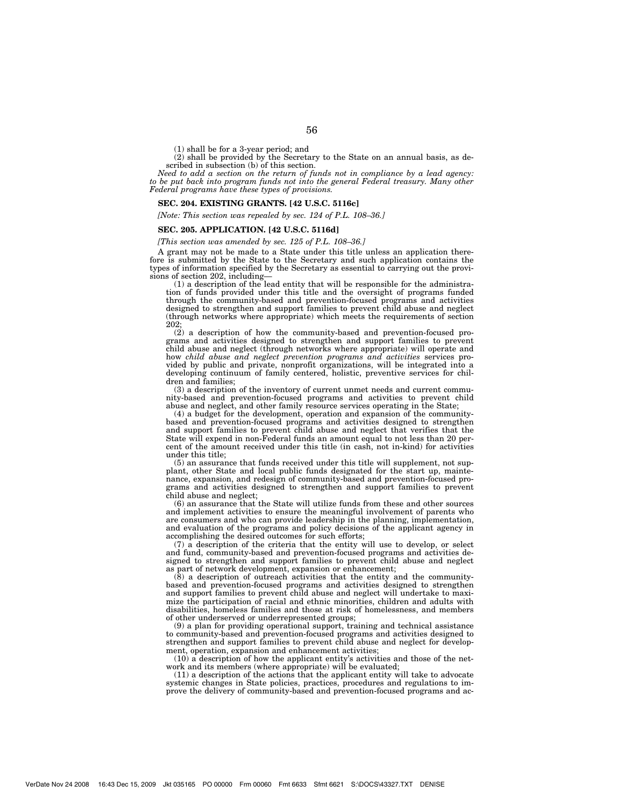(1) shall be for a 3-year period; and

(2) shall be provided by the Secretary to the State on an annual basis, as described in subsection (b) of this section.

*Need to add a section on the return of funds not in compliance by a lead agency: to be put back into program funds not into the general Federal treasury. Many other Federal programs have these types of provisions.* 

#### **SEC. 204. EXISTING GRANTS. [42 U.S.C. 5116c]**

*[Note: This section was repealed by sec. 124 of P.L. 108–36.]* 

# **SEC. 205. APPLICATION. [42 U.S.C. 5116d]**

#### *[This section was amended by sec. 125 of P.L. 108–36.]*

A grant may not be made to a State under this title unless an application therefore is submitted by the State to the Secretary and such application contains the types of information specified by the Secretary as essential to carrying out the provisions of section 202, including—

(1) a description of the lead entity that will be responsible for the administration of funds provided under this title and the oversight of programs funded through the community-based and prevention-focused programs and activities designed to strengthen and support families to prevent child abuse and neglect (through networks where appropriate) which meets the requirements of section 202;

(2) a description of how the community-based and prevention-focused programs and activities designed to strengthen and support families to prevent child abuse and neglect (through networks where appropriate) will operate and how *child abuse and neglect prevention programs and activities* services provided by public and private, nonprofit organizations, will be integrated into a developing continuum of family centered, holistic, preventive services for children and families;

(3) a description of the inventory of current unmet needs and current community-based and prevention-focused programs and activities to prevent child abuse and neglect, and other family resource services operating in the State;

(4) a budget for the development, operation and expansion of the communitybased and prevention-focused programs and activities designed to strengthen and support families to prevent child abuse and neglect that verifies that the State will expend in non-Federal funds an amount equal to not less than 20 percent of the amount received under this title (in cash, not in-kind) for activities under this title;

(5) an assurance that funds received under this title will supplement, not supplant, other State and local public funds designated for the start up, maintenance, expansion, and redesign of community-based and prevention-focused programs and activities designed to strengthen and support families to prevent child abuse and neglect;

(6) an assurance that the State will utilize funds from these and other sources and implement activities to ensure the meaningful involvement of parents who are consumers and who can provide leadership in the planning, implementation, and evaluation of the programs and policy decisions of the applicant agency in accomplishing the desired outcomes for such efforts;

(7) a description of the criteria that the entity will use to develop, or select and fund, community-based and prevention-focused programs and activities designed to strengthen and support families to prevent child abuse and neglect as part of network development, expansion or enhancement;

(8) a description of outreach activities that the entity and the communitybased and prevention-focused programs and activities designed to strengthen and support families to prevent child abuse and neglect will undertake to maximize the participation of racial and ethnic minorities, children and adults with disabilities, homeless families and those at risk of homelessness, and members of other underserved or underrepresented groups;

(9) a plan for providing operational support, training and technical assistance to community-based and prevention-focused programs and activities designed to strengthen and support families to prevent child abuse and neglect for development, operation, expansion and enhancement activities;

(10) a description of how the applicant entity's activities and those of the network and its members (where appropriate) will be evaluated;

(11) a description of the actions that the applicant entity will take to advocate systemic changes in State policies, practices, procedures and regulations to improve the delivery of community-based and prevention-focused programs and ac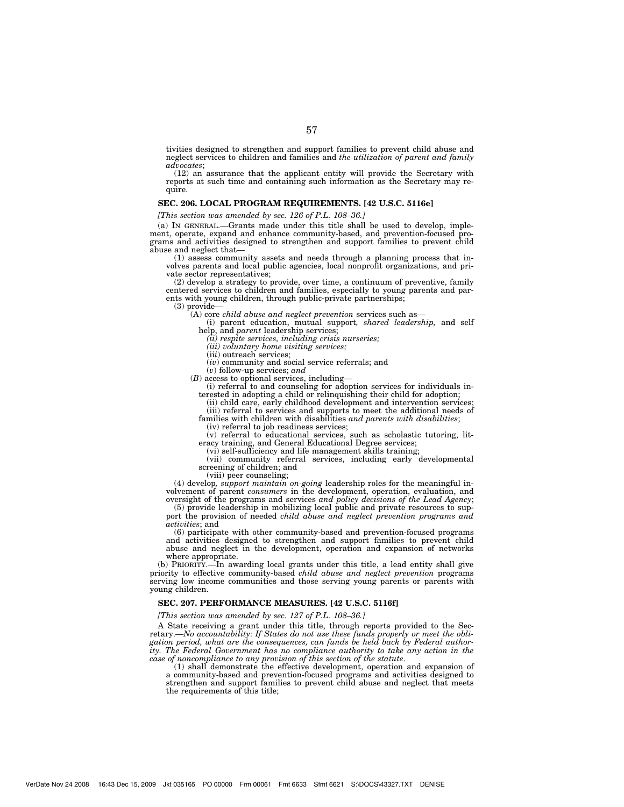tivities designed to strengthen and support families to prevent child abuse and neglect services to children and families and *the utilization of parent and family advocates*;

 $(12)$  an assurance that the applicant entity will provide the Secretary with reports at such time and containing such information as the Secretary may require.

# **SEC. 206. LOCAL PROGRAM REQUIREMENTS. [42 U.S.C. 5116e]**

*[This section was amended by sec. 126 of P.L. 108–36.]* 

(a) IN GENERAL.—Grants made under this title shall be used to develop, implement, operate, expand and enhance community-based, and prevention-focused programs and activities designed to strengthen and support families to prevent child abuse and neglect that—

(1) assess community assets and needs through a planning process that involves parents and local public agencies, local nonprofit organizations, and private sector representatives;

(2) develop a strategy to provide, over time, a continuum of preventive, family centered services to children and families, especially to young parents and parents with young children, through public-private partnerships;

(3) provide—

(A) core *child abuse and neglect prevention* services such as—

(i) parent education, mutual support*, shared leadership,* and self help, and *parent* leadership services;

*(ii) respite services, including crisis nurseries;* 

*(iii) voluntary home visiting services;* 

(ii*i*) outreach services;

(*iv*) community and social service referrals; and

(*v*) follow-up services; *and* 

(*B*) access to optional services, including—

(i) referral to and counseling for adoption services for individuals interested in adopting a child or relinquishing their child for adoption;

(ii) child care, early childhood development and intervention services; (iii) referral to services and supports to meet the additional needs of

families with children with disabilities *and parents with disabilities*; (iv) referral to job readiness services;

(v) referral to educational services, such as scholastic tutoring, literacy training, and General Educational Degree services;

(vi) self-sufficiency and life management skills training;

(vii) community referral services, including early developmental screening of children; and

(viii) peer counseling;

(4) develop*, support maintain on-going* leadership roles for the meaningful involvement of parent *consumers* in the development, operation, evaluation, and oversight of the programs and services *and policy decisions of the Lead Agency*;

(5) provide leadership in mobilizing local public and private resources to support the provision of needed *child abuse and neglect prevention programs and activities*; and

(6) participate with other community-based and prevention-focused programs and activities designed to strengthen and support families to prevent child abuse and neglect in the development, operation and expansion of networks where appropriate.

(b) PRIORITY.—In awarding local grants under this title, a lead entity shall give priority to effective community-based *child abuse and neglect prevention* programs serving low income communities and those serving young parents or parents with young children.

# **SEC. 207. PERFORMANCE MEASURES. [42 U.S.C. 5116f]**

*[This section was amended by sec. 127 of P.L. 108–36.]* 

A State receiving a grant under this title, through reports provided to the Secretary.—*No accountability: If States do not use these funds properly or meet the obligation period, what are the consequences, can funds be held back by Federal authority. The Federal Government has no compliance authority to take any action in the case of noncompliance to any provision of this section of the statute*.

(1) shall demonstrate the effective development, operation and expansion of a community-based and prevention-focused programs and activities designed to strengthen and support families to prevent child abuse and neglect that meets the requirements of this title;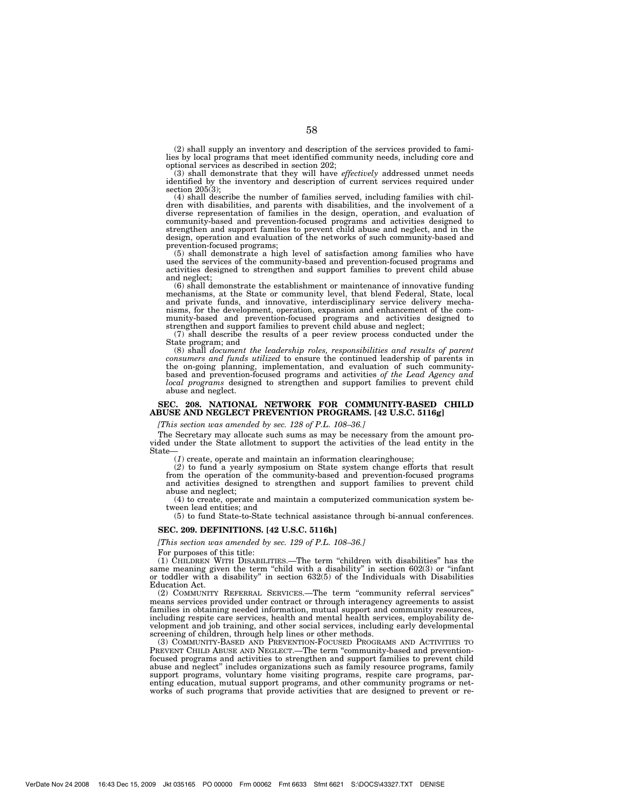(2) shall supply an inventory and description of the services provided to families by local programs that meet identified community needs, including core and optional services as described in section 202;

(3) shall demonstrate that they will have *effectively* addressed unmet needs identified by the inventory and description of current services required under section  $205(3)$ :

(4) shall describe the number of families served, including families with chil-dren with disabilities, and parents with disabilities, and the involvement of a diverse representation of families in the design, operation, and evaluation of community-based and prevention-focused programs and activities designed to strengthen and support families to prevent child abuse and neglect, design, operation and evaluation of the networks of such community-based and prevention-focused programs;

(5) shall demonstrate a high level of satisfaction among families who have used the services of the community-based and prevention-focused programs and activities designed to strengthen and support families to prevent child abuse and neglect;

(6) shall demonstrate the establishment or maintenance of innovative funding mechanisms, at the State or community level, that blend Federal, State, local and private funds, and innovative, interdisciplinary service delivery mechanisms, for the development, operation, expansion and enhancement of the community-based and prevention-focused programs and activities designed to

(7) shall describe the results of a peer review process conducted under the State program; and

(8) shall document the leadership roles, responsibilities and results of parent consumers and funds utilized to ensure the continued leadership of parents in the on-going planning, implementation, and evaluation of such c abuse and neglect.

# **SEC. 208. NATIONAL NETWORK FOR COMMUNITY-BASED CHILD ABUSE AND NEGLECT PREVENTION PROGRAMS. [42 U.S.C. 5116g]**

*[This section was amended by sec. 128 of P.L. 108–36.]* 

The Secretary may allocate such sums as may be necessary from the amount provided under the State allotment to support the activities of the lead entity in the State—

(*1*) create, operate and maintain an information clearinghouse;

(*2*) to fund a yearly symposium on State system change efforts that result from the operation of the community-based and prevention-focused programs and activities designed to strengthen and support families to prevent child abuse and neglect;

(4) to create, operate and maintain a computerized communication system between lead entities; and

(5) to fund State-to-State technical assistance through bi-annual conferences.

# **SEC. 209. DEFINITIONS. [42 U.S.C. 5116h]**

*[This section was amended by sec. 129 of P.L. 108–36.]* 

For purposes of this title:

(1) CHILDREN WITH DISABILITIES.—The term ''children with disabilities'' has the same meaning given the term "child with a disability" in section 602(3) or "infant or toddler with a disability'' in section 632(5) of the Individuals with Disabilities Education Act.

(2) COMMUNITY REFERRAL SERVICES.—The term ''community referral services'' means services provided under contract or through interagency agreements to assist families in obtaining needed information, mutual support and community resources, including respite care services, health and mental health services, employability development and job training, and other social services, including early developmental screening of children, through help lines or other methods.

(3) COMMUNITY-BASED AND PREVENTION-FOCUSED PROGRAMS AND ACTIVITIES TO PREVENT CHILD ABUSE AND NEGLECT.—The term "community-based and preventionfocused programs and activities to strengthen and support families to prevent child abuse and neglect'' includes organizations such as family resource programs, family support programs, voluntary home visiting programs, respite care programs, par-enting education, mutual support programs, and other community programs or networks of such programs that provide activities that are designed to prevent or re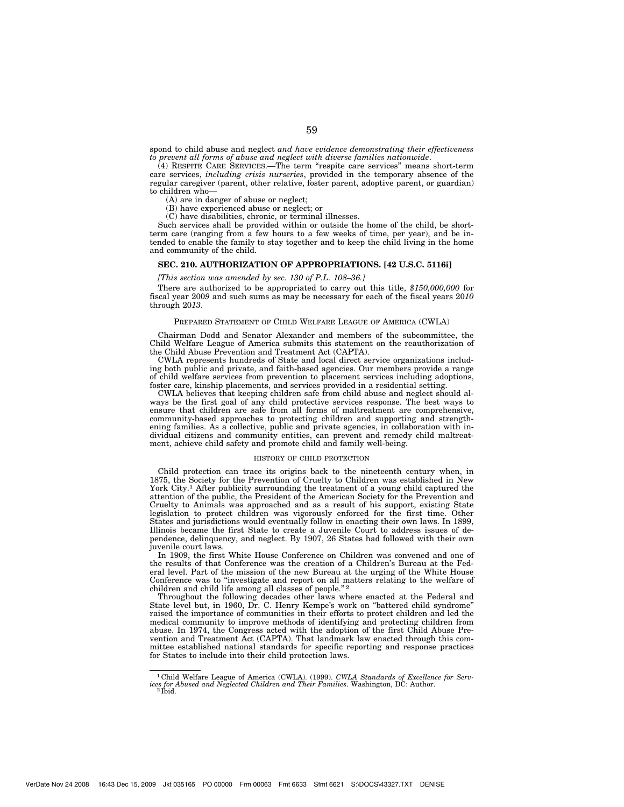spond to child abuse and neglect *and have evidence demonstrating their effectiveness to prevent all forms of abuse and neglect with diverse families nationwide*.

(4) RESPITE CARE SERVICES.—The term ''respite care services'' means short-term care services, *including crisis nurseries*, provided in the temporary absence of the regular caregiver (parent, other relative, foster parent, adoptive parent, or guardian) to children who—

(A) are in danger of abuse or neglect;

(B) have experienced abuse or neglect; or

(C) have disabilities, chronic, or terminal illnesses.

Such services shall be provided within or outside the home of the child, be shortterm care (ranging from a few hours to a few weeks of time, per year), and be intended to enable the family to stay together and to keep the child living in the home and community of the child.

#### **SEC. 210. AUTHORIZATION OF APPROPRIATIONS. [42 U.S.C. 5116i]**

*[This section was amended by sec. 130 of P.L. 108–36.]* 

There are authorized to be appropriated to carry out this title, *\$150,000,000* for fiscal year 200*9* and such sums as may be necessary for each of the fiscal years 20*10*  through 20*13*.

#### PREPARED STATEMENT OF CHILD WELFARE LEAGUE OF AMERICA (CWLA)

Chairman Dodd and Senator Alexander and members of the subcommittee, the Child Welfare League of America submits this statement on the reauthorization of the Child Abuse Prevention and Treatment Act (CAPTA).

CWLA represents hundreds of State and local direct service organizations including both public and private, and faith-based agencies. Our members provide a range of child welfare services from prevention to placement services including adoptions, foster care, kinship placements, and services provided in a residential setting.

CWLA believes that keeping children safe from child abuse and neglect should always be the first goal of any child protective services response. The best ways to ensure that children are safe from all forms of maltreatment are comprehensive, community-based approaches to protecting children and supporting and strengthening families. As a collective, public and private agencies, in collaboration with individual citizens and community entities, can prevent and remedy child maltreatment, achieve child safety and promote child and family well-being.

#### HISTORY OF CHILD PROTECTION

Child protection can trace its origins back to the nineteenth century when, in 1875, the Society for the Prevention of Cruelty to Children was established in New York City.1 After publicity surrounding the treatment of a young child captured the attention of the public, the President of the American Society for the Prevention and Cruelty to Animals was approached and as a result of his support, existing State legislation to protect children was vigorously enforced for the first time. Other States and jurisdictions would eventually follow in enacting their own laws. In 1899, Illinois became the first State to create a Juvenile Court to address issues of dependence, delinquency, and neglect. By 1907, 26 States had followed with their own juvenile court laws.

In 1909, the first White House Conference on Children was convened and one of the results of that Conference was the creation of a Children's Bureau at the Federal level. Part of the mission of the new Bureau at the urging of the White House Conference was to ''investigate and report on all matters relating to the welfare of children and child life among all classes of people."<sup>2</sup>

Throughout the following decades other laws where enacted at the Federal and State level but, in 1960, Dr. C. Henry Kempe's work on ''battered child syndrome'' raised the importance of communities in their efforts to protect children and led the medical community to improve methods of identifying and protecting children from abuse. In 1974, the Congress acted with the adoption of the first Child Abuse Prevention and Treatment Act (CAPTA). That landmark law enacted through this committee established national standards for specific reporting and response practices for States to include into their child protection laws.

<sup>1</sup> Child Welfare League of America (CWLA). (1999). *CWLA Standards of Excellence for Services for Abused and Neglected Children and Their Families*. Washington, DC: Author. 2 Ibid.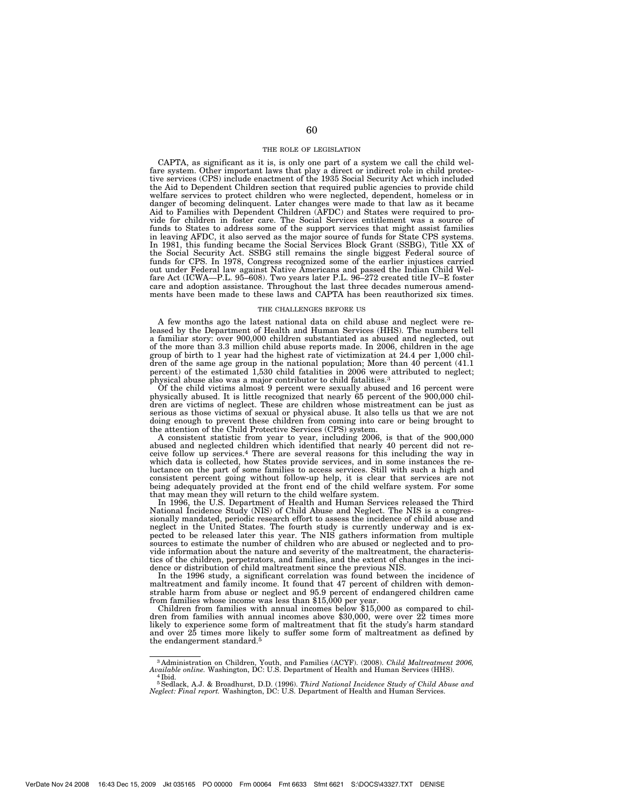# THE ROLE OF LEGISLATION

CAPTA, as significant as it is, is only one part of a system we call the child welfare system. Other important laws that play a direct or indirect role in child protective services (CPS) include enactment of the 1935 Social Security Act which included the Aid to Dependent Children section that required public agencies to provide child welfare services to protect children who were neglected, dependent, homeless or in danger of becoming delinquent. Later changes were made to that law as it became Aid to Families with Dependent Children (AFDC) and States were required to provide for children in foster care. The Social Services entitlement was a source of funds to States to address some of the support services that might assist families in leaving AFDC, it also served as the major source of funds for State CPS systems. In 1981, this funding became the Social Services Block Grant (SSBG), Title XX of the Social Security Act. SSBG still remains the single biggest Federal source of funds for CPS. In 1978, Congress recognized some of the earlier injustices carried out under Federal law against Native Americans and passed the Indian Child Welfare Act (ICWA—P.L. 95–608). Two years later P.L. 96–272 created title IV–E foster care and adoption assistance. Throughout the last three decades numerous amendments have been made to these laws and CAPTA has been reauthorized six times.

#### THE CHALLENGES BEFORE US

A few months ago the latest national data on child abuse and neglect were released by the Department of Health and Human Services (HHS). The numbers tell a familiar story: over 900,000 children substantiated as abused and neglected, out of the more than 3.3 million child abuse reports made. In 2006, children in the age group of birth to 1 year had the highest rate of victimization at 24.4 per 1,000 children of the same age group in the national population; More than 40 percent (41.1) percent) of the estimated 1,530 child fatalities in 2006 were attributed to neglect; physical abuse also was a major contributor to child fatalities.3

Of the child victims almost 9 percent were sexually abused and 16 percent were physically abused. It is little recognized that nearly 65 percent of the 900,000 children are victims of neglect. These are children whose mistreatment can be just as serious as those victims of sexual or physical abuse. It also tells us that we are not doing enough to prevent these children from coming into care or being brought to the attention of the Child Protective Services (CPS) system.

A consistent statistic from year to year, including 2006, is that of the 900,000 abused and neglected children which identified that nearly 40 percent did not receive follow up services.4 There are several reasons for this including the way in which data is collected, how States provide services, and in some instances the reluctance on the part of some families to access services. Still with such a high and consistent percent going without follow-up help, it is clear that services are not being adequately provided at the front end of the child welfare system. For some that may mean they will return to the child welfare system.

In 1996, the U.S. Department of Health and Human Services released the Third National Incidence Study (NIS) of Child Abuse and Neglect. The NIS is a congressionally mandated, periodic research effort to assess the incidence of child abuse and neglect in the United States. The fourth study is currently underway and is expected to be released later this year. The NIS gathers information from multiple sources to estimate the number of children who are abused or neglected and to provide information about the nature and severity of the maltreatment, the characteristics of the children, perpetrators, and families, and the extent of changes in the incidence or distribution of child maltreatment since the previous NIS.

In the 1996 study, a significant correlation was found between the incidence of maltreatment and family income. It found that 47 percent of children with demonstrable harm from abuse or neglect and 95.9 percent of endangered children came from families whose income was less than \$15,000 per year.

Children from families with annual incomes below \$15,000 as compared to children from families with annual incomes above \$30,000, were over 22 times more likely to experience some form of maltreatment that fit the study's harm standard and over 25 times more likely to suffer some form of maltreatment as defined by the endangerment standard.5

<sup>3</sup> Administration on Children, Youth, and Families (ACYF). (2008). *Child Maltreatment 2006, Available online.* Washington, DC: U.S. Department of Health and Human Services (HHS). 4 Ibid.

<sup>5</sup>Sedlack, A.J. & Broadhurst, D.D. (1996). *Third National Incidence Study of Child Abuse and Neglect: Final report.* Washington, DC: U.S. Department of Health and Human Services.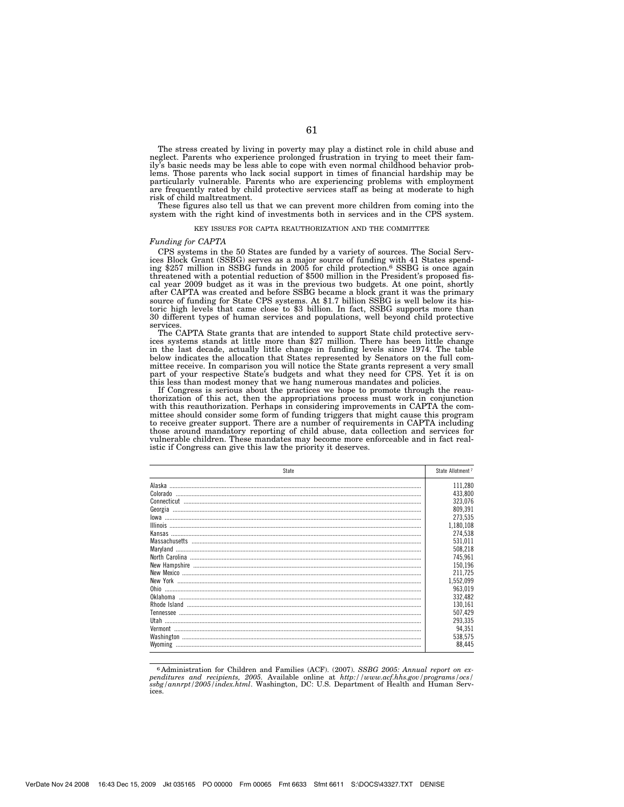The stress created by living in poverty may play a distinct role in child abuse and neglect. Parents who experience prolonged frustration in trying to meet their family's basic needs may be less able to cope with even normal childhood behavior problems. Those parents who lack social support in times of financial hardship may be particularly vulnerable. Parents who are experiencing problems with employment are frequently rated by child protective services staff as being at moderate to high risk of child maltreatment.

These figures also tell us that we can prevent more children from coming into the system with the right kind of investments both in services and in the CPS system.

# KEY ISSUES FOR CAPTA REAUTHORIZATION AND THE COMMITTEE

#### *Funding for CAPTA*

CPS systems in the 50 States are funded by a variety of sources. The Social Services Block Grant (SSBG) serves as a major source of funding with 41 States spend-ing \$257 million in SSBG funds in 2005 for child protection.6 SSBG is once again threatened with a potential reduction of \$500 million in the President's proposed fiscal year 2009 budget as it was in the previous two budgets. At one point, shortly after CAPTA was created and before SSBG became a block grant it was the primary source of funding for State CPS systems. At \$1.7 billion SSBG is well below its historic high levels that came close to \$3 billion. In fact, SSBG supports more than 30 different types of human services and populations, well beyond child protective services.

The CAPTA State grants that are intended to support State child protective services systems stands at little more than \$27 million. There has been little change in the last decade, actually little change in funding levels since 1974. The table below indicates the allocation that States represented by Senators on the full committee receive. In comparison you will notice the State grants represent a very small part of your respective State's budgets and what they need for CPS. Yet it is on this less than modest money that we hang numerous mandates and policies.

If Congress is serious about the practices we hope to promote through the reauthorization of this act, then the appropriations process must work in conjunction with this reauthorization. Perhaps in considering improvements in CAPTA the committee should consider some form of funding triggers that might cause this program to receive greater support. There are a number of requirements in CAPTA including those around mandatory reporting of child abuse, data collection and services for vulnerable children. These mandates may become more enforceable and in fact realistic if Congress can give this law the priority it deserves.

| State | State Allotment <sup>7</sup> |
|-------|------------------------------|
|       | 111,280                      |
|       | 433.800                      |
|       | 323.076                      |
|       | 809,391                      |
|       | 273.535                      |
|       | 1.180.108                    |
|       | 274.538                      |
|       | 531.011                      |
|       | 508.218                      |
|       | 745.961                      |
|       | 150.196                      |
|       | 211.725                      |
|       | 1.552.099                    |
| Ohio  | 963.019                      |
|       | 332.482                      |
|       | 130.161                      |
|       | 507,429                      |
|       | 293.335                      |
|       | 94.351                       |
|       | 538.575                      |
|       | 88.445                       |

<sup>6</sup> Administration for Children and Families (ACF). (2007). SSBG 2005: Annual report on expenditures and recipients, 2005. Available online at  $http://www.acf.hhs.gov/programs/ocs/sbg/annrpt/2005/index.html$ . Washington, DC: U.S. Department of Health and Hu ices.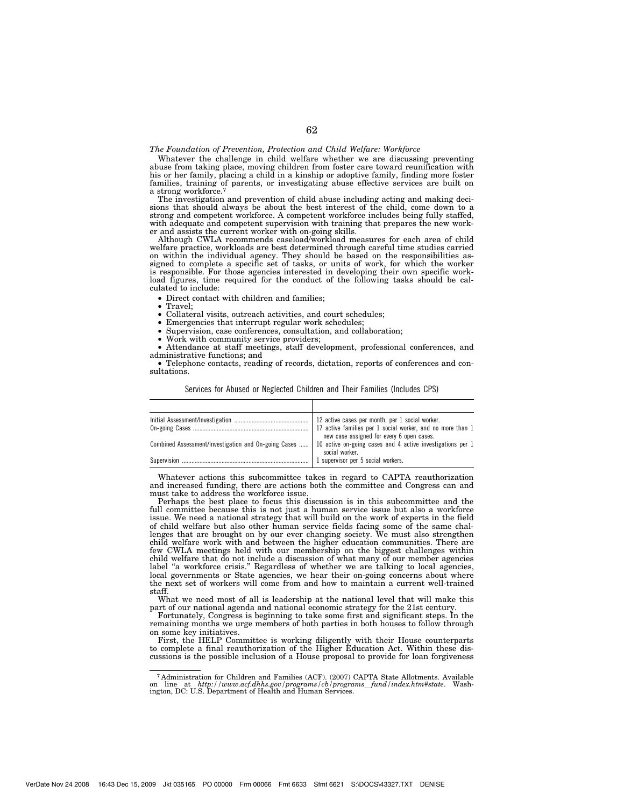# *The Foundation of Prevention, Protection and Child Welfare: Workforce*

Whatever the challenge in child welfare whether we are discussing preventing abuse from taking place, moving children from foster care toward reunification with his or her family, placing a child in a kinship or adoptive family, finding more foster families, training of parents, or investigating abuse effective services are built on a strong workforce.<sup>7</sup>

The investigation and prevention of child abuse including acting and making deci-sions that should always be about the best interest of the child, come down to a strong and competent workforce. A competent workforce includes being fully staffed, with adequate and competent supervision with training that prepares the new work-

er and assists the current worker with on-going skills. Although CWLA recommends caseload/workload measures for each area of child welfare practice, workloads are best determined through careful time studies carried on within the individual agency. They should be based on the responsibilities assigned to complete a specific set of tasks, or units of work, for which the worker is responsible. For those agencies interested in developing their own specific workload figures, time required for the conduct of the following tasks should be calculated to include:

• Direct contact with children and families;

• Travel;

Collateral visits, outreach activities, and court schedules;

- Emergencies that interrupt regular work schedules;
- Supervision, case conferences, consultation, and collaboration;

Work with community service providers;

• Attendance at staff meetings, staff development, professional conferences, and administrative functions; and

• Telephone contacts, reading of records, dictation, reports of conferences and consultations.

Services for Abused or Neglected Children and Their Families (Includes CPS)

|                                                                                                                  | 12 active cases per month, per 1 social worker.<br>new case assigned for every 6 open cases. |
|------------------------------------------------------------------------------------------------------------------|----------------------------------------------------------------------------------------------|
| Combined Assessment/Investigation and On-going Cases  10 active on-going cases and 4 active investigations per 1 | social worker.                                                                               |
|                                                                                                                  | 1 supervisor per 5 social workers.                                                           |

Whatever actions this subcommittee takes in regard to CAPTA reauthorization and increased funding, there are actions both the committee and Congress can and must take to address the workforce issue.

Perhaps the best place to focus this discussion is in this subcommittee and the full committee because this is not just a human service issue but also a workforce issue. We need a national strategy that will build on the work of experts in the field of child welfare but also other human service fields facing some of the same challenges that are brought on by our ever changing society. We must also strengthen child welfare work with and between the higher education communities. There are few CWLA meetings held with our membership on the biggest challenges within child welfare that do not include a discussion of what many of our member agencies label ''a workforce crisis.'' Regardless of whether we are talking to local agencies, local governments or State agencies, we hear their on-going concerns about where the next set of workers will come from and how to maintain a current well-trained staff.

What we need most of all is leadership at the national level that will make this part of our national agenda and national economic strategy for the 21st century

Fortunately, Congress is beginning to take some first and significant steps. In the remaining months we urge members of both parties in both houses to follow through on some key initiatives.

First, the HELP Committee is working diligently with their House counterparts to complete a final reauthorization of the Higher Education Act. Within these discussions is the possible inclusion of a House proposal to provide for loan forgiveness

<sup>7</sup> Administration for Children and Families (ACF). (2007) CAPTA State Allotments. Available on line at *http://www.acf.dhhs.gov/programs/cb/programs*l*fund/index.htm#state*. Wash-ington, DC: U.S. Department of Health and Human Services.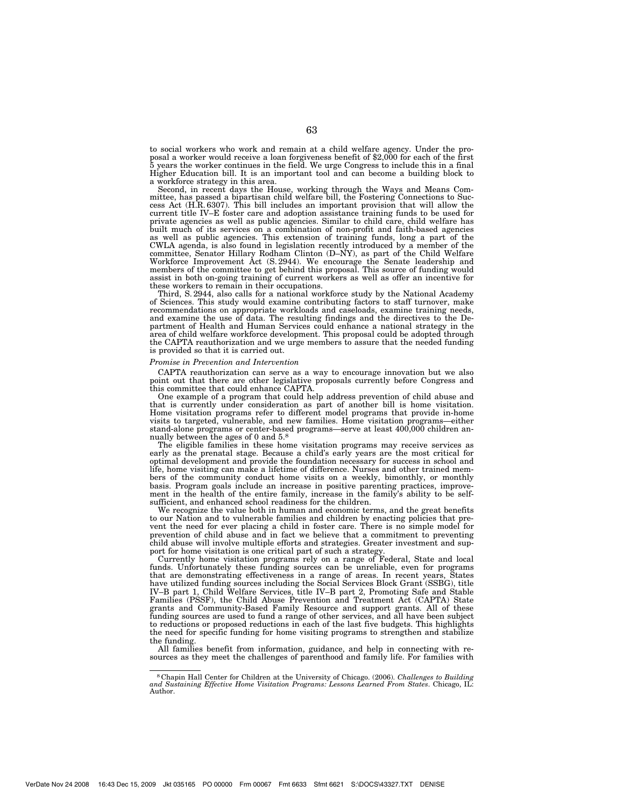to social workers who work and remain at a child welfare agency. Under the pro-<br>posal a worker would receive a loan forgiveness benefit of \$2,000 for each of the first<br>5 years the worker continues in the field. We urge Con Higher Education bill. It is an important tool and can become a building block to a workforce strategy in this area.

Second, in recent days the House, working through the Ways and Means Com-<br>mittee, has passed a bipartisan child welfare bill, the Fostering Connections to Suc-<br>cess Act (H.R. 6307). This bill includes an important provisio current title IV–E foster care and adoption assistance training funds to be used for private agencies as well as public agencies. Similar to child care, child welfare has built much of its services on a combination of non-profit and faith-based agencies as well as public agencies. This extension of training funds, long a part of the CWLA agenda, is also found in legislation recently introduced by a member of the committee, Senator Hillary Rodham Clinton (D–NY), as part of the Child Welfare<br>Workforce Improvement Act (S. 2944). We encourage the Senate leadership and<br>members of the committee to get behind this proposal. This source o assist in both on-going training of current workers as well as offer an incentive for these workers to remain in their occupations.

Third, S. 2944, also calls for a national workforce study by the National Academy of Sciences. This study would examine contributing factors to staff turnover, make recommendations on appropriate workloads and caseloads, examine training needs, and examine the use of data. The resulting findings and the directives to the De-partment of Health and Human Services could enhance a national strategy in the area of child welfare workforce development. This proposal could be adopted through the CAPTA reauthorization and we urge members to assure that the needed funding is provided so that it is carried out.

#### *Promise in Prevention and Intervention*

CAPTA reauthorization can serve as a way to encourage innovation but we also point out that there are other legislative proposals currently before Congress and this committee that could enhance CAPTA.

One example of a program that could help address prevention of child abuse and that is currently under consideration as part of another bill is home visitation. Home visitation programs refer to different model programs that provide in-home visits to targeted, vulnerable, and new families. Home visitation programs—either stand-alone programs or center-based programs—serve at least 400,000 children annually between the ages of 0 and 5.

The eligible families in these home visitation programs may receive services as early as the prenatal stage. Because a child's early years are the most critical for optimal development and provide the foundation necessary for success in school and life, home visiting can make a lifetime of difference. Nurses and other trained members of the community conduct home visits on a weekly, bimonthly, or monthly basis. Program goals include an increase in positive parenting practices, improvement in the health of the entire family, increase in the family's ability to be selfsufficient, and enhanced school readiness for the children.

We recognize the value both in human and economic terms, and the great benefits to our Nation and to vulnerable families and children by enacting policies that prevent the need for ever placing a child in foster care. There is no simple model for prevention of child abuse and in fact we believe that a commitment to preventing child abuse will involve multiple efforts and strategies. Greater investment and support for home visitation is one critical part of such a strategy

Currently home visitation programs rely on a range of Federal, State and local funds. Unfortunately these funding sources can be unreliable, even for programs that are demonstrating effectiveness in a range of areas. In recent years, States have utilized funding sources including the Social Services Block Grant (SSBG), title IV–B part 1, Child Welfare Services, title IV–B part 2, Promoting Safe and Stable Families (PSSF), the Child Abuse Prevention and Treatment Act (CAPTA) State grants and Community-Based Family Resource and support grants. All of these funding sources are used to fund a range of other services, and all have been subject to reductions or proposed reductions in each of the last five budgets. This highlights the need for specific funding for home visiting programs to strengthen and stabilize the funding.

All families benefit from information, guidance, and help in connecting with resources as they meet the challenges of parenthood and family life. For families with

<sup>8</sup> Chapin Hall Center for Children at the University of Chicago. (2006). *Challenges to Building and Sustaining Effective Home Visitation Programs: Lessons Learned From States*. Chicago, IL: **Author**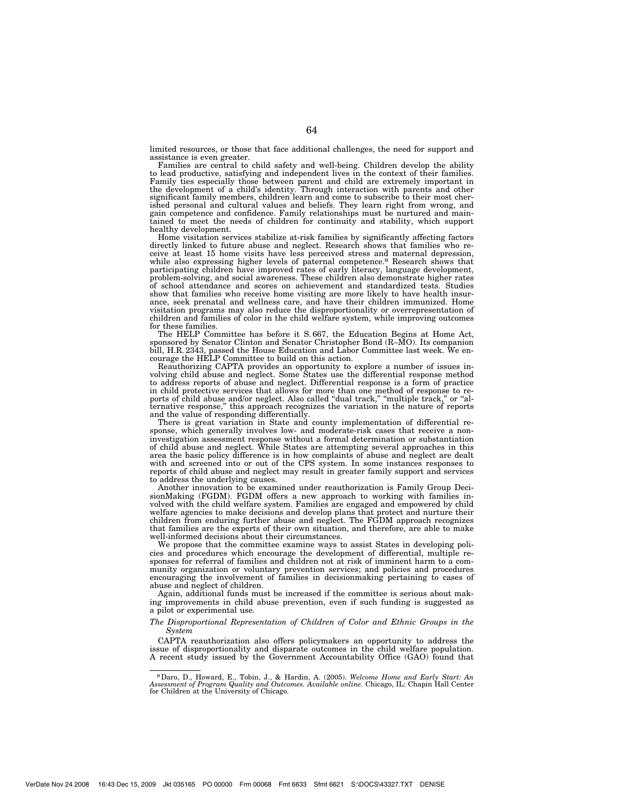limited resources, or those that face additional challenges, the need for support and assistance is even greater.

Families are central to child safety and well-being. Children develop the ability to lead productive, satisfying and independent lives in the context of their families. Family ties especially those between parent and child are extremely important in the development of a child's identity. Through interaction with parents and other significant family members, children learn and come to subscribe to their most cher-ished personal and cultural values and beliefs. They learn right from wrong, and gain competence and confidence. Family relationships must be nurtured and main-tained to meet the needs of children for continuity and stability, which support healthy development.

Home visitation services stabilize at-risk families by significantly affecting factors directly linked to future abuse and neglect. Research shows that families who receive at least 15 home visits have less perceived stress and maternal depression, while also expressing higher levels of paternal competence.9 Research shows that participating children have improved rates of early literacy, language development, problem-solving, and social awareness. These children also demonstrate higher rates of school attendance and scores on achievement and standardized tests. Studies show that families who receive home visiting are more likely to have health insurance, seek prenatal and wellness care, and have their children immunized. Home visitation programs may also reduce the disproportionality or overrepresentation of children and families of color in the child welfare system, while improving outcomes for these families.

The HELP Committee has before it S. 667, the Education Begins at Home Act, sponsored by Senator Clinton and Senator Christopher Bond (R–MO). Its companion bill, H.R. 2343, passed the House Education and Labor Committee last week. We en-courage the HELP Committee to build on this action.

Reauthorizing CAPTA provides an opportunity to explore a number of issues in-volving child abuse and neglect. Some States use the differential response method to address reports of abuse and neglect. Differential response is a form of practice in child protective services that allows for more than one method of response to re-<br>ports of child abuse and/or neglect. Also called "dual track," "multiple track," or "al-<br>ternative response," this approach recognizes th

and the value of responding differentially. There is great variation in State and county implementation of differential response, which generally involves low- and moderate-risk cases that receive a noninvestigation assessment response without a formal determination or substantiation of child abuse and neglect. While States are attempting several approaches in this area the basic policy difference is in how complaints of abuse and neglect are dealt with and screened into or out of the CPS system. In some instances responses to reports of child abuse and neglect may result in greater family support and services to address the underlying causes.

Another innovation to be examined under reauthorization is Family Group DecisionMaking (FGDM). FGDM offers a new approach to working with families involved with the child welfare system. Families are engaged and empowered by child welfare agencies to make decisions and develop plans that protect and nurture their children from enduring further abuse and neglect. The FGDM approach recognizes that families are the experts of their own situation, and therefore, are able to make well-informed decisions about their circumstances.

We propose that the committee examine ways to assist States in developing policies and procedures which encourage the development of differential, multiple responses for referral of families and children not at risk of imminent harm to a community organization or voluntary prevention services; and policies and procedures encouraging the involvement of families in decisionmaking pertaining to cases of abuse and neglect of children.

Again, additional funds must be increased if the committee is serious about making improvements in child abuse prevention, even if such funding is suggested as a pilot or experimental use.

# *The Disproportional Representation of Children of Color and Ethnic Groups in the System*

CAPTA reauthorization also offers policymakers an opportunity to address the issue of disproportionality and disparate outcomes in the child welfare population. A recent study issued by the Government Accountability Office (GAO) found that

<sup>9</sup>Daro, D., Howard, E., Tobin, J., & Hardin, A. (2005). *Welcome Home and Early Start: An*  Assessment of Program Quality and Outcomes. Available online. Chicago, IL: Chapin Hall Center<br>for Children at the University of Chicago.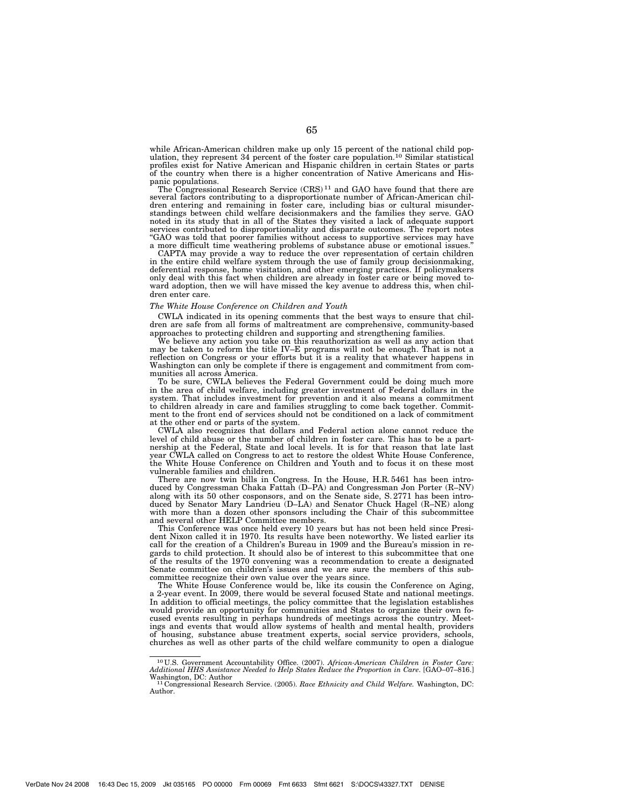while African-American children make up only 15 percent of the national child pop-ulation, they represent 34 percent of the foster care population.10 Similar statistical profiles exist for Native American and Hispanic children in certain States or parts of the country when there is a higher concentration of Native Americans and Hispanic populations.

The Congressional Research Service  $(CRS)^{11}$  and GAO have found that there are several factors contributing to a disproportionate number of African-American children entering and remaining in foster care, including bias or cultural misunderstandings between child welfare decisionmakers and the families they serve. GAO noted in its study that in all of the States they visited a lack of adequate support services contributed to disproportionality and disparate outcomes. The report notes ''GAO was told that poorer families without access to supportive services may have a more difficult time weathering problems of substance abuse or emotional issues.''

CAPTA may provide a way to reduce the over representation of certain children in the entire child welfare system through the use of family group decisionmaking, deferential response, home visitation, and other emerging practices. If policymakers only deal with this fact when children are already in foster care or being moved toward adoption, then we will have missed the key avenue to address this, when children enter care.

# *The White House Conference on Children and Youth*

CWLA indicated in its opening comments that the best ways to ensure that children are safe from all forms of maltreatment are comprehensive, community-based approaches to protecting children and supporting and strengthening families.

We believe any action you take on this reauthorization as well as any action that may be taken to reform the title IV–E programs will not be enough. That is not a reflection on Congress or your efforts but it is a reality that whatever happens in Washington can only be complete if there is engagement and commitment from communities all across America.

To be sure, CWLA believes the Federal Government could be doing much more in the area of child welfare, including greater investment of Federal dollars in the system. That includes investment for prevention and it also means a commitment to children already in care and families struggling to come back together. Commitment to the front end of services should not be conditioned on a lack of commitment at the other end or parts of the system.

CWLA also recognizes that dollars and Federal action alone cannot reduce the level of child abuse or the number of children in foster care. This has to be a partnership at the Federal, State and local levels. It is for that reason that late last year CWLA called on Congress to act to restore the oldest White House Conference, the White House Conference on Children and Youth and to focus it on these most vulnerable families and children.

There are now twin bills in Congress. In the House, H.R. 5461 has been introduced by Congressman Chaka Fattah (D–PA) and Congressman Jon Porter (R–NV) along with its 50 other cosponsors, and on the Senate side, S. 2771 has been introduced by Senator Mary Landrieu (D–LA) and Senator Chuck Hagel (R–NE) along with more than a dozen other sponsors including the Chair of this subcommittee and several other HELP Committee members.

This Conference was once held every 10 years but has not been held since President Nixon called it in 1970. Its results have been noteworthy. We listed earlier its call for the creation of a Children's Bureau in 1909 and the Bureau's mission in regards to child protection. It should also be of interest to this subcommittee that one of the results of the 1970 convening was a recommendation to create a designated Senate committee on children's issues and we are sure the members of this subcommittee recognize their own value over the years since.

The White House Conference would be, like its cousin the Conference on Aging, a 2-year event. In 2009, there would be several focused State and national meetings. In addition to official meetings, the policy committee that the legislation establishes would provide an opportunity for communities and States to organize their own focused events resulting in perhaps hundreds of meetings across the country. Meetings and events that would allow systems of health and mental health, providers of housing, substance abuse treatment experts, social service providers, schools, churches as well as other parts of the child welfare community to open a dialogue

<sup>10</sup> U.S. Government Accountability Office. (2007). *African-American Children in Foster Care: Additional HHS Assistance Needed to Help States Reduce the Proportion in Care*. [GAO–07–816.] Washington, DC: Author 11 Congressional Research Service. (2005). *Race Ethnicity and Child Welfare.* Washington, DC:

Author.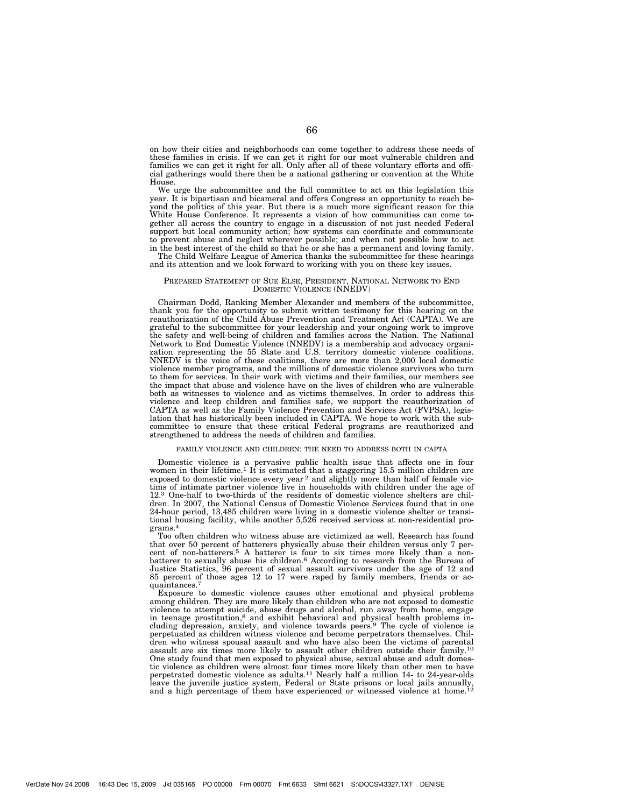on how their cities and neighborhoods can come together to address these needs of these families in crisis. If we can get it right for our most vulnerable children and families we can get it right for all. Only after all of these voluntary efforts and official gatherings would there then be a national gathering or convention at the White House.

We urge the subcommittee and the full committee to act on this legislation this year. It is bipartisan and bicameral and offers Congress an opportunity to reach beyond the politics of this year. But there is a much more significant reason for this White House Conference. It represents a vision of how communities can come together all across the country to engage in a discussion of not just needed Federal support but local community action; how systems can coordinate and communicate to prevent abuse and neglect wherever possible; and when not possible how to act in the best interest of the child so that he or she has a permanent and loving family.

The Child Welfare League of America thanks the subcommittee for these hearings and its attention and we look forward to working with you on these key issues.

### PREPARED STATEMENT OF SUE ELSE, PRESIDENT, NATIONAL NETWORK TO END DOMESTIC VIOLENCE (NNEDV)

Chairman Dodd, Ranking Member Alexander and members of the subcommittee, thank you for the opportunity to submit written testimony for this hearing on the reauthorization of the Child Abuse Prevention and Treatment Act (CAPTA). We are grateful to the subcommittee for your leadership and your ongoing work to improve the safety and well-being of children and families across the Nation. The National Network to End Domestic Violence (NNEDV) is a membership and advocacy organization representing the 55 State and U.S. territory domestic violence coalitions. NNEDV is the voice of these coalitions, there are more than 2,000 local domestic violence member programs, and the millions of domestic violence survivors who turn to them for services. In their work with victims and their families, our members see the impact that abuse and violence have on the lives of children who are vulnerable both as witnesses to violence and as victims themselves. In order to address this violence and keep children and families safe, we support the reauthorization of CAPTA as well as the Family Violence Prevention and Services Act (FVPSA), legislation that has historically been included in CAPTA. We hope to work with the subcommittee to ensure that these critical Federal programs are reauthorized and strengthened to address the needs of children and families.

# FAMILY VIOLENCE AND CHILDREN: THE NEED TO ADDRESS BOTH IN CAPTA

Domestic violence is a pervasive public health issue that affects one in four women in their lifetime.<sup>1</sup> It is estimated that a staggering  $15.5$  million children are exposed to domestic violence every year<sup>2</sup> and slightly more than half of female victims of intimate partner violence live in households with children under the age of 12.3 One-half to two-thirds of the residents of domestic violence shelters are children. In 2007, the National Census of Domestic Violence Services found that in one 24-hour period, 13,485 children were living in a domestic violence shelter or transitional housing facility, while another 5,526 received services at non-residential programs.4

Too often children who witness abuse are victimized as well. Research has found that over 50 percent of batterers physically abuse their children versus only 7 percent of non-batterers.5 A batterer is four to six times more likely than a nonbatterer to sexually abuse his children.<sup>6</sup> According to research from the Bureau of Justice Statistics, 96 percent of sexual assault survivors under the age of 12 and 85 percent of those ages 12 to 17 were raped by family members, friends or acquaintances.<sup>7</sup>

Exposure to domestic violence causes other emotional and physical problems among children. They are more likely than children who are not exposed to domestic violence to attempt suicide, abuse drugs and alcohol, run away from home, engage in teenage prostitution,<sup>8</sup> and exhibit behavioral and physical health problems including depression, anxiety, and violence towards peers.9 The cycle of violence is perpetuated as children witness violence and become perpetrators themselves. Children who witness spousal assault and who have also been the victims of parental assault are six times more likely to assault other children outside their family.10 One study found that men exposed to physical abuse, sexual abuse and adult domestic violence as children were almost four times more likely than other men to have perpetrated domestic violence as adults.11 Nearly half a million 14- to 24-year-olds leave the juvenile justice system, Federal or State prisons or local jails annually, and a high percentage of them have experienced or witnessed violence at home.<sup>12</sup>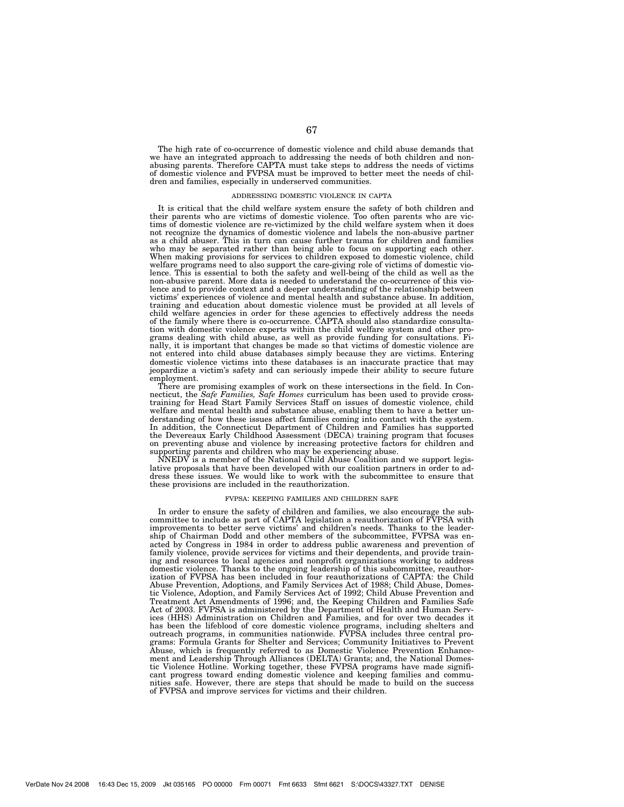The high rate of co-occurrence of domestic violence and child abuse demands that we have an integrated approach to addressing the needs of both children and nonabusing parents. Therefore CAPTA must take steps to address the needs of victims of domestic violence and FVPSA must be improved to better meet the needs of children and families, especially in underserved communities.

#### ADDRESSING DOMESTIC VIOLENCE IN CAPTA

It is critical that the child welfare system ensure the safety of both children and their parents who are victims of domestic violence. Too often parents who are victims of domestic violence are re-victimized by the child welfare system when it does not recognize the dynamics of domestic violence and labels the non-abusive partner as a child abuser. This in turn can cause further trauma for children and families who may be separated rather than being able to focus on supporting each other. When making provisions for services to children exposed to domestic violence, child welfare programs need to also support the care-giving role of victims of domestic violence. This is essential to both the safety and well-being of the child as well as the non-abusive parent. More data is needed to understand the co-occurrence of this violence and to provide context and a deeper understanding of the relationship between victims' experiences of violence and mental health and substance abuse. In addition, training and education about domestic violence must be provided at all levels of child welfare agencies in order for these agencies to effectively address the needs of the family where there is co-occurrence. CAPTA should also standardize consultation with domestic violence experts within the child welfare system and other programs dealing with child abuse, as well as provide funding for consultations. Finally, it is important that changes be made so that victims of domestic violence are not entered into child abuse databases simply because they are victims. Entering domestic violence victims into these databases is an inaccurate practice that may jeopardize a victim's safety and can seriously impede their ability to secure future employment.

There are promising examples of work on these intersections in the field. In Connecticut, the *Safe Families, Safe Homes* curriculum has been used to provide crosstraining for Head Start Family Services Staff on issues of domestic violence, child welfare and mental health and substance abuse, enabling them to have a better understanding of how these issues affect families coming into contact with the system. In addition, the Connecticut Department of Children and Families has supported the Devereaux Early Childhood Assessment (DECA) training program that focuses on preventing abuse and violence by increasing protective factors for children and supporting parents and children who may be experiencing abuse.

NNEDV is a member of the National Child Abuse Coalition and we support legislative proposals that have been developed with our coalition partners in order to address these issues. We would like to work with the subcommittee to ensure that these provisions are included in the reauthorization.

#### FVPSA: KEEPING FAMILIES AND CHILDREN SAFE

In order to ensure the safety of children and families, we also encourage the subcommittee to include as part of CAPTA legislation a reauthorization of FVPSA with improvements to better serve victims' and children's needs. Thanks to the leadership of Chairman Dodd and other members of the subcommittee, FVPSA was enacted by Congress in 1984 in order to address public awareness and prevention of family violence, provide services for victims and their dependents, and provide training and resources to local agencies and nonprofit organizations working to address domestic violence. Thanks to the ongoing leadership of this subcommittee, reauthorization of FVPSA has been included in four reauthorizations of CAPTA: the Child Abuse Prevention, Adoptions, and Family Services Act of 1988; Child Abuse, Domestic Violence, Adoption, and Family Services Act of 1992; Child Abuse Prevention and Treatment Act Amendments of 1996; and, the Keeping Children and Families Safe Act of 2003. FVPSA is administered by the Department of Health and Human Services (HHS) Administration on Children and Families, and for over two decades it has been the lifeblood of core domestic violence programs, including shelters and outreach programs, in communities nationwide. FVPSA includes three central programs: Formula Grants for Shelter and Services; Community Initiatives to Prevent Abuse, which is frequently referred to as Domestic Violence Prevention Enhancement and Leadership Through Alliances (DELTA) Grants; and, the National Domestic Violence Hotline. Working together, these FVPSA programs have made significant progress toward ending domestic violence and keeping families and communities safe. However, there are steps that should be made to build on the success of FVPSA and improve services for victims and their children.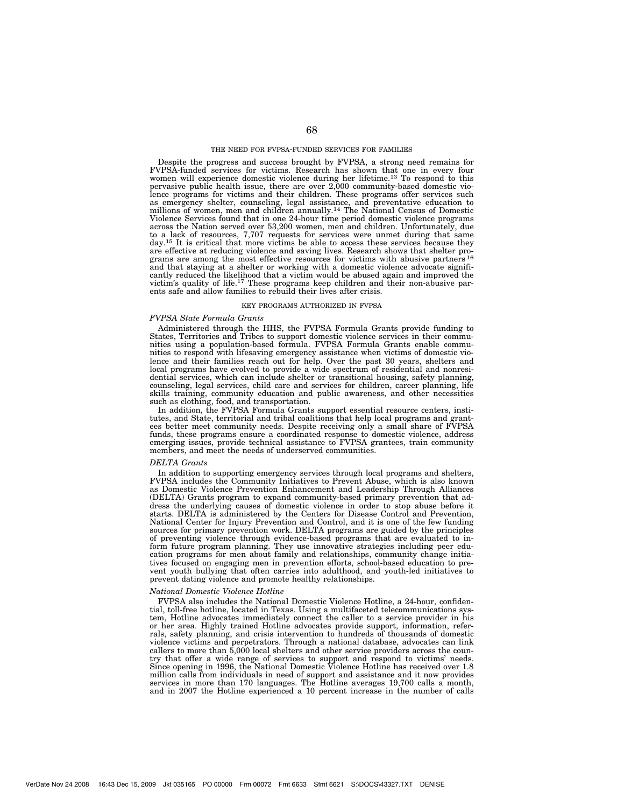Despite the progress and success brought by FVPSA, a strong need remains for FVPSA-funded services for victims. Research has shown that one in every four women will experience domestic violence during her lifetime.<sup>13</sup> To respond to this pervasive public health issue, there are over 2,000 community-based domestic violence programs for victims and their children. These programs offer services such as emergency shelter, counseling, legal assistance, and preventative education to<br>millions of women, men and children annually.<sup>14</sup> The National Census of Domestic<br>Violence Services found that in one 24-hour time period do across the Nation served over 53,200 women, men and children. Unfortunately, due to a lack of resources, 7,707 requests for services were unmet during that same day.<sup>15</sup> It is critical that more victims be able to access these services because they are effective at reducing violence and saving lives. and that staying at a shelter or working with a domestic violence advocate signifi-cantly reduced the likelihood that a victim would be abused again and improved the victim's quality of life.<sup>17</sup> These programs keep children and their non-abusive parents safe and allow families to rebuild their lives after crisis.

#### KEY PROGRAMS AUTHORIZED IN FVPSA

# *FVPSA State Formula Grants*

Administered through the HHS, the FVPSA Formula Grants provide funding to States, Territories and Tribes to support domestic violence services in their communities using a population-based formula. FVPSA Formula Grants enable communities to respond with lifesaving emergency assistance when victims of domestic violence and their families reach out for help. Over the past 30 years, shelters and local programs have evolved to provide a wide spectrum of residential and nonresidential services, which can include shelter or transitional housing, safety planning, counseling, legal services, child care and services for children, career planning, life skills training, community education and public awareness, and other necessities such as clothing, food, and transportation.

In addition, the FVPSA Formula Grants support essential resource centers, institutes, and State, territorial and tribal coalitions that help local programs and grantees better meet community needs. Despite receiving only a small share of FVPSA funds, these programs ensure a coordinated response to domestic violence, address emerging issues, provide technical assistance to FVPSA grantees, train community members, and meet the needs of underserved communities.

#### *DELTA Grants*

In addition to supporting emergency services through local programs and shelters, FVPSA includes the Community Initiatives to Prevent Abuse, which is also known as Domestic Violence Prevention Enhancement and Leadership Through Alliances (DELTA) Grants program to expand community-based primary prevention that address the underlying causes of domestic violence in order to stop abuse before it starts. DELTA is administered by the Centers for Disease Control and Prevention, National Center for Injury Prevention and Control, and it is one of the few funding sources for primary prevention work. DELTA programs are guided by the principles of preventing violence through evidence-based programs that are evaluated to inform future program planning. They use innovative strategies including peer education programs for men about family and relationships, community change initiatives focused on engaging men in prevention efforts, school-based education to prevent youth bullying that often carries into adulthood, and youth-led initiatives to prevent dating violence and promote healthy relationships.

#### *National Domestic Violence Hotline*

FVPSA also includes the National Domestic Violence Hotline, a 24-hour, confidential, toll-free hotline, located in Texas. Using a multifaceted telecommunications system, Hotline advocates immediately connect the caller to a service provider in his or her area. Highly trained Hotline advocates provide support, information, referrals, safety planning, and crisis intervention to hundreds of thousands of domestic violence victims and perpetrators. Through a national database, advocates can link callers to more than  $5,000$  local shelters and other service providers across the country that offer a wide range of services to support and respond to victims' needs. Since opening in 1996, the National Domestic Violence Hotline has received over 1.8 million calls from individuals in need of support and assistance and it now provides services in more than 170 languages. The Hotline averages 19,700 calls a month, and in 2007 the Hotline experienced a 10 percent increase in the number of calls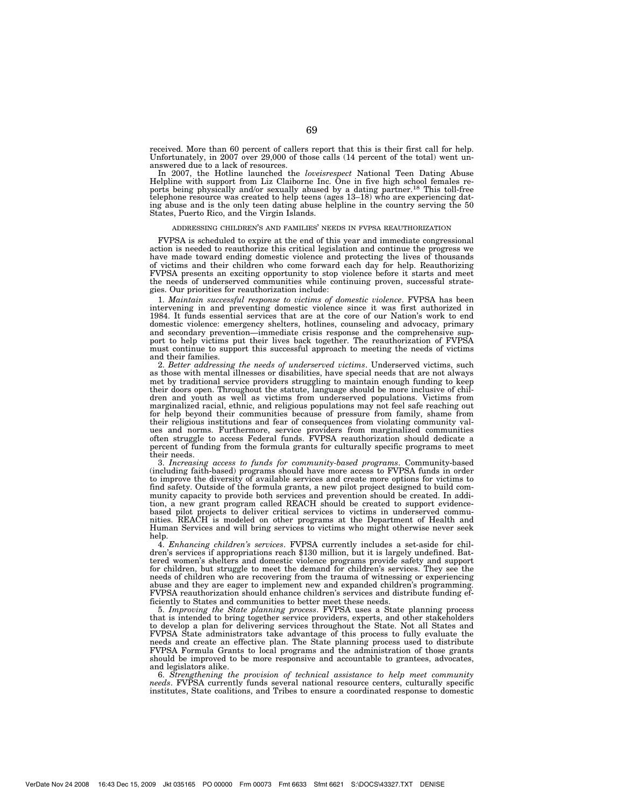received. More than 60 percent of callers report that this is their first call for help. Unfortunately, in 2007 over 29,000 of those calls (14 percent of the total) went unanswered due to a lack of resources.

In 2007, the Hotline launched the *loveisrespect* National Teen Dating Abuse Helpline with support from Liz Claiborne Inc. One in five high school females reports being physically and/or sexually abused by a dating partner.<sup>18</sup> This toll-free telephone resource was created to help teens (ages 13–18 States, Puerto Rico, and the Virgin Islands.

### ADDRESSING CHILDREN'S AND FAMILIES' NEEDS IN FVPSA REAUTHORIZATION

FVPSA is scheduled to expire at the end of this year and immediate congressional action is needed to reauthorize this critical legislation and continue the progress we have made toward ending domestic violence and protecting the lives of thousands of victims and their children who come forward each day for help. Reauthorizing FVPSA presents an exciting opportunity to stop violence before it starts and meet the needs of underserved communities while continuing proven, successful strategies. Our priorities for reauthorization include:

1. *Maintain successful response to victims of domestic violence*. FVPSA has been intervening in and preventing domestic violence since it was first authorized in 1984. It funds essential services that are at the core of our Nation's work to end domestic violence: emergency shelters, hotlines, counseling and advocacy, primary and secondary prevention—immediate crisis response and the comprehensive support to help victims put their lives back together. The reauthorization of FVPSA must continue to support this successful approach to meeting the needs of victims and their families.

2. *Better addressing the needs of underserved victims*. Underserved victims, such as those with mental illnesses or disabilities, have special needs that are not always met by traditional service providers struggling to maintain enough funding to keep their doors open. Throughout the statute, language should be more inclusive of children and youth as well as victims from underserved populations. Victims from marginalized racial, ethnic, and religious populations may not feel safe reaching out for help beyond their communities because of pressure from family, shame from their religious institutions and fear of consequences from violating community values and norms. Furthermore, service providers from marginalized communities often struggle to access Federal funds. FVPSA reauthorization should dedicate a percent of funding from the formula grants for culturally specific programs to meet their needs.

3. *Increasing access to funds for community-based programs*. Community-based (including faith-based) programs should have more access to FVPSA funds in order to improve the diversity of available services and create more options for victims to find safety. Outside of the formula grants, a new pilot project designed to build community capacity to provide both services and prevention should be created. In addition, a new grant program called REACH should be created to support evidencebased pilot projects to deliver critical services to victims in underserved communities. REACH is modeled on other programs at the Department of Health and Human Services and will bring services to victims who might otherwise never seek help.

4. *Enhancing children's services*. FVPSA currently includes a set-aside for children's services if appropriations reach \$130 million, but it is largely undefined. Battered women's shelters and domestic violence programs provide safety and support for children, but struggle to meet the demand for children's services. They see the needs of children who are recovering from the trauma of witnessing or experiencing abuse and they are eager to implement new and expanded children's programming. FVPSA reauthorization should enhance children's services and distribute funding efficiently to States and communities to better meet these needs.

5. *Improving the State planning process*. FVPSA uses a State planning process that is intended to bring together service providers, experts, and other stakeholders to develop a plan for delivering services throughout the State. Not all States and FVPSA State administrators take advantage of this process to fully evaluate the needs and create an effective plan. The State planning process used to distribute FVPSA Formula Grants to local programs and the administration of those grants should be improved to be more responsive and accountable to grantees, advocates, and legislators alike.

6. *Strengthening the provision of technical assistance to help meet community needs*. FVPSA currently funds several national resource centers, culturally specific institutes, State coalitions, and Tribes to ensure a coordinated response to domestic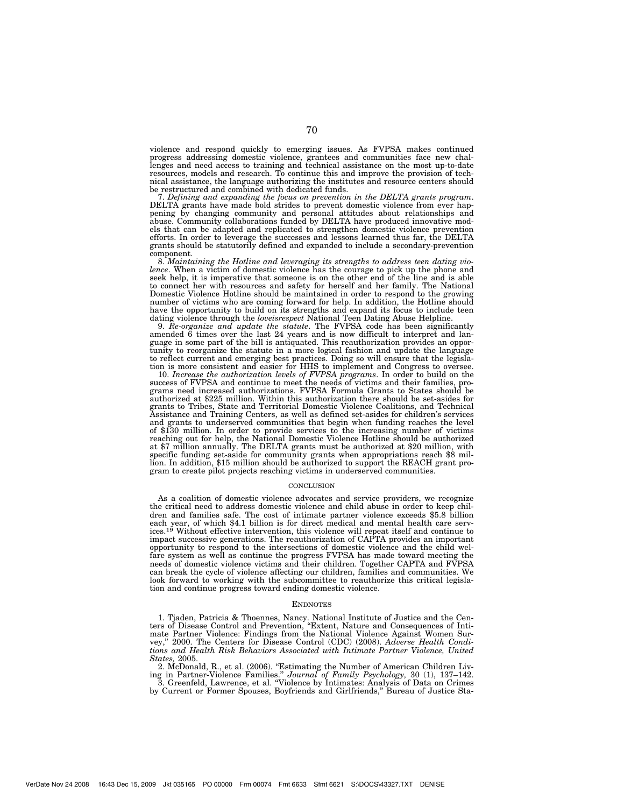violence and respond quickly to emerging issues. As FVPSA makes continued progress addressing domestic violence, grantees and communities face new challenges and need access to training and technical assistance on the most up-to-date resources, models and research. To continue this and improve t nical assistance, the language authorizing the institutes and resource centers should be restructured and combined with dedicated funds.

7. Defining and expanding the focus on prevention in the DELTA grants program.<br>DELTA grants have made bold strides to prevent domestic violence from ever hap-<br>pening by changing community and personal attitudes about relat els that can be adapted and replicated to strengthen domestic violence prevention efforts. In order to leverage the successes and lessons learned thus far, the DELTA grants should be statutorily defined and expanded to include a secondary-prevention component.

8. *Maintaining the Hotline and leveraging its strengths to address teen dating violence*. When a victim of domestic violence has the courage to pick up the phone and seek help, it is imperative that someone is on the other end of the line and is able to connect her with resources and safety for herself and her family. The National Domestic Violence Hotline should be maintained in order to respond to the growing number of victims who are coming forward for help. In addition, the Hotline should have the opportunity to build on its strengths and expand its focus to include teen

dating violence through the *loveisrespect* National Teen Dating Abuse Helpline.<br>9. Re-organize and update the statute. The FVPSA code has been significantly<br>amended 6 times over the last 24 years and is now difficult to i tunity to reorganize the statute in a more logical fashion and update the language to reflect current and emerging best practices. Doing so will ensure that the legisla-tion is more consistent and easier for HHS to implement and Congress to oversee.

10. Increase the authorization levels of FVPSA programs. In order to build on the success of FVPSA and continue to meet the needs of victims and their families, programs need increased authorizations. FVPSA Formula Grants authorized at \$225 million. Within this authorization there should be set-asides for<br>grants to Tribes, State and Territorial Domestic Violence Coalitions, and Technical<br>Assistance and Training Centers, as well as defined s and grants to underserved communities that begin when funding reaches the level of \$130 million. In order to provide services to the increasing number of victims<br>reaching out for help, the National Domestic Violence Hotline should be authorized<br>at \$7 million annually. The DELTA grants must be authoriz gram to create pilot projects reaching victims in underserved communities.

### **CONCLUSION**

As a coalition of domestic violence advocates and service providers, we recognize the critical need to address domestic violence and child abuse in order to keep children and families safe. The cost of intimate partner violence exceeds \$5.8 billion each year, of which \$4.1 billion is for direct medical and mental health care serv-ices.19 Without effective intervention, this violence will repeat itself and continue to impact successive generations. The reauthorization of CAPTA provides an important opportunity to respond to the intersections of domestic violence and the child welfare system as well as continue the progress FVPSA has made toward meeting the needs of domestic violence victims and their children. Together CAPTA and FVPSA can break the cycle of violence affecting our children, families and communities. We look forward to working with the subcommittee to reauthorize this critical legislation and continue progress toward ending domestic violence.

### ENDNOTES

1. Tjaden, Patricia & Thoennes, Nancy. National Institute of Justice and the Centers of Disease Control and Prevention, ''Extent, Nature and Consequences of Intimate Partner Violence: Findings from the National Violence Against Women Survey,'' 2000. The Centers for Disease Control (CDC) (2008). *Adverse Health Conditions and Health Risk Behaviors Associated with Intimate Partner Violence, United States,* 2005.

2. McDonald, R., et al. (2006). "Estimating the Number of American Children Liv-

ing in Partner-Violence Families.'' *Journal of Family Psychology,* 30 (1), 137–142. 3. Greenfeld, Lawrence, et al. ''Violence by Intimates: Analysis of Data on Crimes by Current or Former Spouses, Boyfriends and Girlfriends,'' Bureau of Justice Sta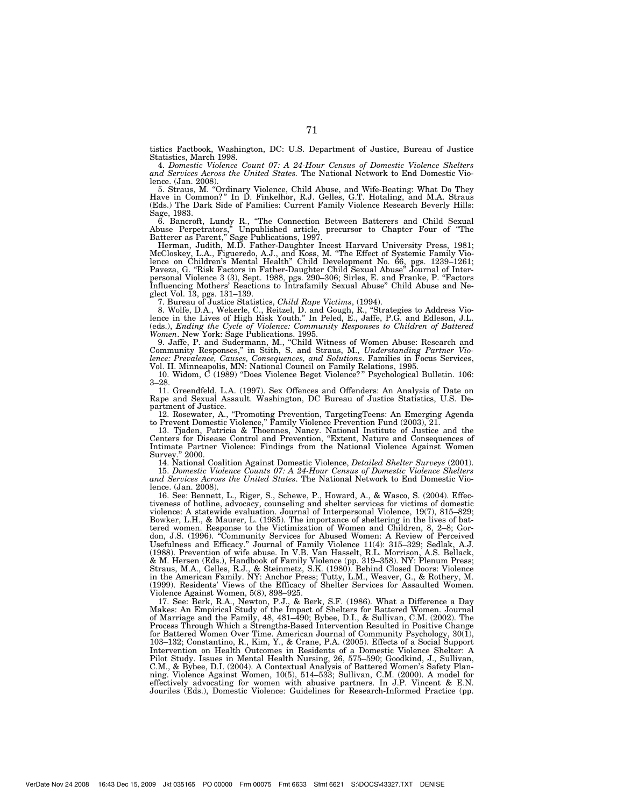tistics Factbook, Washington, DC: U.S. Department of Justice, Bureau of Justice Statistics, March 1998.

4. *Domestic Violence Count 07: A 24-Hour Census of Domestic Violence Shelters and Services Across the United States.* The National Network to End Domestic Violence. (Jan. 2008).

5. Straus, M. "Ordinary Violence, Child Abuse, and Wife-Beating: What Do They Have in Common?" In D. Finkelhor, R.J. Gelles, G.T. Hotaling, and M.A. Straus<br>(Eds.) The Dark Side of Families: Current Family Violence Research Sage, 1983.

ge, 1990.<br>6. Bancroft, Lundy R., "The Connection Between Batterers and Child Sexual<br>buse Perpetrators," Unpublished article, precursor to Chapter Four of "The

Abuse Perpetrators," Unpublished article, precursor to Chapter Four of "The Batterer as Parent," Sage Publications, 1997.<br>Herman, Judith, M.D. Father-Daughter Incest Harvard University Press, 1981;<br>McCloskey, L.A., Figuere

7. Bureau of Justice Statistics, *Child Rape Victims*, (1994).<br>8. Wolfe, D.A., Wekerle, C., Reitzel, D. and Gough, R., "Strategies to Address Vio-<br>lence in the Lives of High Risk Youth." In Peled, E., Jaffe, P.G. and Edles

*Women*. New York: Sage Publications. 1995. 9. Jaffe, P. and Sudermann, M., ''Child Witness of Women Abuse: Research and Community Responses,'' in Stith, S. and Straus, M., *Understanding Partner Vio*lence: Prevalence, Causes, Consequences, and Solutions. Families in Focus Services,<br>Vol. II. Minneapolis, MN: National Council on Family Relations, 1995.<br>10. Widom, C (1989) "Does Violence Beget Violence?" Psychological Bu

3–28.

11. Greendfeld, L.A. (1997). Sex Offences and Offenders: An Analysis of Date on Rape and Sexual Assault. Washington, DC Bureau of Justice Statistics, U.S. Department of Justice.

12. Rosewater, A., "Promoting Prevention, TargetingTeens: An Emerging Agenda<br>to Prevent Domestic Violence," Family Violence Prevention Fund (2003), 21.<br>13. Tjaden, Patricia & Thoennes, Nancy. National Institute of Justice

Intimate Partner Violence: Findings from the National Violence Against Women

Survey.'' 2000. 14. National Coalition Against Domestic Violence, *Detailed Shelter Surveys* (2001).

15. *Domestic Violence Counts 07: A 24-Hour Census of Domestic Violence Shelters and Services Across the United States*. The National Network to End Domestic Violence. (Jan. 2008).

16. See: Bennett, L., Riger, S., Schewe, P., Howard, A., & Wasco, S. (2004). Effectiveness of hotline, advocacy, counseling and shelter services for victims of domestic violence: A statewide evaluation. Journal of Interpersonal Violence, 19(7), 815–829; Bowker, L.H., & Maurer, L. (1985). The importance of sheltering in the lives of battered women. Response to the Victimization of Women and Children, 8, 2–8; Gordon, J.S. (1996). ''Community Services for Abused Women: A Review of Perceived Usefulness and Efficacy.'' Journal of Family Violence 11(4): 315–329; Sedlak, A.J. (1988). Prevention of wife abuse. In V.B. Van Hasselt, R.L. Morrison, A.S. Bellack, & M. Hersen (Eds.), Handbook of Family Violence (pp. 319–358). NY: Plenum Press; Straus, M.A., Gelles, R.J., & Steinmetz, S.K. (1980). Behind Closed Doors: Violence in the American Family. NY: Anchor Press; Tutty, L.M., Weaver, G., & Rothery, M. (1999). Residents' Views of the Efficacy of Shelter Services for Assaulted Women. Violence Against Women, 5(8), 898–925.

17. See: Berk, R.A., Newton, P.J., & Berk, S.F. (1986). What a Difference a Day Makes: An Empirical Study of the Impact of Shelters for Battered Women. Journal of Marriage and the Family, 48, 481–490; Bybee, D.I., & Sullivan, C.M. (2002). The Process Through Which a Strengths-Based Intervention Resulted in Positive Change for Battered Women Over Time. American Journal of Community Psychology,  $30(1)$ , 103–132; Constantino, R., Kim, Y., & Crane, P.A. (2005). Effects of a Social Support Intervention on Health Outcomes in Residents of a Domestic Violence Shelter: A Pilot Study. Issues in Mental Health Nursing, 26, 575–590; Goodkind, J., Sullivan, C.M., & Bybee, D.I. (2004). A Contextual Analysis of Battered Women's Safety Planning. Violence Against Women, 10(5), 514–533; Sullivan, C.M. (2000). A model for effectively advocating for women with abusive partners. In J.P. Vincent & E.N. Jouriles (Eds.), Domestic Violence: Guidelines for Research-Informed Practice (pp.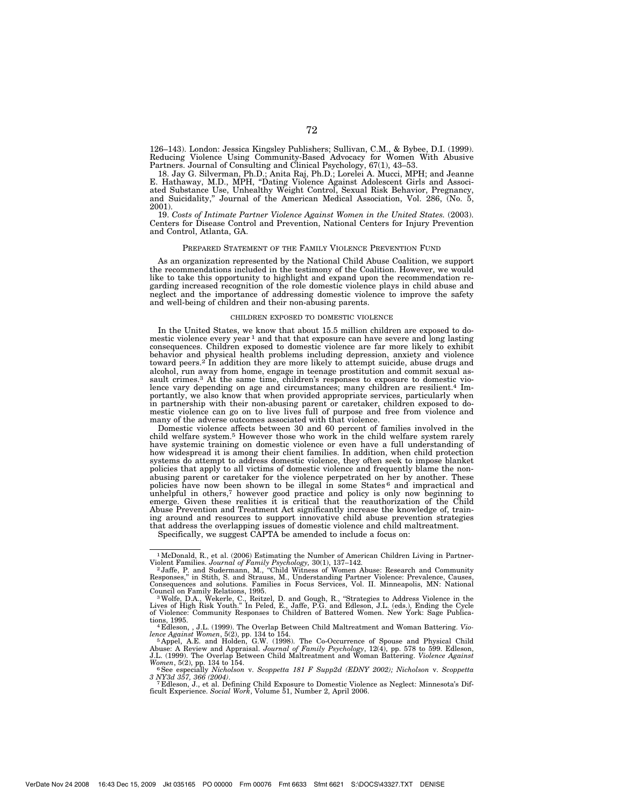126–143). London: Jessica Kingsley Publishers; Sullivan, C.M., & Bybee, D.I. (1999). Reducing Violence Using Community-Based Advocacy for Women With Abusive Partners. Journal of Consulting and Clinical Psychology, 67(1), 43–53.

18. Jay G. Silverman, Ph.D.; Anita Raj, Ph.D.; Lorelei A. Mucci, MPH; and Jeanne E. Hathaway, M.D., MPH, ''Dating Violence Against Adolescent Girls and Associated Substance Use, Unhealthy Weight Control, Sexual Risk Behavior, Pregnancy, and Suicidality,'' Journal of the American Medical Association, Vol. 286, (No. 5, 2001).

19. *Costs of Intimate Partner Violence Against Women in the United States.* (2003). Centers for Disease Control and Prevention, National Centers for Injury Prevention and Control, Atlanta, GA.

## PREPARED STATEMENT OF THE FAMILY VIOLENCE PREVENTION FUND

As an organization represented by the National Child Abuse Coalition, we support the recommendations included in the testimony of the Coalition. However, we would like to take this opportunity to highlight and expand upon the recommendation regarding increased recognition of the role domestic violence plays in child abuse and neglect and the importance of addressing domestic violence to improve the safety and well-being of children and their non-abusing parents.

### CHILDREN EXPOSED TO DOMESTIC VIOLENCE

In the United States, we know that about 15.5 million children are exposed to domestic violence every year  $1$  and that that exposure can have severe and long lasting consequences. Children exposed to domestic violence are far more likely to exhibit behavior and physical health problems including depression, anxiety and violence toward peers.2 In addition they are more likely to attempt suicide, abuse drugs and alcohol, run away from home, engage in teenage prostitution and commit sexual assault crimes.3 At the same time, children's responses to exposure to domestic violence vary depending on age and circumstances; many children are resilient.4 Importantly, we also know that when provided appropriate services, particularly when in partnership with their non-abusing parent or caretaker, children exposed to domestic violence can go on to live lives full of purpose and free from violence and many of the adverse outcomes associated with that violence.

Domestic violence affects between 30 and 60 percent of families involved in the child welfare system.5 However those who work in the child welfare system rarely have systemic training on domestic violence or even have a full understanding of how widespread it is among their client families. In addition, when child protection systems do attempt to address domestic violence, they often seek to impose blanket policies that apply to all victims of domestic violence and frequently blame the nonabusing parent or caretaker for the violence perpetrated on her by another. These policies have now been shown to be illegal in some States 6 and impractical and unhelpful in others,<sup>7</sup> however good practice and policy is only now beginning to emerge. Given these realities it is critical that the reauthorization of the Child Abuse Prevention and Treatment Act significantly increase the knowledge of, training around and resources to support innovative child abuse prevention strategies that address the overlapping issues of domestic violence and child maltreatment.

Specifically, we suggest CAPTA be amended to include a focus on:

<sup>&</sup>lt;sup>1</sup>McDonald, R., et al. (2006) Estimating the Number of American Children Living in Partner-<br>Violent Families. Journal of Family Psychology, 30(1), 137–142.<br><sup>2</sup> Jaffe, P. and Sudermann, M., "Child Witness of Women Abuse:

Council on Family Relations, 1995.<br><sup>3</sup> Wolfe, D.A., Wekerle, C., Reitzel, D. and Gough, R., "Strategies to Address Violence in the<br>Lives of High Risk Youth." In Peled, E., Jaffe, P.G. and Edleson, J.L. (eds.), Ending the C tions, 1995. 4 Edleson, , J.L. (1999). The Overlap Between Child Maltreatment and Woman Battering. *Vio-*

*lence Against Women*, 5(2), pp. 134 to 154.<br><sup>5</sup> Appel, A.E. and Holden, G.W. (1998). The Co-Occurrence of Spouse and Physical Child<br>Abuse: A Review and Appraisal. Journal of Family Psychology, 12(4), pp. 578 to 599. Edles

*Women*, 5(2), pp. 134 to 154. 6<br>
<sup>6</sup>See especially *Nicholson v. Scoppetta 181 F Supp2d (EDNY 2002); Nicholson v. Scoppetta 3 NY3d 357, 366 (2004).* 

*<sup>3</sup> NY3d 357, 366 (2004).*<br>7 Edleson, J., et al. Defining Child Exposure to Domestic Violence as Neglect: Minnesota's Dif-<br>ficult Experience. *Social Work*, Volume 51, Number 2, April 2006.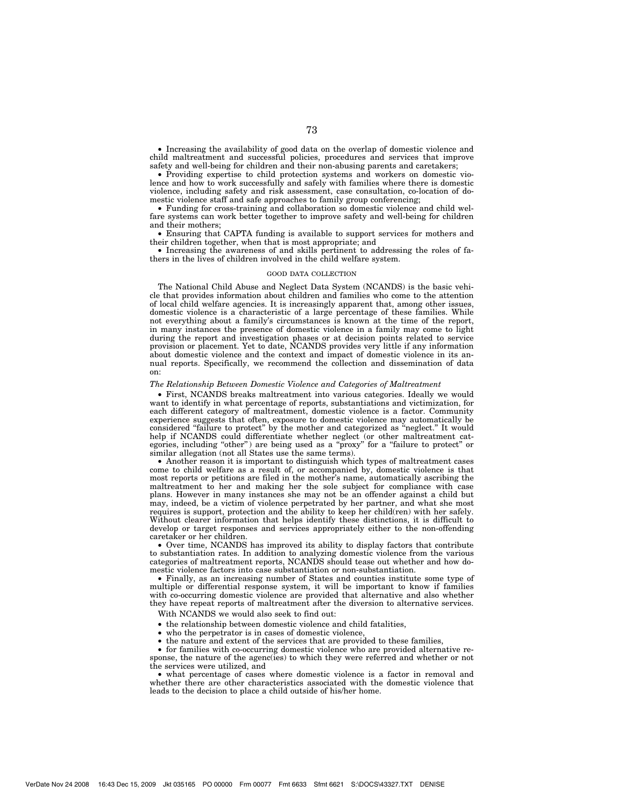• Increasing the availability of good data on the overlap of domestic violence and child maltreatment and successful policies, procedures and services that improve safety and well-being for children and their non-abusing parents and caretakers;

• Providing expertise to child protection systems and workers on domestic violence and how to work successfully and safely with families where there is domestic violence, including safety and risk assessment, case consultation, co-location of domestic violence staff and safe approaches to family group conferencing;

• Funding for cross-training and collaboration so domestic violence and child welfare systems can work better together to improve safety and well-being for children and their mothers;

• Ensuring that CAPTA funding is available to support services for mothers and their children together, when that is most appropriate; and

• Increasing the awareness of and skills pertinent to addressing the roles of fathers in the lives of children involved in the child welfare system.

### GOOD DATA COLLECTION

The National Child Abuse and Neglect Data System (NCANDS) is the basic vehicle that provides information about children and families who come to the attention of local child welfare agencies. It is increasingly apparent that, among other issues, domestic violence is a characteristic of a large percentage of these families. While not everything about a family's circumstances is known at the time of the report, in many instances the presence of domestic violence in a family may come to light during the report and investigation phases or at decision points related to service provision or placement. Yet to date, NCANDS provides very little if any information about domestic violence and the context and impact of domestic violence in its annual reports. Specifically, we recommend the collection and dissemination of data on:

## *The Relationship Between Domestic Violence and Categories of Maltreatment*

• First, NCANDS breaks maltreatment into various categories. Ideally we would want to identify in what percentage of reports, substantiations and victimization, for each different category of maltreatment, domestic violence is a factor. Community experience suggests that often, exposure to domestic violence may automatically be considered ''failure to protect'' by the mother and categorized as ''neglect.'' It would help if NCANDS could differentiate whether neglect (or other maltreatment categories, including "other") are being used as a "proxy" for a "failure to protect" or similar allegation (not all States use the same terms).

• Another reason it is important to distinguish which types of maltreatment cases come to child welfare as a result of, or accompanied by, domestic violence is that most reports or petitions are filed in the mother's name, automatically ascribing the maltreatment to her and making her the sole subject for compliance with case plans. However in many instances she may not be an offender against a child but may, indeed, be a victim of violence perpetrated by her partner, and what she most requires is support, protection and the ability to keep her child(ren) with her safely. Without clearer information that helps identify these distinctions, it is difficult to develop or target responses and services appropriately either to the non-offending caretaker or her children.

• Over time, NCANDS has improved its ability to display factors that contribute to substantiation rates. In addition to analyzing domestic violence from the various categories of maltreatment reports, NCANDS should tease out whether and how domestic violence factors into case substantiation or non-substantiation.

• Finally, as an increasing number of States and counties institute some type of multiple or differential response system, it will be important to know if families with co-occurring domestic violence are provided that alternative and also whether they have repeat reports of maltreatment after the diversion to alternative services.

With NCANDS we would also seek to find out:

- the relationship between domestic violence and child fatalities,
- who the perpetrator is in cases of domestic violence,
- the nature and extent of the services that are provided to these families,

• for families with co-occurring domestic violence who are provided alternative response, the nature of the agenc(ies) to which they were referred and whether or not the services were utilized, and

• what percentage of cases where domestic violence is a factor in removal and whether there are other characteristics associated with the domestic violence that leads to the decision to place a child outside of his/her home.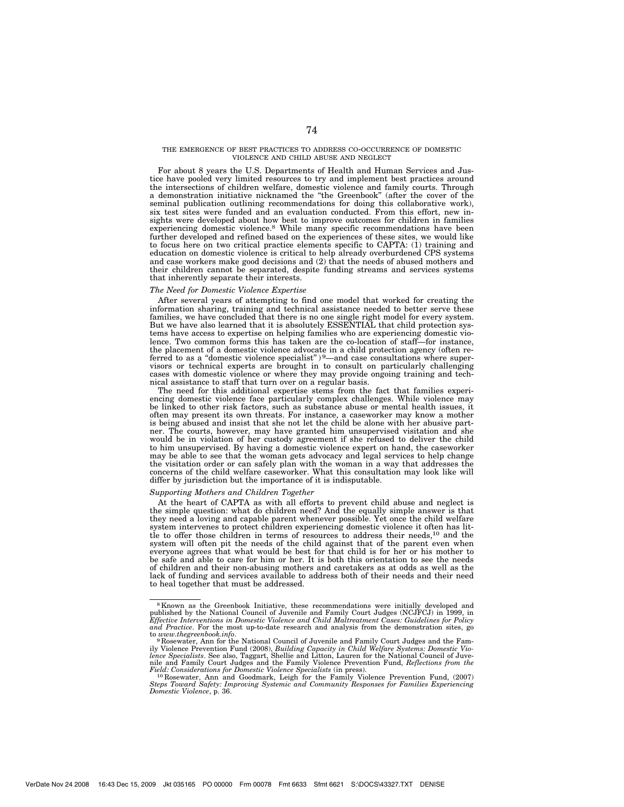### THE EMERGENCE OF BEST PRACTICES TO ADDRESS CO-OCCURRENCE OF DOMESTIC VIOLENCE AND CHILD ABUSE AND NEGLECT

For about 8 years the U.S. Departments of Health and Human Services and Justice have pooled very limited resources to try and implement best practices around the intersections of children welfare, domestic violence and family courts. Through a demonstration initiative nicknamed the ''the Greenbook'' (after the cover of the seminal publication outlining recommendations for doing this collaborative work), six test sites were funded and an evaluation conducted. From this effort, new insights were developed about how best to improve outcomes for children in families experiencing domestic violence.<sup>8</sup> While many specific recommendations have been further developed and refined based on the experiences of these sites, we would like to focus here on two critical practice elements specific to CAPTA: (1) training and education on domestic violence is critical to help already overburdened CPS systems and case workers make good decisions and (2) that the needs of abused mothers and their children cannot be separated, despite funding streams and services systems that inherently separate their interests.

# *The Need for Domestic Violence Expertise*

After several years of attempting to find one model that worked for creating the information sharing, training and technical assistance needed to better serve these families, we have concluded that there is no one single right model for every system. But we have also learned that it is absolutely ESSENTIAL that child protection systems have access to expertise on helping families who are experiencing domestic violence. Two common forms this has taken are the co-location of staff—for instance, the placement of a domestic violence advocate in a child protection agency (often referred to as a ''domestic violence specialist'' ) 9—and case consultations where supervisors or technical experts are brought in to consult on particularly challenging cases with domestic violence or where they may provide ongoing training and technical assistance to staff that turn over on a regular basis.

The need for this additional expertise stems from the fact that families experiencing domestic violence face particularly complex challenges. While violence may be linked to other risk factors, such as substance abuse or mental health issues, it often may present its own threats. For instance, a caseworker may know a mother is being abused and insist that she not let the child be alone with her abusive partner. The courts, however, may have granted him unsupervised visitation and she would be in violation of her custody agreement if she refused to deliver the child to him unsupervised. By having a domestic violence expert on hand, the caseworker may be able to see that the woman gets advocacy and legal services to help change the visitation order or can safely plan with the woman in a way that addresses the concerns of the child welfare caseworker. What this consultation may look like will differ by jurisdiction but the importance of it is indisputable.

# *Supporting Mothers and Children Together*

At the heart of CAPTA as with all efforts to prevent child abuse and neglect is the simple question: what do children need? And the equally simple answer is that they need a loving and capable parent whenever possible. Yet once the child welfare system intervenes to protect children experiencing domestic violence it often has little to offer those children in terms of resources to address their needs,10 and the system will often pit the needs of the child against that of the parent even when everyone agrees that what would be best for that child is for her or his mother to be safe and able to care for him or her. It is both this orientation to see the needs of children and their non-abusing mothers and caretakers as at odds as well as the lack of funding and services available to address both of their needs and their need to heal together that must be addressed.

<sup>8</sup>Known as the Greenbook Initiative, these recommendations were initially developed and published by the National Council of Juvenile and Family Court Judges (NCJFCJ) in 1999, in *Effective Interventions in Domestic Violence and Child Maltreatment Cases: Guidelines for Policy and Practice*. For the most up-to-date research and analysis from the demonstration sites, go

to www.thegreenbook.info.<br><sup>9</sup> Rosewater, Ann for the National Council of Juvenile and Family Court Judges and the Fam-<br>ily Violence Prevention Fund (2008), *Building Capacity in Child Welfare Systems: Domestic Vio-*<br>*lence* nile and Family Court Judges and the Family Violence Prevention Fund, *Reflections from the* 

<sup>&</sup>lt;sup>10</sup> Rosewater, Ann and Goodmark, Leigh for the Family Violence Prevention Fund, (2007) *Steps Toward Safety: Improving Systemic and Community Responses for Families Experiencing Domestic Violence*, p. 36.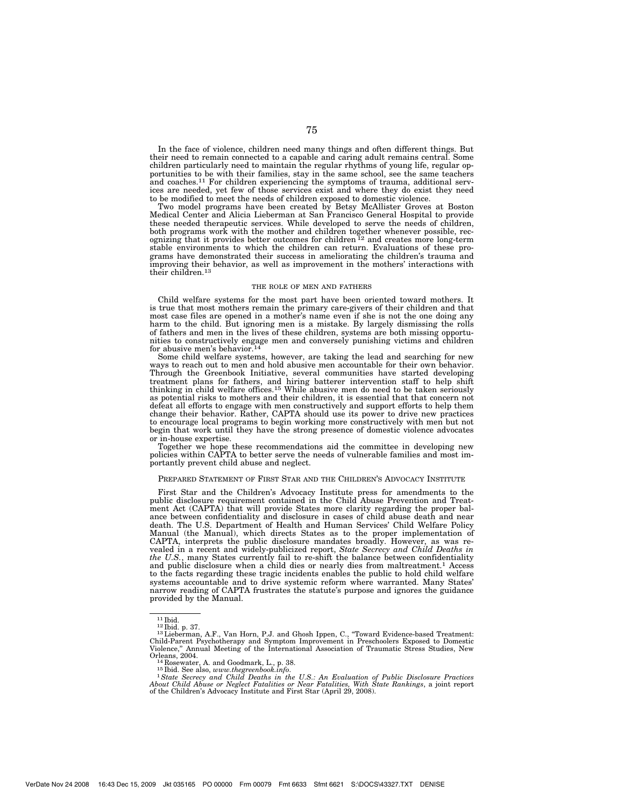In the face of violence, children need many things and often different things. But their need to remain connected to a capable and caring adult remains central. Some children particularly need to maintain the regular rhythms of young life, regular opportunities to be with their families, stay in the same school, see the same teachers and coaches.11 For children experiencing the symptoms of trauma, additional services are needed, yet few of those services exist and where they do exist they need to be modified to meet the needs of children exposed to domestic violence.

Two model programs have been created by Betsy McAllister Groves at Boston Medical Center and Alicia Lieberman at San Francisco General Hospital to provide these needed therapeutic services. While developed to serve the needs of children, both programs work with the mother and children together whenever possible, rec-<br>ognizing that it provides better outcomes for children <sup>12</sup> and creates more long-term stable environments to which the children can return. Evaluations of these programs have demonstrated their success in ameliorating the children's trauma and improving their behavior, as well as improvement in the mothers' interactions with their children.<sup>13</sup>

## THE ROLE OF MEN AND FATHERS

Child welfare systems for the most part have been oriented toward mothers. It is true that most mothers remain the primary care-givers of their children and that most case files are opened in a mother's name even if she is not the one doing any harm to the child. But ignoring men is a mistake. By largely dismissing the rolls of fathers and men in the lives of these children, systems are both missing opportunities to constructively engage men and conversely punishing victims and children for abusive men's behavior.14

Some child welfare systems, however, are taking the lead and searching for new ways to reach out to men and hold abusive men accountable for their own behavior. Through the Greenbook Initiative, several communities have started developing treatment plans for fathers, and hiring batterer intervention staff to help shift thinking in child welfare offices.15 While abusive men do need to be taken seriously as potential risks to mothers and their children, it is essential that that concern not defeat all efforts to engage with men constructively and support efforts to help them change their behavior. Rather, CAPTA should use its power to drive new practices to encourage local programs to begin working more constructively with men but not begin that work until they have the strong presence of domestic violence advocates or in-house expertise.

Together we hope these recommendations aid the committee in developing new policies within CAPTA to better serve the needs of vulnerable families and most importantly prevent child abuse and neglect.

# PREPARED STATEMENT OF FIRST STAR AND THE CHILDREN'S ADVOCACY INSTITUTE

First Star and the Children's Advocacy Institute press for amendments to the public disclosure requirement contained in the Child Abuse Prevention and Treatment Act (CAPTA) that will provide States more clarity regarding the proper balance between confidentiality and disclosure in cases of child abuse death and near death. The U.S. Department of Health and Human Services' Child Welfare Policy Manual (the Manual), which directs States as to the proper implementation of CAPTA, interprets the public disclosure mandates broadly. However, as was revealed in a recent and widely-publicized report, *State Secrecy and Child Deaths in the U.S.*, many States currently fail to re-shift the balance between confidentiality and public disclosure when a child dies or nearly dies from maltreatment.1 Access to the facts regarding these tragic incidents enables the public to hold child welfare systems accountable and to drive systemic reform where warranted. Many States' narrow reading of CAPTA frustrates the statute's purpose and ignores the guidance provided by the Manual.

<sup>&</sup>lt;sup>11</sup> Ibid. p. 37.<br><sup>12</sup> Ibid. p. 37. 13Lieberman, A.F., Van Horn, P.J. and Ghosh Ippen, C., "Toward Evidence-based Treatment: Child-Parent Psychotherapy and Symptom Improvement in Preschoolers Exposed to Domestic Violence,'' Annual Meeting of the International Association of Traumatic Stress Studies, New

Orleans, 2004.<br>
<sup>14</sup> Rosewater, A. and Goodmark, L., p. 38.<br>
<sup>15</sup> Ibid. See also, *www.thegreenbook.info.*<br>
<sup>1</sup> State Secrecy and Child Deaths in the U.S.: An Evaluation of Public Disclosure Practices<br>
<sup>1</sup> State Secrecy an *About Child Abuse or Neglect Fatalities or Near Fatalities, With State Rankings*, a joint report of the Children's Advocacy Institute and First Star (April 29, 2008).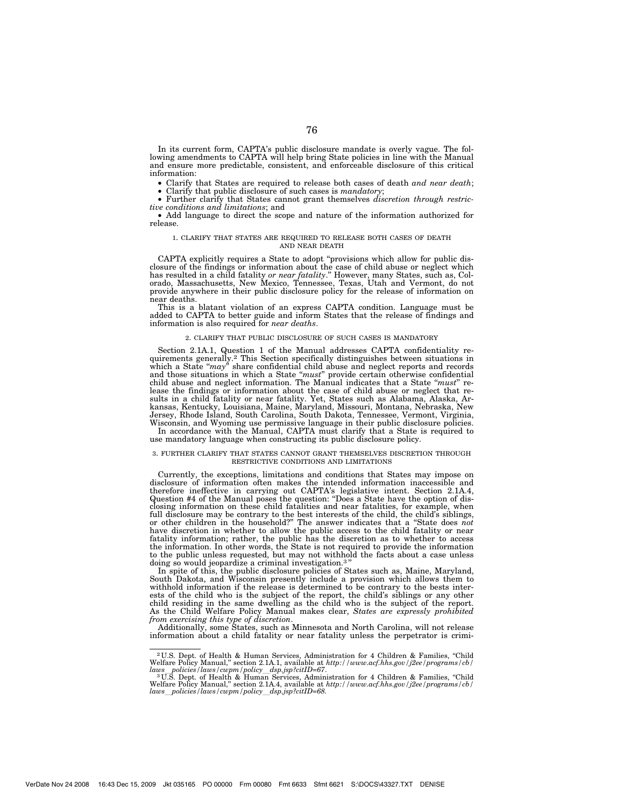In its current form, CAPTA's public disclosure mandate is overly vague. The following amendments to CAPTA will help bring State policies in line with the Manual and ensure more predictable, consistent, and enforceable disclosure of this critical information:

• Clarify that States are required to release both cases of death and near death;<br>• Clarify that public disclosure of such cases is mandatory;<br>• Further clarify that States cannot grant themselves discretion through restri

*tive conditions and limitations*; and **•** Add language to direct the scope and nature of the information authorized for release.

#### 1. CLARIFY THAT STATES ARE REQUIRED TO RELEASE BOTH CASES OF DEATH AND NEAR DEATH

CAPTA explicitly requires a State to adopt ''provisions which allow for public disclosure of the findings or information about the case of child abuse or neglect which<br>has resulted in a child fatality *or near fatality."* However, many States, such as, Col-<br>orado, Massachusetts, New Mexico, Tennessee, T provide anywhere in their public disclosure policy for the release of information on near deaths.

This is a blatant violation of an express CAPTA condition. Language must be added to CAPTA to better guide and inform States that the release of findings and information is also required for *near deaths*.

## 2. CLARIFY THAT PUBLIC DISCLOSURE OF SUCH CASES IS MANDATORY

Section 2.1A.1, Question 1 of the Manual addresses CAPTA confidentiality requirements generally.<sup>2</sup> This Section specifically distinguishes between situations in which a State " $may$ " share confidential child abuse and neglect reports and records and those situations in which a State " $must$ " provide sults in a child fatality or near fatality. Yet, States such as Alabama, Alaska, Ar-kansas, Kentucky, Louisiana, Maine, Maryland, Missouri, Montana, Nebraska, New Jersey, Rhode Island, South Carolina, South Dakota, Tennessee, Vermont, Virginia, Wisconsin, and Wyoming use permissive language in their public disclosure policies.

In accordance with the Manual, CAPTA must clarify that a State is required to use mandatory language when constructing its public disclosure policy.

### 3. FURTHER CLARIFY THAT STATES CANNOT GRANT THEMSELVES DISCRETION THROUGH RESTRICTIVE CONDITIONS AND LIMITATIONS

Currently, the exceptions, limitations and conditions that States may impose on disclosure of information often makes the intended information inaccessible and therefore ineffective in carrying out CAPTA's legislative intent. Section 2.1A.4, Question #4 of the Manual poses the question: ''Does a State have the option of disclosing information on these child fatalities and near fatalities, for example, when<br>full disclosure may be contrary to the best interests of the child, the child's siblings,<br>or other children in the household?" The answer fatality information; rather, the public has the discretion as to whether to access the information. In other words, the State is not required to provide the information to the public unless requested, but may not withhold the facts about a case unless doing so would jeopardize a criminal investigation.3 ''

In spite of this, the public disclosure policies of States such as, Maine, Maryland, South Dakota, and Wisconsin presently include a provision which allows them to withhold information if the release is determined to be contrary to the bests inter-<br>ests of the child who is the subject of the report, the child's siblings or any other<br>child residing in the same dwelling as the child wh *from exercising this type of discretion*. Additionally, some States, such as Minnesota and North Carolina, will not release

information about a child fatality or near fatality unless the perpetrator is crimi-

<sup>2</sup> U.S. Dept. of Health & Human Services, Administration for 4 Children & Families, ''Child Welfare Policy Manual," section 2.1A.1, available at *http://www.acf.hhs.gov/j2ee/programs/cb/*<br>laws \_policies/laws/cwpm/policy\_dsp.jsp?citID=67.<br>- <sup>3</sup>U.S. Dept. of Health & Human Services, Administration for 4 Children &

Welfare Policy Manual,'' section 2.1A.4, available at *http://www.acf.hhs.gov/j2ee/programs/cb/ laws*l*policies/laws/cwpm/policy*l*dsp.jsp?citID=68.*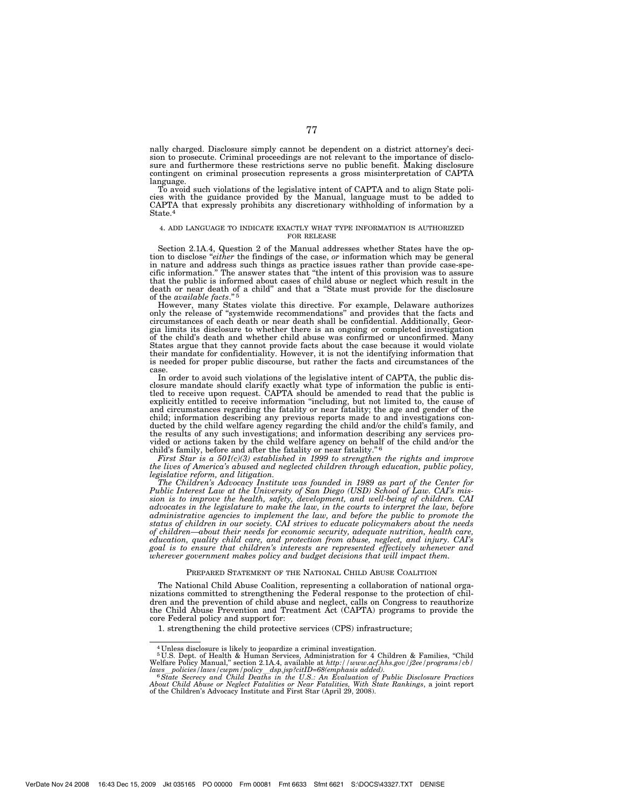nally charged. Disclosure simply cannot be dependent on a district attorney's decision to prosecute. Criminal proceedings are not relevant to the importance of disclosure and furthermore these restrictions serve no public benefit. Making disclosure contingent on criminal prosecution represents a gross misinterpretation of CAPTA language.

To avoid such violations of the legislative intent of CAPTA and to align State policies with the guidance provided by the Manual, language must to be added to CAPTA that expressly prohibits any discretionary withholding of information by a State.4

# 4. ADD LANGUAGE TO INDICATE EXACTLY WHAT TYPE INFORMATION IS AUTHORIZED FOR RELEASE

Section 2.1A.4, Question 2 of the Manual addresses whether States have the option to disclose ''*either* the findings of the case, *or* information which may be general in nature and address such things as practice issues rather than provide case-spe-cific information.'' The answer states that ''the intent of this provision was to assure that the public is informed about cases of child abuse or neglect which result in the death or near death of a child'' and that a ''State must provide for the disclosure of the *available facts*.'' 5

However, many States violate this directive. For example, Delaware authorizes only the release of ''systemwide recommendations'' and provides that the facts and circumstances of each death or near death shall be confidential. Additionally, Georgia limits its disclosure to whether there is an ongoing or completed investigation of the child's death and whether child abuse was confirmed or unconfirmed. Many States argue that they cannot provide facts about the case because it would violate their mandate for confidentiality. However, it is not the identifying information that is needed for proper public discourse, but rather the facts and circumstances of the

case. In order to avoid such violations of the legislative intent of CAPTA, the public dis-closure mandate should clarify exactly what type of information the public is entitled to receive upon request. CAPTA should be amended to read that the public is explicitly entitled to receive information ''including, but not limited to, the cause of and circumstances regarding the fatality or near fatality; the age and gender of the child; information describing any previous reports made to and investigations conducted by the child welfare agency regarding the child and/or the child's family, and the results of any such investigations; and information describing any services provided or actions taken by the child welfare agency on behalf of the child and/or the child's family, before and after the fatality or near fatality.'' 6

*First Star is a 501(c)(3) established in 1999 to strengthen the rights and improve the lives of America's abused and neglected children through education, public policy, legislative reform, and litigation.* 

*The Children's Advocacy Institute was founded in 1989 as part of the Center for Public Interest Law at the University of San Diego (USD) School of Law. CAI's mission is to improve the health, safety, development, and well-being of children. CAI advocates in the legislature to make the law, in the courts to interpret the law, before administrative agencies to implement the law, and before the public to promote the status of children in our society. CAI strives to educate policymakers about the needs of children—about their needs for economic security, adequate nutrition, health care, education, quality child care, and protection from abuse, neglect, and injury. CAI's goal is to ensure that children's interests are represented effectively whenever and wherever government makes policy and budget decisions that will impact them.* 

## PREPARED STATEMENT OF THE NATIONAL CHILD ABUSE COALITION

The National Child Abuse Coalition, representing a collaboration of national organizations committed to strengthening the Federal response to the protection of children and the prevention of child abuse and neglect, calls on Congress to reauthorize the Child Abuse Prevention and Treatment Act (CAPTA) programs to provide the core Federal policy and support for:

1. strengthening the child protective services (CPS) infrastructure;

<sup>&</sup>lt;sup>4</sup>Unless disclosure is likely to jeopardize a criminal investigation.<br><sup>5</sup>U.S. Dept. of Health & Human Services, Administration for 4 Children & Families, "Child Welfare Policy Manual," section 2.1A.4, available at  $http://www.ac$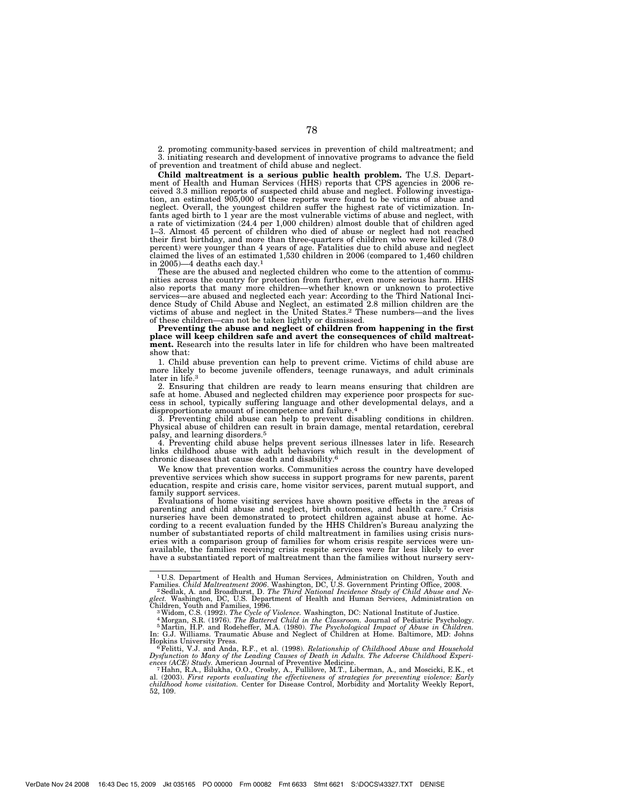2. promoting community-based services in prevention of child maltreatment; and 3. initiating research and development of innovative programs to advance the field of prevention and treatment of child abuse and neglect.

**Child maltreatment is a serious public health problem.** The U.S. Depart-ment of Health and Human Services (HHS) reports that CPS agencies in 2006 received 3.3 million reports of suspected child abuse and neglect. Following investigation, an estimated 905,000 of these reports were found to be victims of abuse and neglect. Overall, the youngest children suffer the highest rate of victimization. Infants aged birth to 1 year are the most vulnerable victims of abuse and neglect, with<br>a rate of victimization  $(24.4 \text{ per } 1,000 \text{ children})$  almost double that of children aged<br>1–3. Almost 45 percent of children who died of abus in 2005)—4 deaths each day.1

These are the abused and neglected children who come to the attention of communities across the country for protection from further, even more serious harm. HHS also reports that many more children—whether known or unknown to protective services—are abused and neglected each year: According to the Third National Incidence Study of Child Abuse and Neglect, an estimated 2.8 million children are the victims of abuse and neglect in the United States.<sup>2</sup> These of these children—can not be taken lightly or dismissed.

**Preventing the abuse and neglect of children from happening in the first place will keep children safe and avert the consequences of child maltreatment.** Research into the results later in life for children who have been maltreated show that:

1. Child abuse prevention can help to prevent crime. Victims of child abuse are more likely to become juvenile offenders, teenage runaways, and adult criminals later in life.<sup>3</sup>

2. Ensuring that children are ready to learn means ensuring that children are safe at home. Abused and neglected children may experience poor prospects for success in school, typically suffering language and other developmental delays, and a disproportionate amount of incompetence and failure.4

3. Preventing child abuse can help to prevent disabling conditions in children. Physical abuse of children can result in brain damage, mental retardation, cerebral

palsy, and learning disorders.5 4. Preventing child abuse helps prevent serious illnesses later in life. Research links childhood abuse with adult behaviors which result in the development of chronic diseases that cause death and disability.6

We know that prevention works. Communities across the country have developed preventive services which show success in support programs for new parents, parent education, respite and crisis care, home visitor services, parent mutual support, and family support services.

Evaluations of home visiting services have shown positive effects in the areas of parenting and child abuse and neglect, birth outcomes, and health care.7 Crisis nurseries have been demonstrated to protect children against abuse at home. Ac-cording to a recent evaluation funded by the HHS Children's Bureau analyzing the number of substantiated reports of child maltreatment in families using crisis nurseries with a comparison group of families for whom crisis respite services were unavailable, the families receiving crisis respite services were far less likely to ever have a substantiated report of maltreatment than the families without nursery serv-

Hopkins University Press.<br><sup>6</sup> Felitti, V.J. and Anda, R.F., et al. (1998). *Relationship of Childhood Abuse and Household*<br>Dysfunction to Many of the Leading Causes of Death in Adults. The Adverse Childhood Experi-

 $^1$  U.S. Department of Health and Human Services, Administration on Children, Youth and Families. Child Maltreatment 2006. Washington, DC, U.S. Government Printing Office, 2008.<br>
<sup>2</sup> Sedlak, A. and Broadhurst, D. The Thi

International, S.R. (1976). The Battered Child in the Classroom. Journal of Pediatric Psychology.<br>
<sup>5</sup> Martin, H.P. and Rodeheffer, M.A. (1980). The Psychological Impact of Abuse in Children.<br> **In:** G.J. Williams. Traumati

ences (ACE) Study. American Journal of Preventive Medicine.<br><sup>7</sup> Hahn, R.A., Bilukha, O.O., Crosby, A., Fullilove, M.T., Liberman, A., and Moscicki, E.K., et<br>al. (2003). *First reports evaluating the effectiveness of strate*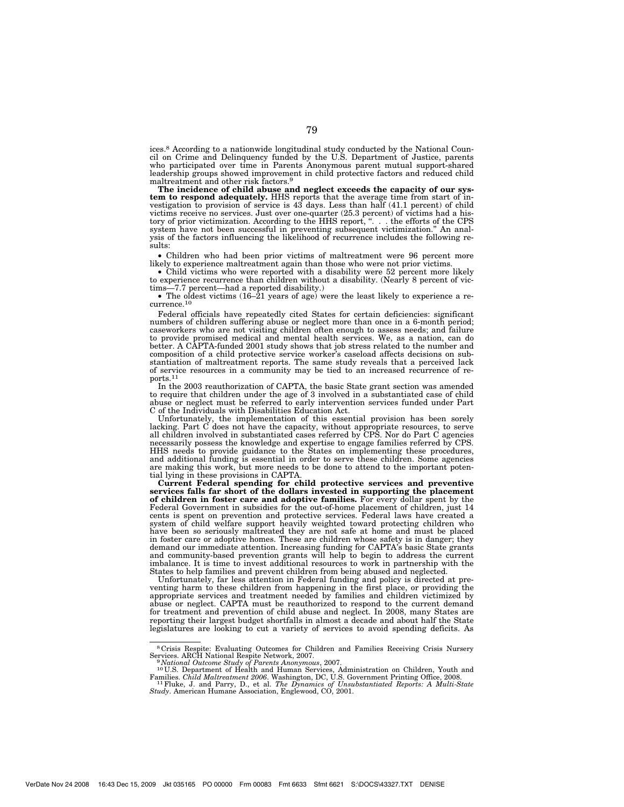ices.8 According to a nationwide longitudinal study conducted by the National Coun-cil on Crime and Delinquency funded by the U.S. Department of Justice, parents who participated over time in Parents Anonymous parent mutual support-shared leadership groups showed improvement in child protective factors and reduced child maltreatment and other risk factors.<sup>9</sup>

**The incidence of child abuse and neglect exceeds the capacity of our system to respond adequately.** HHS reports that the average time from start of in-vestigation to provision of service is 43 days. Less than half (41.1 percent) of child victims receive no services. Just over one-quarter (25.3 percent) of victims had a history of prior victimization. According to the HHS report, "... the efforts of the CPS system have not been successful in preventing subs ysis of the factors influencing the likelihood of recurrence includes the following results:

• Children who had been prior victims of maltreatment were 96 percent more likely to experience maltreatment again than those who were not prior victims.

• Child victims who were reported with a disability were 52 percent more likely to experience recurrence than children without a disability. (Nearly 8 percent of vic-<br>tims—7.7 percent—had a reported disability.)

• The oldest victims (16–21 years of age) were the least likely to experience a re- currence.<sup>10</sup>

Federal officials have repeatedly cited States for certain deficiencies: significant numbers of children suffering abuse or neglect more than once in a 6-month period; caseworkers who are not visiting children often enough to assess needs; and failure to provide promised medical and mental health services. We, as a nation, can do better. A CAPTA-funded 2001 study shows that job stress related to the number and composition of a child protective service worker's caseload affects decisions on substantiation of maltreatment reports. The same study reveals that a perceived lack of service resources in a community may be tied to an increased recurrence of reports.11

In the 2003 reauthorization of CAPTA, the basic State grant section was amended to require that children under the age of 3 involved in a substantiated case of child abuse or neglect must be referred to early intervention services funded under Part C of the Individuals with Disabilities Education Act.

Unfortunately, the implementation of this essential provision has been sorely lacking. Part C does not have the capacity, without appropriate resources, to serve all children involved in substantiated cases referred by CPS necessarily possess the knowledge and expertise to engage families referred by CPS. HHS needs to provide guidance to the States on implementing these procedures, and additional funding is essential in order to serve these children. Some agencies are making this work, but more needs to be done to attend to the important potential lying in these provisions in CAPTA.

**Current Federal spending for child protective services and preventive services falls far short of the dollars invested in supporting the placement of children in foster care and adoptive families.** For every dollar spent by the Federal Government in subsidies for the out-of-home placement of children, just 14 cents is spent on prevention and protective services. Federal laws have created a system of child welfare support heavily weighted toward protecting children who have been so seriously maltreated they are not safe at home and must be placed in foster care or adoptive homes. These are children whose safety is in danger; they demand our immediate attention. Increasing funding for CAPTA's basic State grants and community-based prevention grants will help to begin to address the current imbalance. It is time to invest additional resources to work in partnership with the States to help families and prevent children from being abused and neglected. Unfortunately, far less attention in Federal funding and policy is directed at pre-

venting harm to these children from happening in the first place, or providing the appropriate services and treatment needed by families and children victimized by abuse or neglect. CAPTA must be reauthorized to respond to the current demand for treatment and prevention of child abuse and neglect. In 2008, many States are reporting their largest budget shortfalls in almost a decade and about half the State legislatures are looking to cut a variety of services to avoid spending deficits. As

<sup>&</sup>lt;sup>8</sup> Crisis Respite: Evaluating Outcomes for Children and Families Receiving Crisis Nursery<br>Services. ARCH National Respite Network, 2007.<br><sup>9</sup> National Outcome Study of Parents Anonymous, 2007.<br><sup>10</sup>U.S. Department of Healt

Families. *Child Maltreatment 2006*. Washington, DC, U.S. Government Printing Office, 2008. 11Fluke, J. and Parry, D., et al. *The Dynamics of Unsubstantiated Reports: A Multi-State* 

<sup>&</sup>lt;sup>11</sup> Fluke, J. and Parry, D., et al. *The Dynamics of Unsubstantiated Reports: A Multi-State Study*. American Humane Association, Englewood, CO, 2001.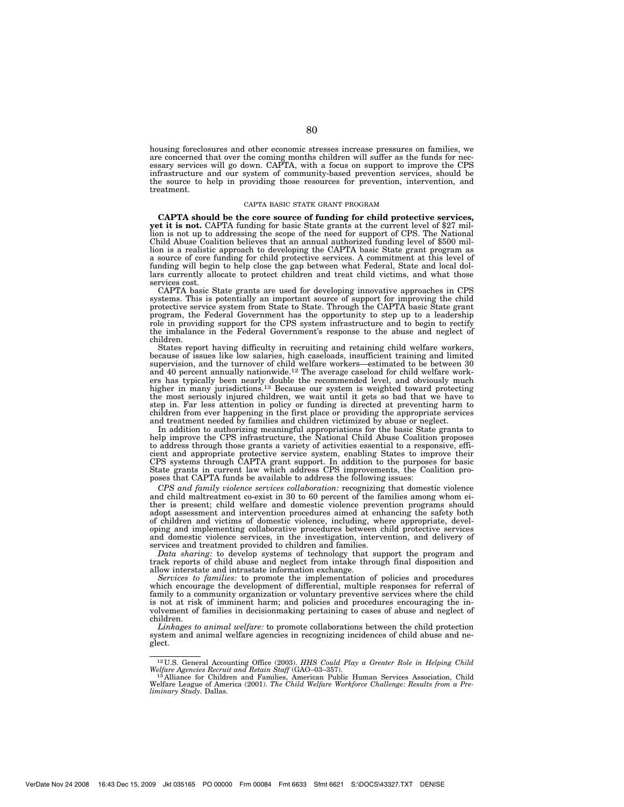housing foreclosures and other economic stresses increase pressures on families, we are concerned that over the coming months children will suffer as the funds for necessary services will go down. CAPTA, with a focus on support to improve the CPS infrastructure and our system of community-based prevention services, should be the source to help in providing those resources for prevention, intervention, and treatment.

#### CAPTA BASIC STATE GRANT PROGRAM

**CAPTA should be the core source of funding for child protective services, yet it is not.** CAPTA funding for basic State grants at the current level of \$27 million is not up to addressing the scope of the need for support of CPS. The National Child Abuse Coalition believes that an annual authorized funding level of \$500 million is a realistic approach to developing the CAPTA basic State grant program as a source of core funding for child protective services. A commitment at this level of funding will begin to help close the gap between what Federal, State and local dollars currently allocate to protect children and treat child victims, and what those services cost.

CAPTA basic State grants are used for developing innovative approaches in CPS systems. This is potentially an important source of support for improving the child protective service system from State to State. Through the CAPTA basic State grant program, the Federal Government has the opportunity to step up to a leadership role in providing support for the CPS system infrastructure and to begin to rectify the imbalance in the Federal Government's response to the abuse and neglect of children.

States report having difficulty in recruiting and retaining child welfare workers, because of issues like low salaries, high caseloads, insufficient training and limited supervision, and the turnover of child welfare workers—estimated to be between 30 and 40 percent annually nationwide.12 The average caseload for child welfare workers has typically been nearly double the recommended level, and obviously much higher in many jurisdictions.13 Because our system is weighted toward protecting the most seriously injured children, we wait until it gets so bad that we have to step in. Far less attention in policy or funding is directed at preventing harm to children from ever happening in the first place or providing the appropriate services and treatment needed by families and children victimized by abuse or neglect.

In addition to authorizing meaningful appropriations for the basic State grants to help improve the CPS infrastructure, the National Child Abuse Coalition proposes to address through those grants a variety of activities essential to a responsive, efficient and appropriate protective service system, enabling States to improve their CPS systems through CAPTA grant support. In addition to the purposes for basic State grants in current law which address CPS improvements, the Coalition proposes that CAPTA funds be available to address the following issues:

*CPS and family violence services collaboration:* recognizing that domestic violence and child maltreatment co-exist in 30 to 60 percent of the families among whom either is present; child welfare and domestic violence prevention programs should adopt assessment and intervention procedures aimed at enhancing the safety both of children and victims of domestic violence, including, where appropriate, developing and implementing collaborative procedures between child protective services and domestic violence services, in the investigation, intervention, and delivery of services and treatment provided to children and families.

*Data sharing:* to develop systems of technology that support the program and track reports of child abuse and neglect from intake through final disposition and allow interstate and intrastate information exchange.

*Services to families:* to promote the implementation of policies and procedures which encourage the development of differential, multiple responses for referral of family to a community organization or voluntary preventive services where the child is not at risk of imminent harm; and policies and procedures encouraging the involvement of families in decisionmaking pertaining to cases of abuse and neglect of children.

*Linkages to animal welfare:* to promote collaborations between the child protection system and animal welfare agencies in recognizing incidences of child abuse and neglect.

<sup>&</sup>lt;sup>12</sup> U.S. General Accounting Office (2003). HHS Could Play a Greater Role in Helping Child Welfare Agencies Recruit and Retain Staff (GAO-03-357).<br><sup>13</sup> Alliance for Children and Families, American Public Human Services As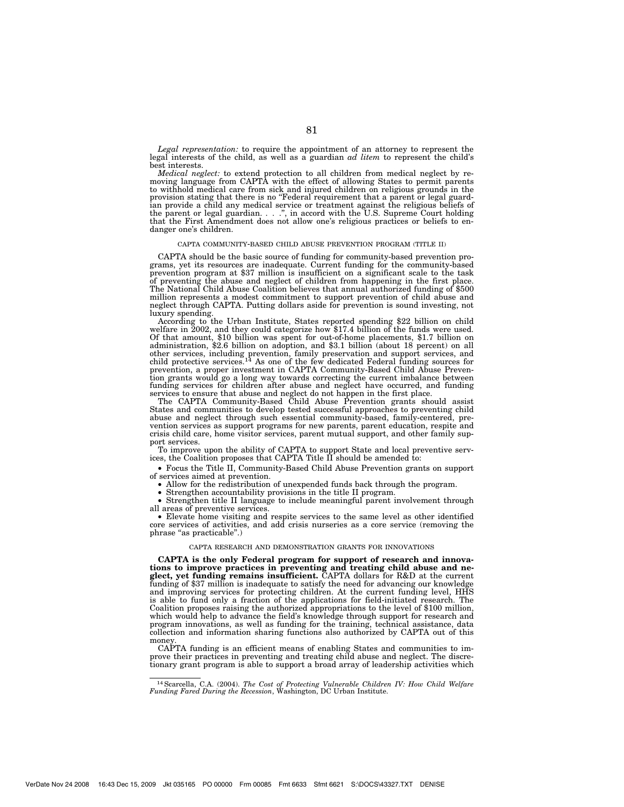*Legal representation:* to require the appointment of an attorney to represent the legal interests of the child, as well as a guardian *ad litem* to represent the child's best interests.

*Medical neglect:* to extend protection to all children from medical neglect by removing language from CAPTA with the effect of allowing States to permit parents to withhold medical care from sick and injured children on religious grounds in the provision stating that there is no "Federal requirement that a parent or legal guardian provide a child any medical service or treatment against the religious beliefs of the parent or legal guardian. . . . .", in accord wi danger one's children.

### CAPTA COMMUNITY-BASED CHILD ABUSE PREVENTION PROGRAM (TITLE II)

CAPTA should be the basic source of funding for community-based prevention programs, yet its resources are inadequate. Current funding for the community-based prevention program at \$37 million is insufficient on a significant scale to the task of preventing the abuse and neglect of children from happening in the first place. The National Child Abuse Coalition believes that annual authorized funding of \$500 million represents a modest commitment to support prevention of child abuse and neglect through CAPTA. Putting dollars aside for prevention is sound investing, not

luxury spending.<br>According to the Urban Institute, States reported spending \$22 billion on child<br>welfare in 2002, and they could categorize how \$17.4 billion of the funds were used.<br>Of that amount, \$10 billion was spent fo administration, \$2.6 billion on adoption, and \$3.1 billion (about 18 percent) on all other services, including prevention, family preservation and support services, and<br>child protective services.<sup>14</sup> As one of the few dedicated Federal funding sources for<br>prevention, a proper investment in CAPTA Communitytion grants would go a long way towards correcting the current imbalance between funding services for children after abuse and neglect have occurred, and funding

services to ensure that abuse and neglect do not happen in the first place. The CAPTA Community-Based Child Abuse Prevention grants should assist States and communities to develop tested successful approaches to preventing child abuse and neglect through such essential community-based, family-centered, prevention services as support programs for new parents, parent education, respite and crisis child care, home visitor services, parent mutual support, and other family support services.

To improve upon the ability of CAPTA to support State and local preventive serv-ices, the Coalition proposes that CAPTA Title II should be amended to:

• Focus the Title II, Community-Based Child Abuse Prevention grants on support

• Allow for the redistribution of unexpended funds back through the program.<br>• Strengthen accountability provisions in the title II program.<br>• Strengthen title II language to include meaningful parent involvement through a

• Elevate home visiting and respite services to the same level as other identified core services of activities, and add crisis nurseries as a core service (removing the phrase ''as practicable''.)

#### CAPTA RESEARCH AND DEMONSTRATION GRANTS FOR INNOVATIONS

CAPTA is the only Federal program for support of research and innovations to improve practices in preventing and treating child abuse and neglect, yet funding remains insufficient. CAPTA dollars for R&D at the current fund and improving services for protecting children. At the current funding level, HHS is able to fund only a fraction of the applications for field-initiated research. The Coalition proposes raising the authorized appropriations to the level of \$100 million, which would help to advance the field's knowledge through support for research and program innovations, as well as funding for the training, technical assistance, data collection and information sharing functions also authorized by CAPTA out of this mone

CAPTA funding is an efficient means of enabling States and communities to im-<br>prove their practices in preventing and treating child abuse and neglect. The discre-<br>tionary grant program is able to support a broad array of

<sup>14</sup>Scarcella, C.A. (2004). *The Cost of Protecting Vulnerable Children IV: How Child Welfare Funding Fared During the Recession*, Washington, DC Urban Institute.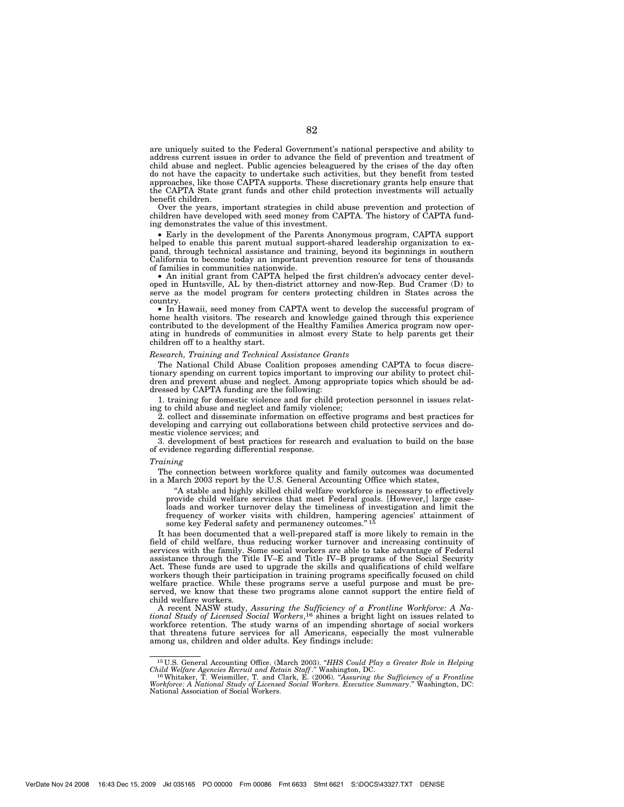are uniquely suited to the Federal Government's national perspective and ability to address current issues in order to advance the field of prevention and treatment of child abuse and neglect. Public agencies beleaguered by the crises of the day often do not have the capacity to undertake such activities, but they benefit from tested approaches, like those CAPTA supports. These discretionary grants help ensure that the CAPTA State grant funds and other child protection investments will actually benefit children.

Over the years, important strategies in child abuse prevention and protection of children have developed with seed money from CAPTA. The history of CAPTA funding demonstrates the value of this investment.

• Early in the development of the Parents Anonymous program, CAPTA support helped to enable this parent mutual support-shared leadership organization to expand, through technical assistance and training, beyond its beginnings in southern California to become today an important prevention resource for tens of thousands of families in communities nationwide.

• An initial grant from CAPTA helped the first children's advocacy center developed in Huntsville, AL by then-district attorney and now-Rep. Bud Cramer (D) to serve as the model program for centers protecting children in States across the country.

• In Hawaii, seed money from CAPTA went to develop the successful program of home health visitors. The research and knowledge gained through this experience contributed to the development of the Healthy Families America program now operating in hundreds of communities in almost every State to help parents get their children off to a healthy start.

# *Research, Training and Technical Assistance Grants*

The National Child Abuse Coalition proposes amending CAPTA to focus discretionary spending on current topics important to improving our ability to protect children and prevent abuse and neglect. Among appropriate topics which should be addressed by CAPTA funding are the following:

1. training for domestic violence and for child protection personnel in issues relating to child abuse and neglect and family violence;

2. collect and disseminate information on effective programs and best practices for developing and carrying out collaborations between child protective services and domestic violence services; and

3. development of best practices for research and evaluation to build on the base of evidence regarding differential response.

# *Training*

The connection between workforce quality and family outcomes was documented in a March 2003 report by the U.S. General Accounting Office which states,

"A stable and highly skilled child welfare workforce is necessary to effectively provide child welfare services that meet Federal goals. [However,] large caseloads and worker turnover delay the timeliness of investigation and limit the frequency of worker visits with children, hampering agencies' attainment of some key Federal safety and permanency outcomes."<sup>15</sup>

It has been documented that a well-prepared staff is more likely to remain in the field of child welfare, thus reducing worker turnover and increasing continuity of services with the family. Some social workers are able to take advantage of Federal assistance through the Title IV–E and Title IV–B programs of the Social Security Act. These funds are used to upgrade the skills and qualifications of child welfare workers though their participation in training programs specifically focused on child welfare practice. While these programs serve a useful purpose and must be preserved, we know that these two programs alone cannot support the entire field of child welfare workers.

A recent NASW study, *Assuring the Sufficiency of a Frontline Workforce: A Na-tional Study of Licensed Social Workers*,16 shines a bright light on issues related to workforce retention. The study warns of an impending shortage of social workers that threatens future services for all Americans, especially the most vulnerable among us, children and older adults. Key findings include:

<sup>&</sup>lt;sup>15</sup> U.S. General Accounting Office. (March 2003). "HHS Could Play a Greater Role in Helping Child Welfare Agencies Recruit and Retain Staff." Washington, DC.<br><sup>16</sup> Whitaker, T. Weismiller, T. and Clark, E. (2006). "Assuri